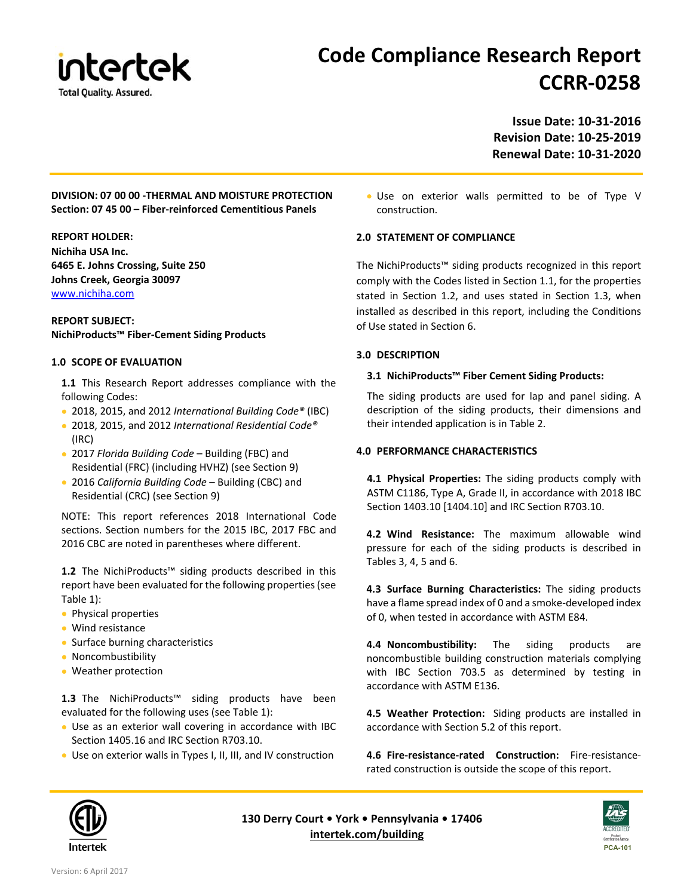

# **Code Compliance Research Report CCRR‐0258**

**Issue Date: 10‐31‐2016 Revision Date: 10‐25‐2019 Renewal Date: 10‐31‐2020** 

# **DIVISION: 07 00 00 ‐THERMAL AND MOISTURE PROTECTION Section: 07 45 00 – Fiber‐reinforced Cementitious Panels**

#### **REPORT HOLDER:**

**Nichiha USA Inc. 6465 E. Johns Crossing, Suite 250 Johns Creek, Georgia 30097**  www.nichiha.com

#### **REPORT SUBJECT: NichiProducts™ Fiber‐Cement Siding Products**

# **1.0 SCOPE OF EVALUATION**

**1.1** This Research Report addresses compliance with the following Codes:

- 2018, 2015, and 2012 *International Building Code®* (IBC)
- 2018, 2015, and 2012 *International Residential Code®*  (IRC)
- 2017 *Florida Building Code* Building (FBC) and Residential (FRC) (including HVHZ) (see Section 9)
- 2016 *California Building Code* Building (CBC) and Residential (CRC) (see Section 9)

NOTE: This report references 2018 International Code sections. Section numbers for the 2015 IBC, 2017 FBC and 2016 CBC are noted in parentheses where different.

**1.2** The NichiProducts™ siding products described in this report have been evaluated for the following properties (see Table 1):

- Physical properties
- Wind resistance
- Surface burning characteristics
- Noncombustibility
- Weather protection

**1.3** The NichiProducts™ siding products have been evaluated for the following uses (see Table 1):

- Use as an exterior wall covering in accordance with IBC Section 1405.16 and IRC Section R703.10.
- Use on exterior walls in Types I, II, III, and IV construction

 Use on exterior walls permitted to be of Type V construction.

# **2.0 STATEMENT OF COMPLIANCE**

The NichiProducts™ siding products recognized in this report comply with the Codes listed in Section 1.1, for the properties stated in Section 1.2, and uses stated in Section 1.3, when installed as described in this report, including the Conditions of Use stated in Section 6.

# **3.0 DESCRIPTION**

# **3.1 NichiProducts™ Fiber Cement Siding Products:**

The siding products are used for lap and panel siding. A description of the siding products, their dimensions and their intended application is in Table 2.

# **4.0 PERFORMANCE CHARACTERISTICS**

**4.1 Physical Properties:**  The siding products comply with ASTM C1186, Type A, Grade II, in accordance with 2018 IBC Section 1403.10 [1404.10] and IRC Section R703.10.

**4.2 Wind Resistance:** The maximum allowable wind pressure for each of the siding products is described in Tables 3, 4, 5 and 6.

**4.3 Surface Burning Characteristics:** The siding products have a flame spread index of 0 and a smoke‐developed index of 0, when tested in accordance with ASTM E84.

**4.4 Noncombustibility:** The siding products are noncombustible building construction materials complying with IBC Section 703.5 as determined by testing in accordance with ASTM E136.

**4.5 Weather Protection:** Siding products are installed in accordance with Section 5.2 of this report.

**4.6 Fire‐resistance‐rated Construction:** Fire‐resistance‐ rated construction is outside the scope of this report.



**130 Derry Court • York • Pennsylvania • 17406 intertek.com/building**

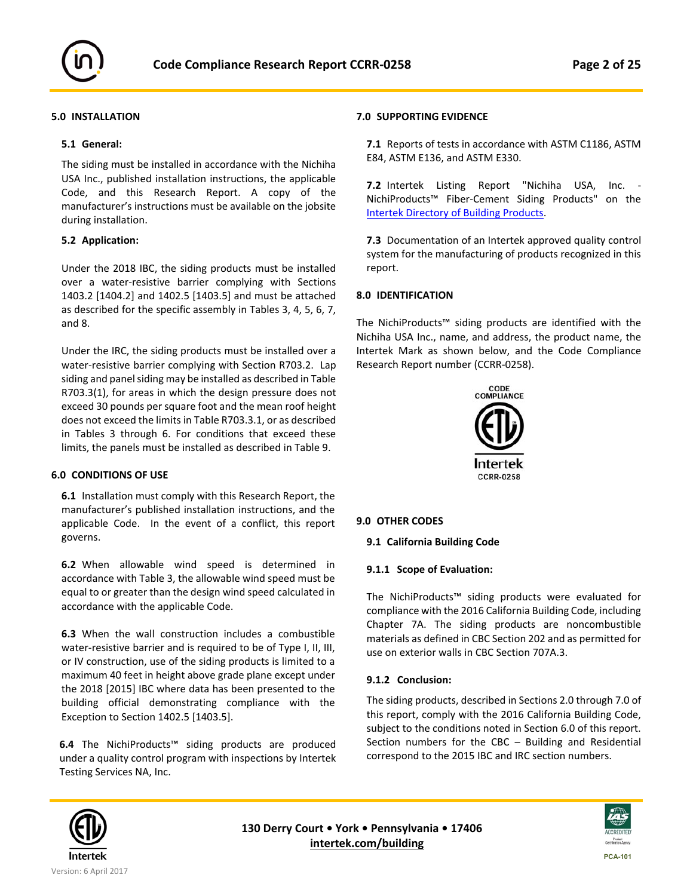

# **5.0 INSTALLATION**

#### **5.1 General:**

The siding must be installed in accordance with the Nichiha USA Inc., published installation instructions, the applicable Code, and this Research Report. A copy of the manufacturer's instructions must be available on the jobsite during installation.

#### **5.2 Application:**

Under the 2018 IBC, the siding products must be installed over a water-resistive barrier complying with Sections 1403.2 [1404.2] and 1402.5 [1403.5] and must be attached as described for the specific assembly in Tables 3, 4, 5, 6, 7, and 8.

Under the IRC, the siding products must be installed over a water-resistive barrier complying with Section R703.2. Lap siding and panel siding may be installed as described in Table R703.3(1), for areas in which the design pressure does not exceed 30 pounds per square foot and the mean roof height does not exceed the limits in Table R703.3.1, or as described in Tables 3 through 6. For conditions that exceed these limits, the panels must be installed as described in Table 9.

# **6.0 CONDITIONS OF USE**

**6.1**  Installation must comply with this Research Report, the manufacturer's published installation instructions, and the applicable Code. In the event of a conflict, this report governs.

**6.2** When allowable wind speed is determined in accordance with Table 3, the allowable wind speed must be equal to or greater than the design wind speed calculated in accordance with the applicable Code.

**6.3**  When the wall construction includes a combustible water-resistive barrier and is required to be of Type I, II, III, or IV construction, use of the siding products is limited to a maximum 40 feet in height above grade plane except under the 2018 [2015] IBC where data has been presented to the building official demonstrating compliance with the Exception to Section 1402.5 [1403.5].

**6.4**  The NichiProducts™ siding products are produced under a quality control program with inspections by Intertek Testing Services NA, Inc.

# **7.0 SUPPORTING EVIDENCE**

**7.1** Reports of tests in accordance with ASTM C1186, ASTM E84, ASTM E136, and ASTM E330.

**7.2** Intertek Listing Report "Nichiha USA, Inc. ‐ NichiProducts™ Fiber‐Cement Siding Products" on the Intertek Directory of Building Products.

**7.3** Documentation of an Intertek approved quality control system for the manufacturing of products recognized in this report.

# **8.0 IDENTIFICATION**

The NichiProducts™ siding products are identified with the Nichiha USA Inc., name, and address, the product name, the Intertek Mark as shown below, and the Code Compliance Research Report number (CCRR‐0258).



#### **9.0 OTHER CODES**

#### **9.1 California Building Code**

#### **9.1.1 Scope of Evaluation:**

The NichiProducts™ siding products were evaluated for compliance with the 2016 California Building Code, including Chapter 7A. The siding products are noncombustible materials as defined in CBC Section 202 and as permitted for use on exterior walls in CBC Section 707A.3.

#### **9.1.2 Conclusion:**

The siding products, described in Sections 2.0 through 7.0 of this report, comply with the 2016 California Building Code, subject to the conditions noted in Section 6.0 of this report. Section numbers for the  $CBC - Building$  and Residential correspond to the 2015 IBC and IRC section numbers.



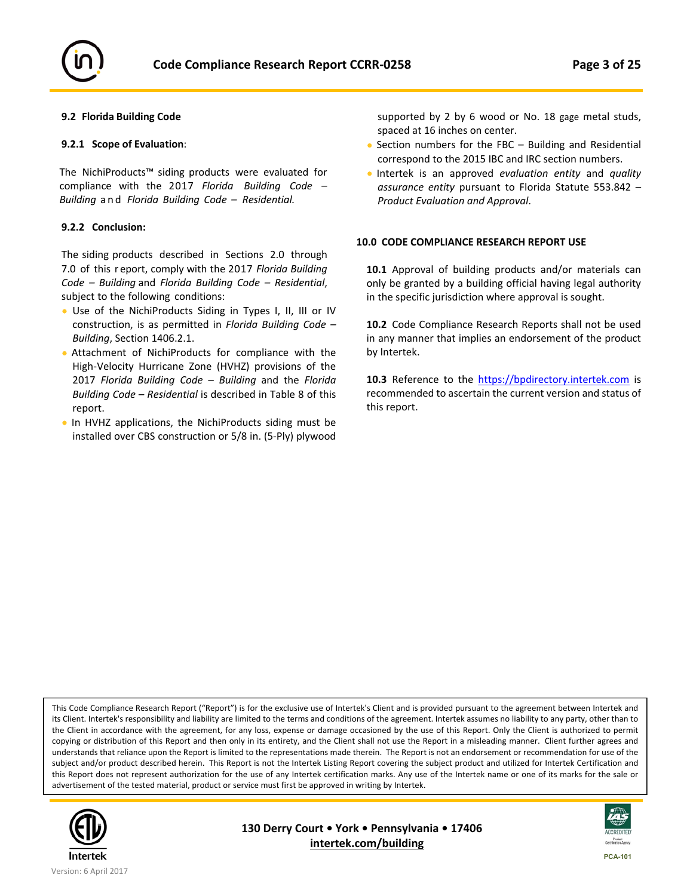

#### **9.2 Florida Building Code**

#### **9.2.1 Scope of Evaluation**:

The NichiProducts™ siding products were evaluated for compliance with the 2017 *Florida Building Code – Building*  and  *Florida Building Code – Residential.*

#### **9.2.2 Conclusion:**

The siding products described in Sections 2.0 through 7.0 of this r eport, comply with the 2017 *Florida Building Code – Building* and *Florida Building Code – Residential*, subject to the following conditions:

- Use of the NichiProducts Siding in Types I, II, III or IV construction, is as permitted in *Florida Building Code – Building*, Section 1406.2.1.
- Attachment of NichiProducts for compliance with the High‐Velocity Hurricane Zone (HVHZ) provisions of the 2017 *Florida Building Code – Building*  and the *Florida Building Code – Residential* is described in Table 8 of this report.
- In HVHZ applications, the NichiProducts siding must be installed over CBS construction or 5/8 in. (5‐Ply) plywood

supported by 2 by 6 wood or No. 18 gage metal studs, spaced at 16 inches on center.

- Section numbers for the FBC Building and Residential correspond to the 2015 IBC and IRC section numbers.
- Intertek is an approved *evaluation entity* and *quality assurance entity* pursuant to Florida Statute 553.842 – *Product Evaluation and Approval*.

#### **10.0 CODE COMPLIANCE RESEARCH REPORT USE**

10.1 Approval of building products and/or materials can only be granted by a building official having legal authority in the specific jurisdiction where approval is sought.

**10.2** Code Compliance Research Reports shall not be used in any manner that implies an endorsement of the product by Intertek.

10.3 Reference to the https://bpdirectory.intertek.com is recommended to ascertain the current version and status of this report.

This Code Compliance Research Report ("Report") is for the exclusive use of Intertek's Client and is provided pursuant to the agreement between Intertek and its Client. Intertek's responsibility and liability are limited to the terms and conditions of the agreement. Intertek assumes no liability to any party, other than to the Client in accordance with the agreement, for any loss, expense or damage occasioned by the use of this Report. Only the Client is authorized to permit copying or distribution of this Report and then only in its entirety, and the Client shall not use the Report in a misleading manner. Client further agrees and understands that reliance upon the Report is limited to the representations made therein. The Report is not an endorsement or recommendation for use of the subject and/or product described herein. This Report is not the Intertek Listing Report covering the subject product and utilized for Intertek Certification and this Report does not represent authorization for the use of any Intertek certification marks. Any use of the Intertek name or one of its marks for the sale or advertisement of the tested material, product or service must first be approved in writing by Intertek.



**130 Derry Court • York • Pennsylvania • 17406 intertek.com/building**

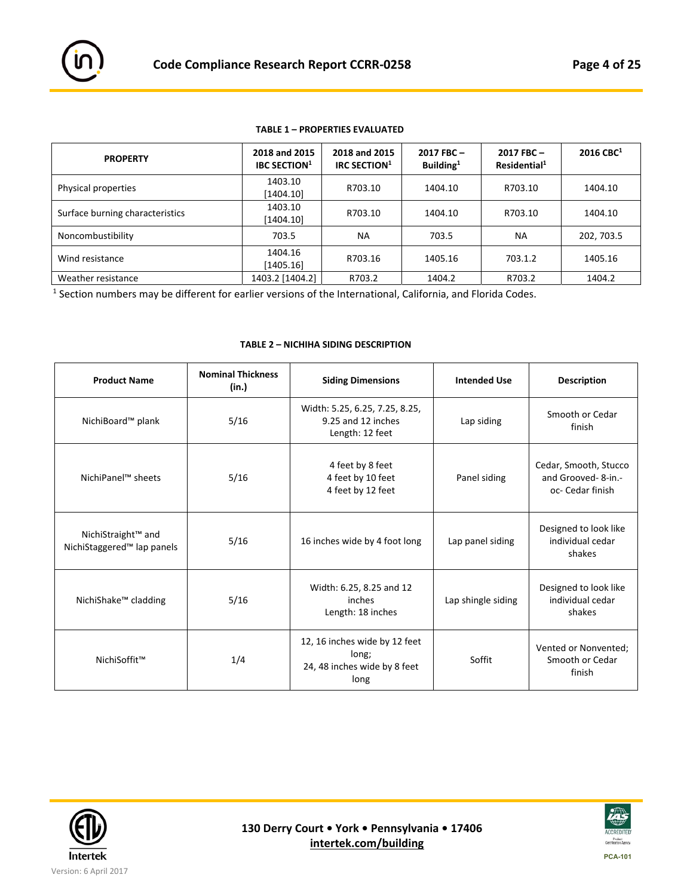

| <b>PROPERTY</b>                 | 2018 and 2015<br><b>IBC SECTION</b> <sup>1</sup> | 2018 and 2015<br>IRC SECTION <sup>1</sup> | 2017 FBC-<br>Building $1$ | $2017$ FBC $-$<br>Residential <sup>1</sup> | $2016$ CBC <sup>1</sup> |
|---------------------------------|--------------------------------------------------|-------------------------------------------|---------------------------|--------------------------------------------|-------------------------|
| Physical properties             | 1403.10<br>[1404.10]                             | R703.10                                   | 1404.10                   | R703.10                                    | 1404.10                 |
| Surface burning characteristics | 1403.10<br>[1404.10]                             | R703.10                                   | 1404.10                   | R703.10                                    | 1404.10                 |
| Noncombustibility               | 703.5                                            | <b>NA</b>                                 | 703.5                     | NA                                         | 202, 703.5              |
| Wind resistance                 | 1404.16<br>[1405.16]                             | R703.16                                   | 1405.16                   | 703.1.2                                    | 1405.16                 |
| Weather resistance              | 1403.2 [1404.2]                                  | R703.2                                    | 1404.2                    | R703.2                                     | 1404.2                  |

#### **TABLE 1 – PROPERTIES EVALUATED**

1 Section numbers may be different for earlier versions of the International, California, and Florida Codes.

#### **TABLE 2 – NICHIHA SIDING DESCRIPTION**

| <b>Product Name</b>                                                      | <b>Nominal Thickness</b><br>(in.)                                  | <b>Siding Dimensions</b>                                                       | <b>Intended Use</b> | <b>Description</b>                                               |
|--------------------------------------------------------------------------|--------------------------------------------------------------------|--------------------------------------------------------------------------------|---------------------|------------------------------------------------------------------|
| NichiBoard™ plank                                                        | 5/16                                                               | Width: 5.25, 6.25, 7.25, 8.25,<br>9.25 and 12 inches<br>Length: 12 feet        | Lap siding          | Smooth or Cedar<br>finish                                        |
| NichiPanel™ sheets                                                       | 4 feet by 8 feet<br>5/16<br>4 feet by 10 feet<br>4 feet by 12 feet |                                                                                | Panel siding        | Cedar, Smooth, Stucco<br>and Grooved- 8-in.-<br>oc- Cedar finish |
| NichiStraight <sup>™</sup> and<br>NichiStaggered <sup>™</sup> lap panels | 5/16                                                               | 16 inches wide by 4 foot long                                                  | Lap panel siding    | Designed to look like<br>individual cedar<br>shakes              |
| 5/16<br>NichiShake <sup>™</sup> cladding                                 |                                                                    | Width: 6.25, 8.25 and 12<br>inches<br>Length: 18 inches                        | Lap shingle siding  | Designed to look like<br>individual cedar<br>shakes              |
| NichiSoffit™                                                             | 1/4                                                                | 12, 16 inches wide by 12 feet<br>long;<br>24, 48 inches wide by 8 feet<br>long | Soffit              | Vented or Nonvented;<br>Smooth or Cedar<br>finish                |



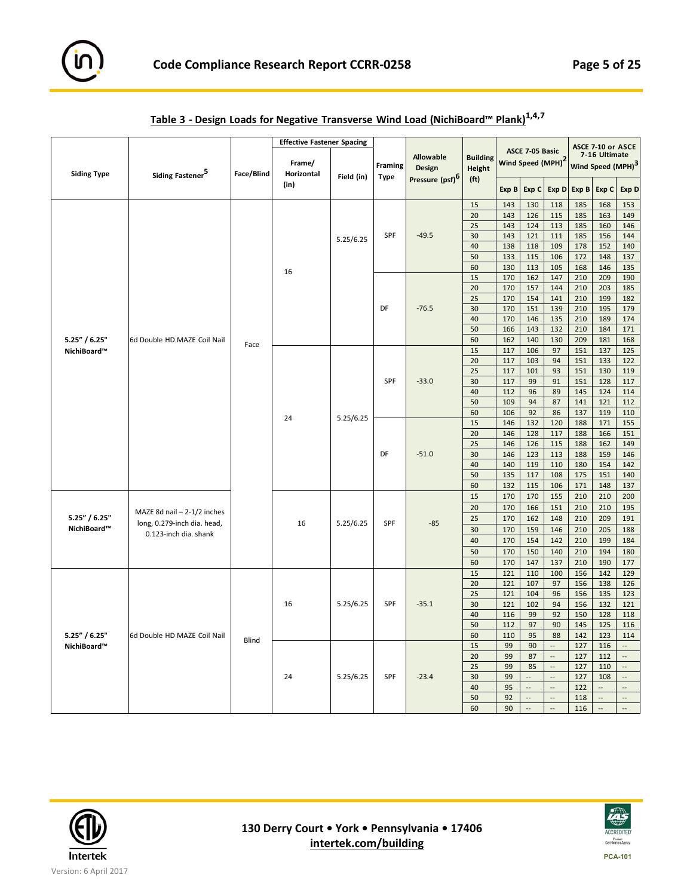

| ASCE 7-10 or ASCE<br>ASCE 7-05 Basic<br>7-16 Ultimate<br><b>Allowable</b><br><b>Building</b><br>Wind Speed (MPH) <sup>2</sup><br>Frame/<br>Wind Speed (MPH) <sup>3</sup><br>Framing<br><b>Design</b><br>Height<br>Face/Blind<br>Horizontal<br><b>Siding Type</b><br>Siding Fastener <sup>5</sup><br>Field (in)<br><b>Type</b><br>Pressure (psf) <sup>6</sup><br>(f <sub>t</sub> )<br>(in)<br>Exp B<br>Exp C<br>Exp D<br>Exp B<br>Exp C<br>Exp D<br>15<br>143<br>130<br>185<br>118<br>168<br>153<br>20<br>143<br>126<br>115<br>185<br>149<br>163<br>25<br>143<br>124<br>113<br>185<br>146<br>160<br>SPF<br>$-49.5$<br>30<br>143<br>121<br>111<br>185<br>144<br>156<br>5.25/6.25<br>40<br>138<br>118<br>109<br>178<br>140<br>152<br>50<br>133<br>115<br>106<br>172<br>137<br>148<br>60<br>130<br>113<br>105<br>168<br>146<br>135<br>16<br>15<br>170<br>147<br>210<br>190<br>162<br>209<br>20<br>170<br>157<br>144<br>210<br>203<br>185<br>25<br>182<br>170<br>154<br>141<br>210<br>199<br>DF<br>$-76.5$<br>30<br>170<br>151<br>139<br>210<br>195<br>179<br>40<br>170<br>174<br>146<br>135<br>210<br>189<br>50<br>210<br>171<br>166<br>143<br>132<br>184<br>$5.25''$ / $6.25''$<br>6d Double HD MAZE Coil Nail<br>60<br>209<br>168<br>162<br>140<br>130<br>181<br>Face<br>15<br>117<br>106<br>97<br>151<br>137<br>125<br>NichiBoard™<br>20<br>117<br>103<br>94<br>151<br>133<br>122<br>151<br>25<br>117<br>101<br>93<br>130<br>119<br><b>SPF</b><br>$-33.0$<br>30<br>117<br>99<br>91<br>151<br>128<br>117<br>40<br>112<br>96<br>89<br>145<br>124<br>114<br>50<br>141<br>112<br>109<br>94<br>87<br>121<br>60<br>92<br>137<br>106<br>86<br>119<br>110<br>24<br>5.25/6.25<br>15<br>146<br>132<br>120<br>188<br>171<br>155<br>20<br>117<br>151<br>146<br>128<br>188<br>166<br>25<br>115<br>149<br>146<br>126<br>188<br>162<br>DF<br>$-51.0$<br>30<br>123<br>146<br>146<br>113<br>188<br>159<br>40<br>140<br>119<br>110<br>180<br>154<br>142<br>50<br>135<br>151<br>140<br>117<br>108<br>175<br>60<br>132<br>115<br>171<br>137<br>106<br>148<br>15<br>170<br>170<br>155<br>210<br>210<br>200<br>20<br>170<br>166<br>151<br>210<br>210<br>195<br>MAZE 8d nail - 2-1/2 inches<br>$5.25''$ / $6.25''$<br>25<br>170<br>148<br>210<br>191<br>162<br>209<br>long, 0.279-inch dia. head,<br>16<br>5.25/6.25<br><b>SPF</b><br>$-85$<br>NichiBoard™<br>30<br>170<br>159<br>146<br>210<br>205<br>188<br>0.123-inch dia. shank<br>40<br>154<br>184<br>170<br>142<br>210<br>199<br>50<br>170<br>150<br>140<br>210<br>194<br>180<br>60<br>170<br>147<br>137<br>210<br>190<br>177<br>129<br>15<br>121<br>110<br>100<br>156<br>142<br>20<br>121<br>107<br>97<br>156<br>138<br>126<br>25<br>121<br>104<br>156<br>135<br>123<br>96<br>SPF<br>$-35.1$<br>5.25/6.25<br>30<br>121<br>102<br>94<br>156<br>132<br>121<br>16<br>40<br>116<br>99<br>92<br>150<br>128<br>118<br>50<br>112<br>97<br>90<br>145<br>125<br>116<br>60<br>5.25" / 6.25"<br>110<br>95<br>88<br>142<br>123<br>114<br>6d Double HD MAZE Coil Nail<br>Blind<br>15<br>99<br>90<br>127<br>116<br>NichiBoard™<br>Ξ.<br>$\overline{\phantom{a}}$<br>20<br>127<br>$\mathbb{L}^2$<br>99<br>87<br>$\overline{\phantom{a}}$<br>112<br>25<br>99<br>85<br>$\overline{\phantom{a}}$<br>127<br>$\overline{\phantom{a}}$<br>110<br>SPF<br>$-23.4$<br>30<br>127<br>24<br>5.25/6.25<br>99<br>$\overline{\phantom{a}}$<br>$\overline{\phantom{a}}$<br>108<br>$\overline{\phantom{a}}$<br>40<br>95<br>122<br>$\overline{\phantom{a}}$<br>$\overline{a}$<br>$\overline{a}$<br>$\overline{\phantom{a}}$<br>$\overline{\phantom{a}}$<br>50<br>92<br>$\overline{\phantom{a}}$<br>$\overline{\phantom{a}}$<br>118<br>$\overline{\phantom{a}}$ |  |  | <b>Effective Fastener Spacing</b> |  |    |    |                          |                          |     |        |                          |
|--------------------------------------------------------------------------------------------------------------------------------------------------------------------------------------------------------------------------------------------------------------------------------------------------------------------------------------------------------------------------------------------------------------------------------------------------------------------------------------------------------------------------------------------------------------------------------------------------------------------------------------------------------------------------------------------------------------------------------------------------------------------------------------------------------------------------------------------------------------------------------------------------------------------------------------------------------------------------------------------------------------------------------------------------------------------------------------------------------------------------------------------------------------------------------------------------------------------------------------------------------------------------------------------------------------------------------------------------------------------------------------------------------------------------------------------------------------------------------------------------------------------------------------------------------------------------------------------------------------------------------------------------------------------------------------------------------------------------------------------------------------------------------------------------------------------------------------------------------------------------------------------------------------------------------------------------------------------------------------------------------------------------------------------------------------------------------------------------------------------------------------------------------------------------------------------------------------------------------------------------------------------------------------------------------------------------------------------------------------------------------------------------------------------------------------------------------------------------------------------------------------------------------------------------------------------------------------------------------------------------------------------------------------------------------------------------------------------------------------------------------------------------------------------------------------------------------------------------------------------------------------------------------------------------------------------------------------------------------------------------------------------------------------------------------------------------------------------------------------------------------------------------------------------------------------------------------------------------------------------------------------------------------------------------------------------------------------------------------------------------------------------------------------------------------------------------------------------------------------------------------------------------------------------------------------------------------------------------------------------------------------------------------------|--|--|-----------------------------------|--|----|----|--------------------------|--------------------------|-----|--------|--------------------------|
|                                                                                                                                                                                                                                                                                                                                                                                                                                                                                                                                                                                                                                                                                                                                                                                                                                                                                                                                                                                                                                                                                                                                                                                                                                                                                                                                                                                                                                                                                                                                                                                                                                                                                                                                                                                                                                                                                                                                                                                                                                                                                                                                                                                                                                                                                                                                                                                                                                                                                                                                                                                                                                                                                                                                                                                                                                                                                                                                                                                                                                                                                                                                                                                                                                                                                                                                                                                                                                                                                                                                                                                                                                                              |  |  |                                   |  |    |    |                          |                          |     |        |                          |
|                                                                                                                                                                                                                                                                                                                                                                                                                                                                                                                                                                                                                                                                                                                                                                                                                                                                                                                                                                                                                                                                                                                                                                                                                                                                                                                                                                                                                                                                                                                                                                                                                                                                                                                                                                                                                                                                                                                                                                                                                                                                                                                                                                                                                                                                                                                                                                                                                                                                                                                                                                                                                                                                                                                                                                                                                                                                                                                                                                                                                                                                                                                                                                                                                                                                                                                                                                                                                                                                                                                                                                                                                                                              |  |  |                                   |  |    |    |                          |                          |     |        |                          |
|                                                                                                                                                                                                                                                                                                                                                                                                                                                                                                                                                                                                                                                                                                                                                                                                                                                                                                                                                                                                                                                                                                                                                                                                                                                                                                                                                                                                                                                                                                                                                                                                                                                                                                                                                                                                                                                                                                                                                                                                                                                                                                                                                                                                                                                                                                                                                                                                                                                                                                                                                                                                                                                                                                                                                                                                                                                                                                                                                                                                                                                                                                                                                                                                                                                                                                                                                                                                                                                                                                                                                                                                                                                              |  |  |                                   |  |    |    |                          |                          |     |        |                          |
|                                                                                                                                                                                                                                                                                                                                                                                                                                                                                                                                                                                                                                                                                                                                                                                                                                                                                                                                                                                                                                                                                                                                                                                                                                                                                                                                                                                                                                                                                                                                                                                                                                                                                                                                                                                                                                                                                                                                                                                                                                                                                                                                                                                                                                                                                                                                                                                                                                                                                                                                                                                                                                                                                                                                                                                                                                                                                                                                                                                                                                                                                                                                                                                                                                                                                                                                                                                                                                                                                                                                                                                                                                                              |  |  |                                   |  |    |    |                          |                          |     |        |                          |
|                                                                                                                                                                                                                                                                                                                                                                                                                                                                                                                                                                                                                                                                                                                                                                                                                                                                                                                                                                                                                                                                                                                                                                                                                                                                                                                                                                                                                                                                                                                                                                                                                                                                                                                                                                                                                                                                                                                                                                                                                                                                                                                                                                                                                                                                                                                                                                                                                                                                                                                                                                                                                                                                                                                                                                                                                                                                                                                                                                                                                                                                                                                                                                                                                                                                                                                                                                                                                                                                                                                                                                                                                                                              |  |  |                                   |  |    |    |                          |                          |     |        |                          |
|                                                                                                                                                                                                                                                                                                                                                                                                                                                                                                                                                                                                                                                                                                                                                                                                                                                                                                                                                                                                                                                                                                                                                                                                                                                                                                                                                                                                                                                                                                                                                                                                                                                                                                                                                                                                                                                                                                                                                                                                                                                                                                                                                                                                                                                                                                                                                                                                                                                                                                                                                                                                                                                                                                                                                                                                                                                                                                                                                                                                                                                                                                                                                                                                                                                                                                                                                                                                                                                                                                                                                                                                                                                              |  |  |                                   |  |    |    |                          |                          |     |        |                          |
|                                                                                                                                                                                                                                                                                                                                                                                                                                                                                                                                                                                                                                                                                                                                                                                                                                                                                                                                                                                                                                                                                                                                                                                                                                                                                                                                                                                                                                                                                                                                                                                                                                                                                                                                                                                                                                                                                                                                                                                                                                                                                                                                                                                                                                                                                                                                                                                                                                                                                                                                                                                                                                                                                                                                                                                                                                                                                                                                                                                                                                                                                                                                                                                                                                                                                                                                                                                                                                                                                                                                                                                                                                                              |  |  |                                   |  |    |    |                          |                          |     |        |                          |
|                                                                                                                                                                                                                                                                                                                                                                                                                                                                                                                                                                                                                                                                                                                                                                                                                                                                                                                                                                                                                                                                                                                                                                                                                                                                                                                                                                                                                                                                                                                                                                                                                                                                                                                                                                                                                                                                                                                                                                                                                                                                                                                                                                                                                                                                                                                                                                                                                                                                                                                                                                                                                                                                                                                                                                                                                                                                                                                                                                                                                                                                                                                                                                                                                                                                                                                                                                                                                                                                                                                                                                                                                                                              |  |  |                                   |  |    |    |                          |                          |     |        |                          |
|                                                                                                                                                                                                                                                                                                                                                                                                                                                                                                                                                                                                                                                                                                                                                                                                                                                                                                                                                                                                                                                                                                                                                                                                                                                                                                                                                                                                                                                                                                                                                                                                                                                                                                                                                                                                                                                                                                                                                                                                                                                                                                                                                                                                                                                                                                                                                                                                                                                                                                                                                                                                                                                                                                                                                                                                                                                                                                                                                                                                                                                                                                                                                                                                                                                                                                                                                                                                                                                                                                                                                                                                                                                              |  |  |                                   |  |    |    |                          |                          |     |        |                          |
|                                                                                                                                                                                                                                                                                                                                                                                                                                                                                                                                                                                                                                                                                                                                                                                                                                                                                                                                                                                                                                                                                                                                                                                                                                                                                                                                                                                                                                                                                                                                                                                                                                                                                                                                                                                                                                                                                                                                                                                                                                                                                                                                                                                                                                                                                                                                                                                                                                                                                                                                                                                                                                                                                                                                                                                                                                                                                                                                                                                                                                                                                                                                                                                                                                                                                                                                                                                                                                                                                                                                                                                                                                                              |  |  |                                   |  |    |    |                          |                          |     |        |                          |
|                                                                                                                                                                                                                                                                                                                                                                                                                                                                                                                                                                                                                                                                                                                                                                                                                                                                                                                                                                                                                                                                                                                                                                                                                                                                                                                                                                                                                                                                                                                                                                                                                                                                                                                                                                                                                                                                                                                                                                                                                                                                                                                                                                                                                                                                                                                                                                                                                                                                                                                                                                                                                                                                                                                                                                                                                                                                                                                                                                                                                                                                                                                                                                                                                                                                                                                                                                                                                                                                                                                                                                                                                                                              |  |  |                                   |  |    |    |                          |                          |     |        |                          |
|                                                                                                                                                                                                                                                                                                                                                                                                                                                                                                                                                                                                                                                                                                                                                                                                                                                                                                                                                                                                                                                                                                                                                                                                                                                                                                                                                                                                                                                                                                                                                                                                                                                                                                                                                                                                                                                                                                                                                                                                                                                                                                                                                                                                                                                                                                                                                                                                                                                                                                                                                                                                                                                                                                                                                                                                                                                                                                                                                                                                                                                                                                                                                                                                                                                                                                                                                                                                                                                                                                                                                                                                                                                              |  |  |                                   |  |    |    |                          |                          |     |        |                          |
|                                                                                                                                                                                                                                                                                                                                                                                                                                                                                                                                                                                                                                                                                                                                                                                                                                                                                                                                                                                                                                                                                                                                                                                                                                                                                                                                                                                                                                                                                                                                                                                                                                                                                                                                                                                                                                                                                                                                                                                                                                                                                                                                                                                                                                                                                                                                                                                                                                                                                                                                                                                                                                                                                                                                                                                                                                                                                                                                                                                                                                                                                                                                                                                                                                                                                                                                                                                                                                                                                                                                                                                                                                                              |  |  |                                   |  |    |    |                          |                          |     |        |                          |
|                                                                                                                                                                                                                                                                                                                                                                                                                                                                                                                                                                                                                                                                                                                                                                                                                                                                                                                                                                                                                                                                                                                                                                                                                                                                                                                                                                                                                                                                                                                                                                                                                                                                                                                                                                                                                                                                                                                                                                                                                                                                                                                                                                                                                                                                                                                                                                                                                                                                                                                                                                                                                                                                                                                                                                                                                                                                                                                                                                                                                                                                                                                                                                                                                                                                                                                                                                                                                                                                                                                                                                                                                                                              |  |  |                                   |  |    |    |                          |                          |     |        |                          |
|                                                                                                                                                                                                                                                                                                                                                                                                                                                                                                                                                                                                                                                                                                                                                                                                                                                                                                                                                                                                                                                                                                                                                                                                                                                                                                                                                                                                                                                                                                                                                                                                                                                                                                                                                                                                                                                                                                                                                                                                                                                                                                                                                                                                                                                                                                                                                                                                                                                                                                                                                                                                                                                                                                                                                                                                                                                                                                                                                                                                                                                                                                                                                                                                                                                                                                                                                                                                                                                                                                                                                                                                                                                              |  |  |                                   |  |    |    |                          |                          |     |        |                          |
|                                                                                                                                                                                                                                                                                                                                                                                                                                                                                                                                                                                                                                                                                                                                                                                                                                                                                                                                                                                                                                                                                                                                                                                                                                                                                                                                                                                                                                                                                                                                                                                                                                                                                                                                                                                                                                                                                                                                                                                                                                                                                                                                                                                                                                                                                                                                                                                                                                                                                                                                                                                                                                                                                                                                                                                                                                                                                                                                                                                                                                                                                                                                                                                                                                                                                                                                                                                                                                                                                                                                                                                                                                                              |  |  |                                   |  |    |    |                          |                          |     |        |                          |
|                                                                                                                                                                                                                                                                                                                                                                                                                                                                                                                                                                                                                                                                                                                                                                                                                                                                                                                                                                                                                                                                                                                                                                                                                                                                                                                                                                                                                                                                                                                                                                                                                                                                                                                                                                                                                                                                                                                                                                                                                                                                                                                                                                                                                                                                                                                                                                                                                                                                                                                                                                                                                                                                                                                                                                                                                                                                                                                                                                                                                                                                                                                                                                                                                                                                                                                                                                                                                                                                                                                                                                                                                                                              |  |  |                                   |  |    |    |                          |                          |     |        |                          |
|                                                                                                                                                                                                                                                                                                                                                                                                                                                                                                                                                                                                                                                                                                                                                                                                                                                                                                                                                                                                                                                                                                                                                                                                                                                                                                                                                                                                                                                                                                                                                                                                                                                                                                                                                                                                                                                                                                                                                                                                                                                                                                                                                                                                                                                                                                                                                                                                                                                                                                                                                                                                                                                                                                                                                                                                                                                                                                                                                                                                                                                                                                                                                                                                                                                                                                                                                                                                                                                                                                                                                                                                                                                              |  |  |                                   |  |    |    |                          |                          |     |        |                          |
|                                                                                                                                                                                                                                                                                                                                                                                                                                                                                                                                                                                                                                                                                                                                                                                                                                                                                                                                                                                                                                                                                                                                                                                                                                                                                                                                                                                                                                                                                                                                                                                                                                                                                                                                                                                                                                                                                                                                                                                                                                                                                                                                                                                                                                                                                                                                                                                                                                                                                                                                                                                                                                                                                                                                                                                                                                                                                                                                                                                                                                                                                                                                                                                                                                                                                                                                                                                                                                                                                                                                                                                                                                                              |  |  |                                   |  |    |    |                          |                          |     |        |                          |
|                                                                                                                                                                                                                                                                                                                                                                                                                                                                                                                                                                                                                                                                                                                                                                                                                                                                                                                                                                                                                                                                                                                                                                                                                                                                                                                                                                                                                                                                                                                                                                                                                                                                                                                                                                                                                                                                                                                                                                                                                                                                                                                                                                                                                                                                                                                                                                                                                                                                                                                                                                                                                                                                                                                                                                                                                                                                                                                                                                                                                                                                                                                                                                                                                                                                                                                                                                                                                                                                                                                                                                                                                                                              |  |  |                                   |  |    |    |                          |                          |     |        |                          |
|                                                                                                                                                                                                                                                                                                                                                                                                                                                                                                                                                                                                                                                                                                                                                                                                                                                                                                                                                                                                                                                                                                                                                                                                                                                                                                                                                                                                                                                                                                                                                                                                                                                                                                                                                                                                                                                                                                                                                                                                                                                                                                                                                                                                                                                                                                                                                                                                                                                                                                                                                                                                                                                                                                                                                                                                                                                                                                                                                                                                                                                                                                                                                                                                                                                                                                                                                                                                                                                                                                                                                                                                                                                              |  |  |                                   |  |    |    |                          |                          |     |        |                          |
|                                                                                                                                                                                                                                                                                                                                                                                                                                                                                                                                                                                                                                                                                                                                                                                                                                                                                                                                                                                                                                                                                                                                                                                                                                                                                                                                                                                                                                                                                                                                                                                                                                                                                                                                                                                                                                                                                                                                                                                                                                                                                                                                                                                                                                                                                                                                                                                                                                                                                                                                                                                                                                                                                                                                                                                                                                                                                                                                                                                                                                                                                                                                                                                                                                                                                                                                                                                                                                                                                                                                                                                                                                                              |  |  |                                   |  |    |    |                          |                          |     |        |                          |
|                                                                                                                                                                                                                                                                                                                                                                                                                                                                                                                                                                                                                                                                                                                                                                                                                                                                                                                                                                                                                                                                                                                                                                                                                                                                                                                                                                                                                                                                                                                                                                                                                                                                                                                                                                                                                                                                                                                                                                                                                                                                                                                                                                                                                                                                                                                                                                                                                                                                                                                                                                                                                                                                                                                                                                                                                                                                                                                                                                                                                                                                                                                                                                                                                                                                                                                                                                                                                                                                                                                                                                                                                                                              |  |  |                                   |  |    |    |                          |                          |     |        |                          |
|                                                                                                                                                                                                                                                                                                                                                                                                                                                                                                                                                                                                                                                                                                                                                                                                                                                                                                                                                                                                                                                                                                                                                                                                                                                                                                                                                                                                                                                                                                                                                                                                                                                                                                                                                                                                                                                                                                                                                                                                                                                                                                                                                                                                                                                                                                                                                                                                                                                                                                                                                                                                                                                                                                                                                                                                                                                                                                                                                                                                                                                                                                                                                                                                                                                                                                                                                                                                                                                                                                                                                                                                                                                              |  |  |                                   |  |    |    |                          |                          |     |        |                          |
|                                                                                                                                                                                                                                                                                                                                                                                                                                                                                                                                                                                                                                                                                                                                                                                                                                                                                                                                                                                                                                                                                                                                                                                                                                                                                                                                                                                                                                                                                                                                                                                                                                                                                                                                                                                                                                                                                                                                                                                                                                                                                                                                                                                                                                                                                                                                                                                                                                                                                                                                                                                                                                                                                                                                                                                                                                                                                                                                                                                                                                                                                                                                                                                                                                                                                                                                                                                                                                                                                                                                                                                                                                                              |  |  |                                   |  |    |    |                          |                          |     |        |                          |
|                                                                                                                                                                                                                                                                                                                                                                                                                                                                                                                                                                                                                                                                                                                                                                                                                                                                                                                                                                                                                                                                                                                                                                                                                                                                                                                                                                                                                                                                                                                                                                                                                                                                                                                                                                                                                                                                                                                                                                                                                                                                                                                                                                                                                                                                                                                                                                                                                                                                                                                                                                                                                                                                                                                                                                                                                                                                                                                                                                                                                                                                                                                                                                                                                                                                                                                                                                                                                                                                                                                                                                                                                                                              |  |  |                                   |  |    |    |                          |                          |     |        |                          |
|                                                                                                                                                                                                                                                                                                                                                                                                                                                                                                                                                                                                                                                                                                                                                                                                                                                                                                                                                                                                                                                                                                                                                                                                                                                                                                                                                                                                                                                                                                                                                                                                                                                                                                                                                                                                                                                                                                                                                                                                                                                                                                                                                                                                                                                                                                                                                                                                                                                                                                                                                                                                                                                                                                                                                                                                                                                                                                                                                                                                                                                                                                                                                                                                                                                                                                                                                                                                                                                                                                                                                                                                                                                              |  |  |                                   |  |    |    |                          |                          |     |        |                          |
|                                                                                                                                                                                                                                                                                                                                                                                                                                                                                                                                                                                                                                                                                                                                                                                                                                                                                                                                                                                                                                                                                                                                                                                                                                                                                                                                                                                                                                                                                                                                                                                                                                                                                                                                                                                                                                                                                                                                                                                                                                                                                                                                                                                                                                                                                                                                                                                                                                                                                                                                                                                                                                                                                                                                                                                                                                                                                                                                                                                                                                                                                                                                                                                                                                                                                                                                                                                                                                                                                                                                                                                                                                                              |  |  |                                   |  |    |    |                          |                          |     |        |                          |
|                                                                                                                                                                                                                                                                                                                                                                                                                                                                                                                                                                                                                                                                                                                                                                                                                                                                                                                                                                                                                                                                                                                                                                                                                                                                                                                                                                                                                                                                                                                                                                                                                                                                                                                                                                                                                                                                                                                                                                                                                                                                                                                                                                                                                                                                                                                                                                                                                                                                                                                                                                                                                                                                                                                                                                                                                                                                                                                                                                                                                                                                                                                                                                                                                                                                                                                                                                                                                                                                                                                                                                                                                                                              |  |  |                                   |  |    |    |                          |                          |     |        |                          |
|                                                                                                                                                                                                                                                                                                                                                                                                                                                                                                                                                                                                                                                                                                                                                                                                                                                                                                                                                                                                                                                                                                                                                                                                                                                                                                                                                                                                                                                                                                                                                                                                                                                                                                                                                                                                                                                                                                                                                                                                                                                                                                                                                                                                                                                                                                                                                                                                                                                                                                                                                                                                                                                                                                                                                                                                                                                                                                                                                                                                                                                                                                                                                                                                                                                                                                                                                                                                                                                                                                                                                                                                                                                              |  |  |                                   |  |    |    |                          |                          |     |        |                          |
|                                                                                                                                                                                                                                                                                                                                                                                                                                                                                                                                                                                                                                                                                                                                                                                                                                                                                                                                                                                                                                                                                                                                                                                                                                                                                                                                                                                                                                                                                                                                                                                                                                                                                                                                                                                                                                                                                                                                                                                                                                                                                                                                                                                                                                                                                                                                                                                                                                                                                                                                                                                                                                                                                                                                                                                                                                                                                                                                                                                                                                                                                                                                                                                                                                                                                                                                                                                                                                                                                                                                                                                                                                                              |  |  |                                   |  |    |    |                          |                          |     |        |                          |
|                                                                                                                                                                                                                                                                                                                                                                                                                                                                                                                                                                                                                                                                                                                                                                                                                                                                                                                                                                                                                                                                                                                                                                                                                                                                                                                                                                                                                                                                                                                                                                                                                                                                                                                                                                                                                                                                                                                                                                                                                                                                                                                                                                                                                                                                                                                                                                                                                                                                                                                                                                                                                                                                                                                                                                                                                                                                                                                                                                                                                                                                                                                                                                                                                                                                                                                                                                                                                                                                                                                                                                                                                                                              |  |  |                                   |  |    |    |                          |                          |     |        |                          |
|                                                                                                                                                                                                                                                                                                                                                                                                                                                                                                                                                                                                                                                                                                                                                                                                                                                                                                                                                                                                                                                                                                                                                                                                                                                                                                                                                                                                                                                                                                                                                                                                                                                                                                                                                                                                                                                                                                                                                                                                                                                                                                                                                                                                                                                                                                                                                                                                                                                                                                                                                                                                                                                                                                                                                                                                                                                                                                                                                                                                                                                                                                                                                                                                                                                                                                                                                                                                                                                                                                                                                                                                                                                              |  |  |                                   |  |    |    |                          |                          |     |        |                          |
|                                                                                                                                                                                                                                                                                                                                                                                                                                                                                                                                                                                                                                                                                                                                                                                                                                                                                                                                                                                                                                                                                                                                                                                                                                                                                                                                                                                                                                                                                                                                                                                                                                                                                                                                                                                                                                                                                                                                                                                                                                                                                                                                                                                                                                                                                                                                                                                                                                                                                                                                                                                                                                                                                                                                                                                                                                                                                                                                                                                                                                                                                                                                                                                                                                                                                                                                                                                                                                                                                                                                                                                                                                                              |  |  |                                   |  |    |    |                          |                          |     |        |                          |
|                                                                                                                                                                                                                                                                                                                                                                                                                                                                                                                                                                                                                                                                                                                                                                                                                                                                                                                                                                                                                                                                                                                                                                                                                                                                                                                                                                                                                                                                                                                                                                                                                                                                                                                                                                                                                                                                                                                                                                                                                                                                                                                                                                                                                                                                                                                                                                                                                                                                                                                                                                                                                                                                                                                                                                                                                                                                                                                                                                                                                                                                                                                                                                                                                                                                                                                                                                                                                                                                                                                                                                                                                                                              |  |  |                                   |  |    |    |                          |                          |     |        |                          |
|                                                                                                                                                                                                                                                                                                                                                                                                                                                                                                                                                                                                                                                                                                                                                                                                                                                                                                                                                                                                                                                                                                                                                                                                                                                                                                                                                                                                                                                                                                                                                                                                                                                                                                                                                                                                                                                                                                                                                                                                                                                                                                                                                                                                                                                                                                                                                                                                                                                                                                                                                                                                                                                                                                                                                                                                                                                                                                                                                                                                                                                                                                                                                                                                                                                                                                                                                                                                                                                                                                                                                                                                                                                              |  |  |                                   |  |    |    |                          |                          |     |        |                          |
|                                                                                                                                                                                                                                                                                                                                                                                                                                                                                                                                                                                                                                                                                                                                                                                                                                                                                                                                                                                                                                                                                                                                                                                                                                                                                                                                                                                                                                                                                                                                                                                                                                                                                                                                                                                                                                                                                                                                                                                                                                                                                                                                                                                                                                                                                                                                                                                                                                                                                                                                                                                                                                                                                                                                                                                                                                                                                                                                                                                                                                                                                                                                                                                                                                                                                                                                                                                                                                                                                                                                                                                                                                                              |  |  |                                   |  |    |    |                          |                          |     |        |                          |
|                                                                                                                                                                                                                                                                                                                                                                                                                                                                                                                                                                                                                                                                                                                                                                                                                                                                                                                                                                                                                                                                                                                                                                                                                                                                                                                                                                                                                                                                                                                                                                                                                                                                                                                                                                                                                                                                                                                                                                                                                                                                                                                                                                                                                                                                                                                                                                                                                                                                                                                                                                                                                                                                                                                                                                                                                                                                                                                                                                                                                                                                                                                                                                                                                                                                                                                                                                                                                                                                                                                                                                                                                                                              |  |  |                                   |  |    |    |                          |                          |     |        |                          |
|                                                                                                                                                                                                                                                                                                                                                                                                                                                                                                                                                                                                                                                                                                                                                                                                                                                                                                                                                                                                                                                                                                                                                                                                                                                                                                                                                                                                                                                                                                                                                                                                                                                                                                                                                                                                                                                                                                                                                                                                                                                                                                                                                                                                                                                                                                                                                                                                                                                                                                                                                                                                                                                                                                                                                                                                                                                                                                                                                                                                                                                                                                                                                                                                                                                                                                                                                                                                                                                                                                                                                                                                                                                              |  |  |                                   |  |    |    |                          |                          |     |        |                          |
|                                                                                                                                                                                                                                                                                                                                                                                                                                                                                                                                                                                                                                                                                                                                                                                                                                                                                                                                                                                                                                                                                                                                                                                                                                                                                                                                                                                                                                                                                                                                                                                                                                                                                                                                                                                                                                                                                                                                                                                                                                                                                                                                                                                                                                                                                                                                                                                                                                                                                                                                                                                                                                                                                                                                                                                                                                                                                                                                                                                                                                                                                                                                                                                                                                                                                                                                                                                                                                                                                                                                                                                                                                                              |  |  |                                   |  |    |    |                          |                          |     |        |                          |
|                                                                                                                                                                                                                                                                                                                                                                                                                                                                                                                                                                                                                                                                                                                                                                                                                                                                                                                                                                                                                                                                                                                                                                                                                                                                                                                                                                                                                                                                                                                                                                                                                                                                                                                                                                                                                                                                                                                                                                                                                                                                                                                                                                                                                                                                                                                                                                                                                                                                                                                                                                                                                                                                                                                                                                                                                                                                                                                                                                                                                                                                                                                                                                                                                                                                                                                                                                                                                                                                                                                                                                                                                                                              |  |  |                                   |  |    |    |                          |                          |     |        |                          |
|                                                                                                                                                                                                                                                                                                                                                                                                                                                                                                                                                                                                                                                                                                                                                                                                                                                                                                                                                                                                                                                                                                                                                                                                                                                                                                                                                                                                                                                                                                                                                                                                                                                                                                                                                                                                                                                                                                                                                                                                                                                                                                                                                                                                                                                                                                                                                                                                                                                                                                                                                                                                                                                                                                                                                                                                                                                                                                                                                                                                                                                                                                                                                                                                                                                                                                                                                                                                                                                                                                                                                                                                                                                              |  |  |                                   |  |    |    |                          |                          |     |        |                          |
|                                                                                                                                                                                                                                                                                                                                                                                                                                                                                                                                                                                                                                                                                                                                                                                                                                                                                                                                                                                                                                                                                                                                                                                                                                                                                                                                                                                                                                                                                                                                                                                                                                                                                                                                                                                                                                                                                                                                                                                                                                                                                                                                                                                                                                                                                                                                                                                                                                                                                                                                                                                                                                                                                                                                                                                                                                                                                                                                                                                                                                                                                                                                                                                                                                                                                                                                                                                                                                                                                                                                                                                                                                                              |  |  |                                   |  |    |    |                          |                          |     |        |                          |
|                                                                                                                                                                                                                                                                                                                                                                                                                                                                                                                                                                                                                                                                                                                                                                                                                                                                                                                                                                                                                                                                                                                                                                                                                                                                                                                                                                                                                                                                                                                                                                                                                                                                                                                                                                                                                                                                                                                                                                                                                                                                                                                                                                                                                                                                                                                                                                                                                                                                                                                                                                                                                                                                                                                                                                                                                                                                                                                                                                                                                                                                                                                                                                                                                                                                                                                                                                                                                                                                                                                                                                                                                                                              |  |  |                                   |  |    |    |                          |                          |     |        |                          |
|                                                                                                                                                                                                                                                                                                                                                                                                                                                                                                                                                                                                                                                                                                                                                                                                                                                                                                                                                                                                                                                                                                                                                                                                                                                                                                                                                                                                                                                                                                                                                                                                                                                                                                                                                                                                                                                                                                                                                                                                                                                                                                                                                                                                                                                                                                                                                                                                                                                                                                                                                                                                                                                                                                                                                                                                                                                                                                                                                                                                                                                                                                                                                                                                                                                                                                                                                                                                                                                                                                                                                                                                                                                              |  |  |                                   |  |    |    |                          |                          |     |        |                          |
|                                                                                                                                                                                                                                                                                                                                                                                                                                                                                                                                                                                                                                                                                                                                                                                                                                                                                                                                                                                                                                                                                                                                                                                                                                                                                                                                                                                                                                                                                                                                                                                                                                                                                                                                                                                                                                                                                                                                                                                                                                                                                                                                                                                                                                                                                                                                                                                                                                                                                                                                                                                                                                                                                                                                                                                                                                                                                                                                                                                                                                                                                                                                                                                                                                                                                                                                                                                                                                                                                                                                                                                                                                                              |  |  |                                   |  |    |    |                          |                          |     |        |                          |
|                                                                                                                                                                                                                                                                                                                                                                                                                                                                                                                                                                                                                                                                                                                                                                                                                                                                                                                                                                                                                                                                                                                                                                                                                                                                                                                                                                                                                                                                                                                                                                                                                                                                                                                                                                                                                                                                                                                                                                                                                                                                                                                                                                                                                                                                                                                                                                                                                                                                                                                                                                                                                                                                                                                                                                                                                                                                                                                                                                                                                                                                                                                                                                                                                                                                                                                                                                                                                                                                                                                                                                                                                                                              |  |  |                                   |  |    |    |                          |                          |     |        |                          |
|                                                                                                                                                                                                                                                                                                                                                                                                                                                                                                                                                                                                                                                                                                                                                                                                                                                                                                                                                                                                                                                                                                                                                                                                                                                                                                                                                                                                                                                                                                                                                                                                                                                                                                                                                                                                                                                                                                                                                                                                                                                                                                                                                                                                                                                                                                                                                                                                                                                                                                                                                                                                                                                                                                                                                                                                                                                                                                                                                                                                                                                                                                                                                                                                                                                                                                                                                                                                                                                                                                                                                                                                                                                              |  |  |                                   |  |    |    |                          |                          |     |        |                          |
|                                                                                                                                                                                                                                                                                                                                                                                                                                                                                                                                                                                                                                                                                                                                                                                                                                                                                                                                                                                                                                                                                                                                                                                                                                                                                                                                                                                                                                                                                                                                                                                                                                                                                                                                                                                                                                                                                                                                                                                                                                                                                                                                                                                                                                                                                                                                                                                                                                                                                                                                                                                                                                                                                                                                                                                                                                                                                                                                                                                                                                                                                                                                                                                                                                                                                                                                                                                                                                                                                                                                                                                                                                                              |  |  |                                   |  |    |    |                          |                          |     |        |                          |
|                                                                                                                                                                                                                                                                                                                                                                                                                                                                                                                                                                                                                                                                                                                                                                                                                                                                                                                                                                                                                                                                                                                                                                                                                                                                                                                                                                                                                                                                                                                                                                                                                                                                                                                                                                                                                                                                                                                                                                                                                                                                                                                                                                                                                                                                                                                                                                                                                                                                                                                                                                                                                                                                                                                                                                                                                                                                                                                                                                                                                                                                                                                                                                                                                                                                                                                                                                                                                                                                                                                                                                                                                                                              |  |  |                                   |  | 60 | 90 | $\overline{\phantom{a}}$ | $\overline{\phantom{a}}$ | 116 | $\Box$ | $\overline{\phantom{a}}$ |

# **Table 3 ‐ Design Loads for Negative Transverse Wind Load (NichiBoard™ Plank)1,4,7**



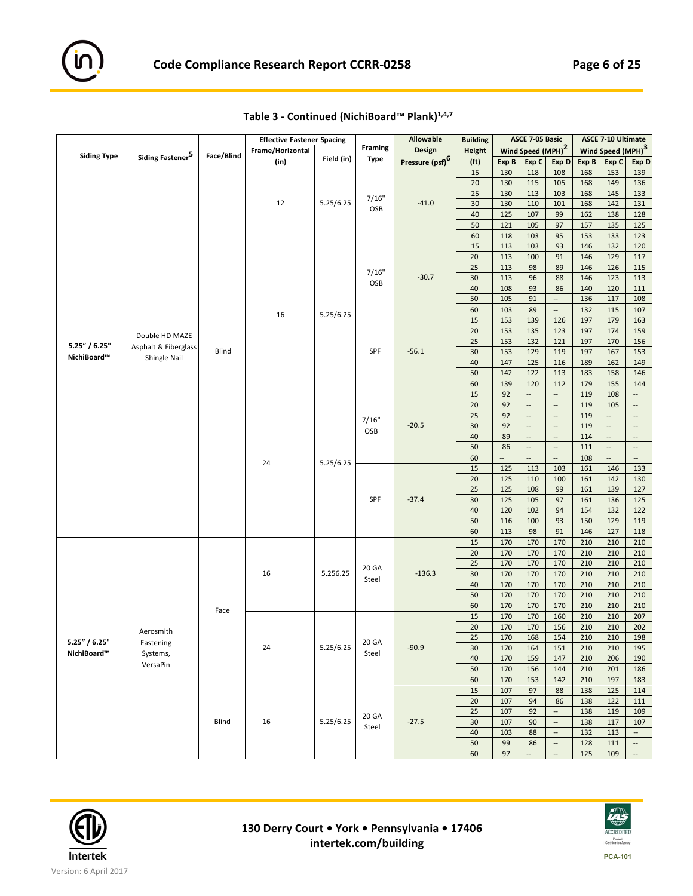

|                                                                                    |                              |              | <b>Effective Fastener Spacing</b> |            |                | <b>Allowable</b>            | <b>Building</b>   |                          | ASCE 7-05 Basic               |                          |       | <b>ASCE 7-10 Ultimate</b>     |                          |
|------------------------------------------------------------------------------------|------------------------------|--------------|-----------------------------------|------------|----------------|-----------------------------|-------------------|--------------------------|-------------------------------|--------------------------|-------|-------------------------------|--------------------------|
|                                                                                    |                              |              | Frame/Horizontal                  |            | <b>Framing</b> | <b>Design</b>               | <b>Height</b>     |                          | Wind Speed (MPH) <sup>2</sup> |                          |       | Wind Speed (MPH) <sup>3</sup> |                          |
|                                                                                    | Siding Fastener <sup>5</sup> | Face/Blind   | (in)                              | Field (in) | <b>Type</b>    | Pressure (psf) <sup>6</sup> | (f <sub>t</sub> ) | Exp B                    | Exp C                         | Exp D                    | Exp B | Exp C                         | Exp D                    |
|                                                                                    |                              |              |                                   |            |                |                             | 15                | 130                      | 118                           | 108                      | 168   | 153                           | 139                      |
|                                                                                    |                              |              |                                   |            |                |                             | 20                | 130                      | 115                           | 105                      | 168   | 149                           | 136                      |
|                                                                                    |                              |              |                                   |            |                |                             | 25                | 130                      | 113                           | 103                      | 168   | 145                           | 133                      |
|                                                                                    |                              |              |                                   |            | 7/16"          |                             |                   |                          |                               |                          |       |                               |                          |
| <b>Siding Type</b><br>5.25" / 6.25"<br>NichiBoard™<br>5.25" / 6.25"<br>NichiBoard™ |                              |              | 12                                | 5.25/6.25  | OSB            | $-41.0$                     | 30                | 130                      | 110                           | 101                      | 168   | 142                           | 131                      |
|                                                                                    |                              |              |                                   |            |                |                             | 40                | 125                      | 107                           | 99                       | 162   | 138                           | 128                      |
|                                                                                    |                              |              |                                   |            |                |                             | 50                | 121                      | 105                           | 97                       | 157   | 135                           | 125                      |
|                                                                                    |                              |              |                                   |            |                |                             | 60                | 118                      | 103                           | 95                       | 153   | 133                           | 123                      |
|                                                                                    |                              |              |                                   |            |                |                             | 15                | 113                      | 103                           | 93                       | 146   | 132                           | 120                      |
|                                                                                    |                              |              |                                   |            |                |                             | 20                | 113                      | 100                           | 91                       | 146   | 129                           | 117                      |
|                                                                                    |                              |              |                                   |            |                |                             | 25                | 113                      | 98                            | 89                       | 146   | 126                           | 115                      |
|                                                                                    |                              |              |                                   |            | 7/16"          | $-30.7$                     | 30                | 113                      | 96                            | 88                       | 146   | 123                           | 113                      |
|                                                                                    |                              |              |                                   |            | OSB            |                             | 40                | 108                      | 93                            | 86                       | 140   | 120                           | 111                      |
|                                                                                    |                              |              |                                   |            |                |                             | 50                | 105                      | 91                            | $\overline{\phantom{a}}$ |       |                               |                          |
|                                                                                    |                              |              |                                   |            |                |                             |                   |                          |                               |                          | 136   | 117                           | 108                      |
|                                                                                    |                              |              | 16                                | 5.25/6.25  |                |                             | 60                | 103                      | 89                            | $\overline{\phantom{a}}$ | 132   | 115                           | 107                      |
|                                                                                    |                              |              |                                   |            |                |                             | 15                | 153                      | 139                           | 126                      | 197   | 179                           | 163                      |
|                                                                                    | Double HD MAZE               |              |                                   |            |                |                             | 20                | 153                      | 135                           | 123                      | 197   | 174                           | 159                      |
|                                                                                    | Asphalt & Fiberglass         |              |                                   |            |                |                             | 25                | 153                      | 132                           | 121                      | 197   | 170                           | 156                      |
|                                                                                    |                              | Blind        |                                   |            | SPF            | $-56.1$                     | 30                | 153                      | 129                           | 119                      | 197   | 167                           | 153                      |
|                                                                                    | Shingle Nail                 |              |                                   |            |                |                             | 40                | 147                      | 125                           | 116                      | 189   | 162                           | 149                      |
|                                                                                    |                              |              |                                   |            |                |                             | 50                | 142                      | 122                           | 113                      | 183   | 158                           | 146                      |
|                                                                                    |                              |              |                                   |            |                |                             | 60                | 139                      | 120                           | 112                      | 179   | 155                           | 144                      |
|                                                                                    |                              |              |                                   |            |                |                             | 15                | 92                       | $\overline{\phantom{a}}$      | $\overline{\phantom{a}}$ | 119   | 108                           | --                       |
|                                                                                    |                              |              |                                   |            |                |                             |                   |                          |                               | $\overline{\phantom{a}}$ |       |                               |                          |
|                                                                                    |                              |              |                                   |            |                |                             | 20                | 92                       | $\overline{\phantom{a}}$      |                          | 119   | 105                           | $\cdots$                 |
|                                                                                    |                              |              |                                   |            | 7/16"          |                             | 25                | 92                       | $\overline{\phantom{a}}$      | $\overline{\phantom{a}}$ | 119   | $\overline{\phantom{a}}$      | $\overline{\phantom{a}}$ |
|                                                                                    |                              |              |                                   |            | OSB            | $-20.5$                     | 30                | 92                       | $\overline{\phantom{a}}$      | $\overline{\phantom{a}}$ | 119   | $\overline{\phantom{a}}$      | $\overline{\phantom{a}}$ |
|                                                                                    |                              |              |                                   |            |                |                             | 40                | 89                       | $\overline{\phantom{a}}$      | $\overline{\phantom{a}}$ | 114   | $\overline{\phantom{a}}$      | $\overline{\phantom{a}}$ |
|                                                                                    |                              |              |                                   |            |                |                             | 50                | 86                       | --                            | $\overline{\phantom{a}}$ | 111   | $\overline{\phantom{a}}$      | $\overline{\phantom{a}}$ |
|                                                                                    |                              |              |                                   |            |                |                             | 60                | $\overline{\phantom{a}}$ |                               | $\overline{\phantom{a}}$ | 108   | $\overline{\phantom{a}}$      | $\overline{\phantom{a}}$ |
|                                                                                    |                              |              | 24                                | 5.25/6.25  |                |                             | 15                | 125                      | 113                           | 103                      | 161   | 146                           | 133                      |
|                                                                                    |                              |              |                                   |            |                |                             | 20                | 125                      | 110                           | 100                      | 161   | 142                           | 130                      |
|                                                                                    |                              |              |                                   |            |                |                             | 25                | 125                      | 108                           | 99                       | 161   | 139                           | 127                      |
|                                                                                    |                              |              |                                   |            | SPF            | $-37.4$                     | 30                | 125                      | 105                           | 97                       | 161   | 136                           | 125                      |
|                                                                                    |                              |              |                                   |            |                |                             | 40                | 120                      | 102                           | 94                       | 154   | 132                           | 122                      |
|                                                                                    |                              |              |                                   |            |                |                             |                   |                          |                               |                          |       | 129                           | 119                      |
|                                                                                    |                              |              |                                   |            |                |                             | 50                | 116                      | 100                           | 93                       | 150   |                               |                          |
|                                                                                    |                              |              |                                   |            |                |                             | 60                | 113                      | 98                            | 91                       | 146   | 127                           | 118                      |
|                                                                                    |                              |              |                                   |            |                |                             | 15                | 170                      | 170                           | 170                      | 210   | 210                           | 210                      |
|                                                                                    |                              |              |                                   |            |                |                             | 20                | 170                      | 170                           | 170                      | 210   | 210                           | 210                      |
|                                                                                    |                              |              |                                   |            | 20 GA          |                             | 25                | 170                      | 170                           | 170                      | 210   | 210                           | 210                      |
|                                                                                    |                              |              | 16                                | 5.256.25   |                | $-136.3$                    | 30                | 170                      | 170                           | 170                      | 210   | 210                           | 210                      |
|                                                                                    |                              |              |                                   |            | Steel          |                             | 40                | 170                      | 170                           | 170                      | 210   | 210                           | 210                      |
|                                                                                    |                              |              |                                   |            |                |                             | 50                | 170                      | 170                           | 170                      | 210   | 210                           | 210                      |
|                                                                                    |                              |              |                                   |            |                |                             | 60                | 170                      | 170                           | 170                      | 210   | 210                           | 210                      |
|                                                                                    |                              | Face         |                                   |            |                |                             | 15                | 170                      | 170                           | 160                      | 210   | 210                           | 207                      |
|                                                                                    |                              |              |                                   |            |                |                             | 20                | 170                      | 170                           | 156                      | 210   | 210                           | 202                      |
|                                                                                    | Aerosmith                    |              |                                   |            |                |                             |                   |                          |                               |                          |       |                               |                          |
|                                                                                    | Fastening                    |              |                                   |            | 20 GA          |                             | 25                | 170                      | 168                           | 154                      | 210   | 210                           | 198                      |
|                                                                                    | Systems,                     |              | 24                                | 5.25/6.25  | Steel          | $-90.9$                     | 30                | 170                      | 164                           | 151                      | 210   | 210                           | 195                      |
|                                                                                    | VersaPin                     |              |                                   |            |                |                             | 40                | 170                      | 159                           | 147                      | 210   | 206                           | 190                      |
|                                                                                    |                              |              |                                   |            |                |                             | 50                | 170                      | 156                           | 144                      | 210   | 201                           | 186                      |
|                                                                                    |                              |              |                                   |            |                |                             | 60                | 170                      | 153                           | 142                      | 210   | 197                           | 183                      |
|                                                                                    |                              |              |                                   |            |                |                             | 15                | 107                      | 97                            | 88                       | 138   | 125                           | 114                      |
|                                                                                    |                              |              |                                   |            |                |                             | 20                | 107                      | 94                            | 86                       | 138   | 122                           | 111                      |
|                                                                                    |                              |              |                                   |            |                |                             | 25                | 107                      | 92                            | $\ldots$                 | 138   | 119                           | 109                      |
|                                                                                    |                              | <b>Blind</b> | 16                                | 5.25/6.25  | 20 GA          | $-27.5$                     | 30                | 107                      | 90                            | $\overline{\phantom{a}}$ | 138   | 117                           | 107                      |
|                                                                                    |                              |              |                                   |            | Steel          |                             |                   |                          |                               |                          |       |                               |                          |
|                                                                                    |                              |              |                                   |            |                |                             | 40                | 103                      | 88                            | $\overline{\phantom{a}}$ | 132   | 113                           | $\overline{\phantom{a}}$ |
|                                                                                    |                              |              |                                   |            |                |                             | 50                | 99                       | 86                            | $\overline{\phantom{a}}$ | 128   | 111                           | $\overline{\phantom{a}}$ |
|                                                                                    |                              |              |                                   |            |                |                             | 60                | 97                       | $\overline{\phantom{a}}$      | $\overline{\phantom{a}}$ | 125   | 109                           | $\overline{\phantom{a}}$ |

| Table 3 - Continued (NichiBoard™ Plank) <sup>1,4,7</sup> |  |
|----------------------------------------------------------|--|
|                                                          |  |



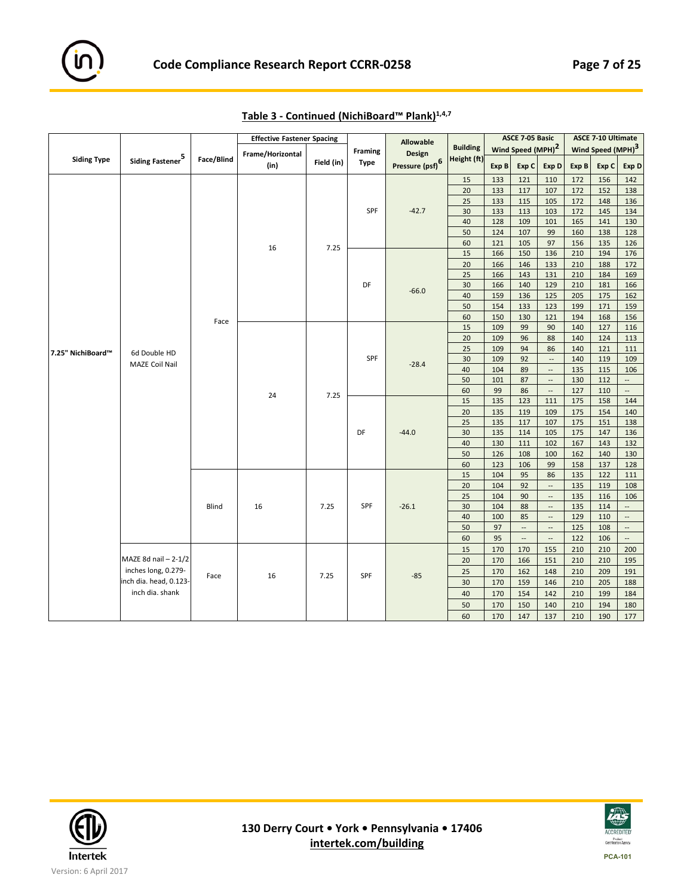

|                    |                              |            | <b>Effective Fastener Spacing</b> |            |                | <b>Allowable</b>            |                 |            | ASCE 7-05 Basic               |                          |            | <b>ASCE 7-10 Ultimate</b>     |                          |
|--------------------|------------------------------|------------|-----------------------------------|------------|----------------|-----------------------------|-----------------|------------|-------------------------------|--------------------------|------------|-------------------------------|--------------------------|
|                    |                              |            | Frame/Horizontal                  |            | <b>Framing</b> | <b>Design</b>               | <b>Building</b> |            | Wind Speed (MPH) <sup>2</sup> |                          |            | Wind Speed (MPH) <sup>3</sup> |                          |
| <b>Siding Type</b> | Siding Fastener <sup>5</sup> | Face/Blind | (in)                              | Field (in) | <b>Type</b>    | Pressure (psf) <sup>6</sup> | Height (ft)     | Exp B      | Exp C                         | Exp D                    | Exp B      | Exp C                         | Exp D                    |
|                    |                              |            |                                   |            |                |                             | 15              | 133        | 121                           | 110                      | 172        | 156                           | 142                      |
|                    |                              |            |                                   |            |                |                             | 20              | 133        | 117                           | 107                      | 172        | 152                           | 138                      |
|                    |                              |            |                                   |            |                |                             | 25              | 133        | 115                           | 105                      | 172        | 148                           | 136                      |
|                    |                              |            |                                   |            | SPF            | $-42.7$                     | 30              | 133        | 113                           | 103                      | 172        | 145                           | 134                      |
|                    |                              |            |                                   |            |                |                             | 40              | 128        | 109                           | 101                      | 165        | 141                           | 130                      |
|                    |                              |            |                                   |            |                |                             | 50              | 124        | 107                           | 99                       | 160        | 138                           | 128                      |
|                    |                              |            | 16                                | 7.25       |                |                             | 60              | 121        | 105                           | 97                       | 156        | 135                           | 126                      |
|                    |                              |            |                                   |            |                |                             | 15              | 166        | 150                           | 136                      | 210        | 194                           | 176                      |
|                    |                              |            |                                   |            |                |                             | 20              | 166        | 146                           | 133                      | 210        | 188                           | 172                      |
|                    |                              |            |                                   |            | DF             |                             | 25              | 166        | 143                           | 131                      | 210        | 184                           | 169                      |
|                    |                              |            |                                   |            |                | $-66.0$                     | 30              | 166<br>159 | 140                           | 129                      | 210        | 181                           | 166                      |
|                    |                              |            |                                   |            |                |                             | 40<br>50        | 154        | 136<br>133                    | 125<br>123               | 205<br>199 | 175<br>171                    | 162<br>159               |
| 7.25" NichiBoard™  |                              |            |                                   |            |                |                             | 60              | 150        | 130                           | 121                      | 194        | 168                           | 156                      |
|                    |                              | Face       |                                   |            |                |                             | 15              | 109        | 99                            | 90                       | 140        | 127                           | 116                      |
|                    |                              |            |                                   |            |                |                             | 20              | 109        | 96                            | 88                       | 140        | 124                           | 113                      |
|                    |                              |            |                                   |            |                |                             | 25              | 109        | 94                            | 86                       | 140        | 121                           | 111                      |
|                    | 6d Double HD                 |            |                                   |            | SPF            |                             | 30              | 109        | 92                            | $\overline{\phantom{a}}$ | 140        | 119                           | 109                      |
|                    | MAZE Coil Nail               |            |                                   |            |                | $-28.4$                     | 40              | 104        | 89                            | $\overline{\phantom{a}}$ | 135        | 115                           | 106                      |
|                    |                              | 24         |                                   |            |                |                             | 50              | 101        | 87                            | $\overline{\phantom{a}}$ | 130        | 112                           | $\overline{\phantom{a}}$ |
|                    |                              |            |                                   |            |                |                             | 60              | 99         | 86                            | $\overline{\phantom{a}}$ | 127        | 110                           | $\overline{\phantom{a}}$ |
|                    |                              |            | 7.25                              |            |                | 15                          | 135             | 123        | 111                           | 175                      | 158        | 144                           |                          |
|                    |                              |            |                                   |            |                |                             | 20              | 135        | 119                           | 109                      | 175        | 154                           | 140                      |
|                    |                              |            |                                   |            |                |                             | 25              | 135        | 117                           | 107                      | 175        | 151                           | 138                      |
|                    |                              |            |                                   |            | DF             | $-44.0$                     | 30              | 135        | 114                           | 105                      | 175        | 147                           | 136                      |
|                    |                              |            |                                   |            |                |                             | 40              | 130        | 111                           | 102                      | 167        | 143                           | 132                      |
|                    |                              |            |                                   |            |                |                             | 50              | 126        | 108                           | 100                      | 162        | 140                           | 130                      |
|                    |                              |            |                                   |            |                |                             | 60              | 123        | 106                           | 99                       | 158        | 137                           | 128                      |
|                    |                              |            |                                   |            |                |                             | 15              | 104        | 95                            | 86                       | 135        | 122                           | 111                      |
|                    |                              |            |                                   |            |                |                             | 20              | 104        | 92                            | $\overline{\phantom{a}}$ | 135        | 119                           | 108                      |
|                    |                              |            |                                   |            |                |                             | 25              | 104        | 90                            | $\overline{\phantom{a}}$ | 135        | 116                           | 106                      |
|                    |                              | Blind      | 16                                | 7.25       | <b>SPF</b>     | $-26.1$                     | 30              | 104        | 88                            | $\overline{\phantom{a}}$ | 135        | 114                           | $\cdots$                 |
|                    |                              |            |                                   |            |                |                             | 40              | 100        | 85                            | $\overline{\phantom{a}}$ | 129        | 110                           | $\overline{\phantom{a}}$ |
|                    |                              |            |                                   |            |                |                             | 50              | 97         | --                            | --                       | 125        | 108                           | $\cdots$                 |
|                    |                              |            |                                   |            |                |                             | 60              | 95         | --                            | $\overline{\phantom{a}}$ | 122        | 106                           | $\overline{\phantom{a}}$ |
|                    |                              |            |                                   |            |                |                             | 15              | 170        | 170                           | 155                      | 210        | 210                           | 200                      |
|                    | MAZE 8d nail $-2-1/2$        |            |                                   |            |                |                             | 20              | 170        | 166                           | 151                      | 210        | 210                           | 195                      |
|                    | inches long, 0.279-          | Face       | 16                                | 7.25       | SPF            | $-85$                       | 25              | 170        | 162                           | 148                      | 210        | 209                           | 191                      |
|                    | inch dia. head, 0.123-       |            |                                   |            |                |                             | 30              | 170        | 159                           | 146                      | 210        | 205                           | 188                      |
|                    | inch dia. shank              |            |                                   |            |                |                             | 40              | 170        | 154                           | 142                      | 210        | 199                           | 184                      |
|                    |                              |            |                                   |            |                |                             | 50              | 170        | 150                           | 140                      | 210        | 194                           | 180                      |
|                    |                              |            |                                   |            |                |                             | 60              | 170        | 147                           | 137                      | 210        | 190                           | 177                      |

**Table 3 ‐ Continued (NichiBoard™ Plank)1,4,7**



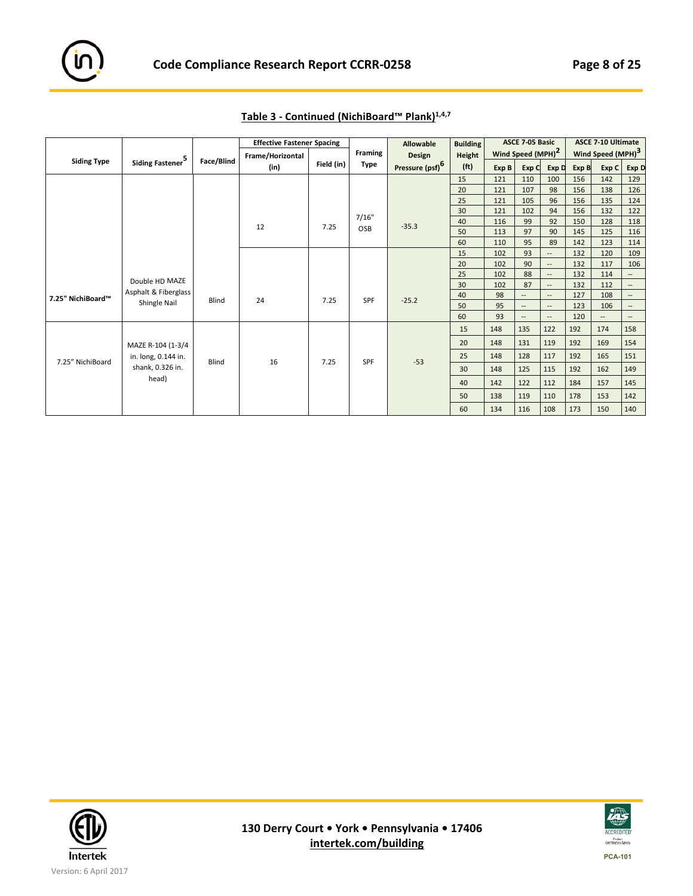

|                    |                              |            | <b>Effective Fastener Spacing</b> |            |                | <b>Allowable</b>            | <b>Building</b>   |       | ASCE 7-05 Basic               |                          |       | <b>ASCE 7-10 Ultimate</b>     |                          |
|--------------------|------------------------------|------------|-----------------------------------|------------|----------------|-----------------------------|-------------------|-------|-------------------------------|--------------------------|-------|-------------------------------|--------------------------|
|                    |                              |            | Frame/Horizontal                  |            | <b>Framing</b> | Design                      | Height            |       | Wind Speed (MPH) <sup>2</sup> |                          |       | Wind Speed (MPH) <sup>3</sup> |                          |
| <b>Siding Type</b> | Siding Fastener <sup>5</sup> | Face/Blind | (in)                              | Field (in) | Type           | Pressure (psf) <sup>6</sup> | (f <sup>t</sup> ) | Exp B | Exp C                         | Exp D                    | Exp B | Exp C                         | Exp D                    |
|                    |                              |            |                                   |            |                |                             | 15                | 121   | 110                           | 100                      | 156   | 142                           | 129                      |
|                    |                              |            |                                   |            |                |                             | 20                | 121   | 107                           | 98                       | 156   | 138                           | 126                      |
|                    |                              |            |                                   |            |                |                             | 25                | 121   | 105                           | 96                       | 156   | 135                           | 124                      |
|                    |                              |            |                                   |            |                |                             | 30                | 121   | 102                           | 94                       | 156   | 132                           | 122                      |
|                    |                              |            | 12                                | 7.25       | 7/16"          | $-35.3$                     | 40                | 116   | 99                            | 92                       | 150   | 128                           | 118                      |
|                    |                              |            |                                   |            | OSB            |                             | 50                | 113   | 97                            | 90                       | 145   | 125                           | 116                      |
|                    |                              |            |                                   |            |                |                             | 60                | 110   | 95                            | 89                       | 142   | 123                           | 114                      |
|                    |                              |            |                                   |            |                |                             | 15                | 102   | 93                            | $\overline{\phantom{a}}$ | 132   | 120                           | 109                      |
|                    |                              |            |                                   |            |                |                             | 20                | 102   | 90                            | $\qquad \qquad \cdots$   | 132   | 117                           | 106                      |
|                    | Double HD MAZE               |            |                                   |            |                |                             | 25                | 102   | 88                            | $\overline{\phantom{a}}$ | 132   | 114                           | --                       |
|                    |                              |            |                                   |            |                |                             | 30                | 102   | 87                            | $\qquad \qquad \cdots$   | 132   | 112                           | $\overline{\phantom{a}}$ |
| 7.25" NichiBoard™  | Asphalt & Fiberglass         | Blind      | 24                                | 7.25       | SPF            | $-25.2$                     | 40                | 98    | $\qquad \qquad -$             | $\overline{\phantom{a}}$ | 127   | 108                           | $\overline{\phantom{a}}$ |
|                    | Shingle Nail                 |            |                                   |            |                |                             | 50                | 95    | $\overline{\phantom{a}}$      | $\overline{\phantom{a}}$ | 123   | 106                           | $\overline{\phantom{a}}$ |
|                    |                              |            |                                   |            |                |                             | 60                | 93    | $\overline{\phantom{a}}$      | $\qquad \qquad \cdots$   | 120   | $\qquad \qquad -$             | $\overline{\phantom{a}}$ |
|                    |                              |            |                                   |            |                |                             | 15                | 148   | 135                           | 122                      | 192   | 174                           | 158                      |
|                    | MAZE R-104 (1-3/4            |            |                                   |            |                |                             | 20                | 148   | 131                           | 119                      | 192   | 169                           | 154                      |
|                    | in. long, 0.144 in.          | Blind      | 16                                | 7.25       | SPF            | $-53$                       | 25                | 148   | 128                           | 117                      | 192   | 165                           | 151                      |
| 7.25" NichiBoard   | shank, 0.326 in.             |            |                                   |            |                |                             | 30                | 148   | 125                           | 115                      | 192   | 162                           | 149                      |
|                    | head)                        |            |                                   |            |                |                             | 40                | 142   | 122                           | 112                      | 184   | 157                           | 145                      |
|                    |                              |            |                                   |            |                |                             | 50                | 138   | 119                           | 110                      | 178   | 153                           | 142                      |
|                    |                              |            |                                   |            |                |                             | 60                | 134   | 116                           | 108                      | 173   | 150                           | 140                      |

**Table 3 ‐ Continued (NichiBoard™ Plank)1,4,7** 



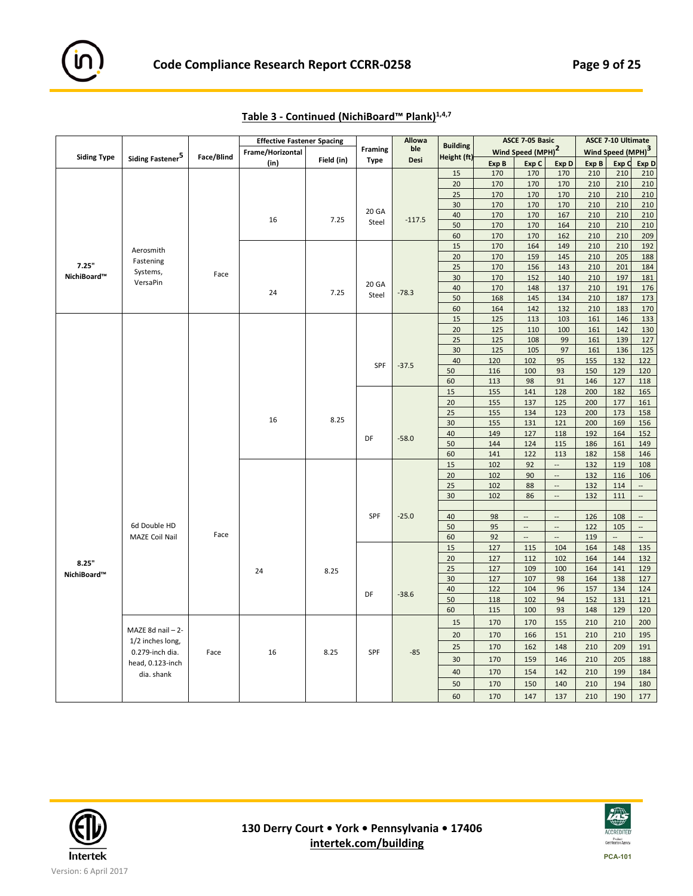

|                    |                              |            | <b>Effective Fastener Spacing</b> |            |             | <b>Allowa</b> |                 |       | ASCE 7-05 Basic               |                          |       | <b>ASCE 7-10 Ultimate</b>     |                           |
|--------------------|------------------------------|------------|-----------------------------------|------------|-------------|---------------|-----------------|-------|-------------------------------|--------------------------|-------|-------------------------------|---------------------------|
|                    |                              |            | Frame/Horizontal                  |            | Framing     | ble           | <b>Building</b> |       | Wind Speed (MPH) <sup>2</sup> |                          |       | Wind Speed (MPH) <sup>3</sup> |                           |
| <b>Siding Type</b> | Siding Fastener <sup>5</sup> | Face/Blind | (in)                              | Field (in) | <b>Type</b> | Desi          | Height (ft)     | Exp B | Exp C                         | Exp D                    | Exp B | Exp C                         | Exp D                     |
|                    |                              |            |                                   |            |             |               | 15              | 170   | 170                           | 170                      | 210   | 210                           | 210                       |
|                    |                              |            |                                   |            |             |               | 20              | 170   | 170                           | 170                      | 210   | 210                           | 210                       |
|                    |                              |            |                                   |            |             |               | 25              | 170   | 170                           | 170                      | 210   | 210                           | 210                       |
|                    |                              |            |                                   |            |             |               | 30              | 170   | 170                           | 170                      | 210   | 210                           | 210                       |
|                    |                              |            |                                   |            | 20 GA       |               | 40              | 170   | 170                           | 167                      | 210   | 210                           | 210                       |
|                    |                              |            | 16                                | 7.25       | Steel       | $-117.5$      | 50              | 170   | 170                           | 164                      | 210   | 210                           | 210                       |
|                    |                              |            |                                   |            |             |               | 60              | 170   | 170                           | 162                      | 210   | 210                           | 209                       |
|                    |                              |            |                                   |            |             |               | 15              | 170   | 164                           | 149                      | 210   | 210                           | 192                       |
|                    | Aerosmith                    |            |                                   |            |             |               | 20              | 170   | 159                           | 145                      | 210   | 205                           | 188                       |
| 7.25"              | Fastening                    |            |                                   |            |             |               | 25              | 170   | 156                           | 143                      | 210   | 201                           | 184                       |
| NichiBoard™        | Systems,                     | Face       |                                   |            |             |               | 30              | 170   | 152                           | 140                      | 210   | 197                           | 181                       |
|                    | VersaPin                     |            |                                   |            | 20 GA       |               | 40              | 170   | 148                           | 137                      | 210   | 191                           | 176                       |
|                    |                              |            | 24                                | 7.25       | Steel       | $-78.3$       | 50              | 168   | 145                           | 134                      | 210   | 187                           | 173                       |
|                    |                              |            |                                   |            |             |               | 60              | 164   | 142                           | 132                      | 210   | 183                           | 170                       |
|                    |                              |            |                                   |            |             |               | 15              | 125   | 113                           | 103                      | 161   | 146                           | 133                       |
|                    |                              |            |                                   |            |             |               | 20              | 125   | 110                           | 100                      | 161   | 142                           | 130                       |
|                    |                              |            |                                   |            |             |               | 25              | 125   | 108                           | 99                       | 161   | 139                           | 127                       |
|                    |                              |            |                                   |            |             |               | 30              | 125   | 105                           | 97                       | 161   | 136                           | 125                       |
|                    |                              |            |                                   |            |             |               | 40              | 120   | 102                           | 95                       | 155   | 132                           | 122                       |
|                    |                              |            |                                   |            | SPF         | $-37.5$       | 50              | 116   | 100                           | 93                       | 150   | 129                           | 120                       |
|                    |                              |            |                                   |            |             |               | 60              | 113   | 98                            | 91                       | 146   | 127                           | 118                       |
|                    |                              |            |                                   |            |             |               | 15              | 155   | 141                           | 128                      | 200   | 182                           | 165                       |
|                    |                              |            |                                   |            |             |               | 20              | 155   | 137                           | 125                      | 200   | 177                           | 161                       |
|                    |                              |            |                                   |            |             |               | 25              | 155   | 134                           | 123                      | 200   | 173                           | 158                       |
|                    |                              |            | 16                                | 8.25       |             |               | 30              | 155   | 131                           | 121                      | 200   | 169                           | 156                       |
|                    |                              |            |                                   |            |             |               | 40              | 149   | 127                           | 118                      | 192   | 164                           | 152                       |
|                    |                              |            |                                   |            | DF          | $-58.0$       | 50              | 144   | 124                           | 115                      | 186   | 161                           | 149                       |
|                    |                              |            |                                   |            |             |               | 60              | 141   | 122                           | 113                      | 182   | 158                           | 146                       |
|                    |                              |            |                                   |            |             |               | 15              | 102   | 92                            | $\overline{\phantom{a}}$ | 132   | 119                           | 108                       |
|                    |                              |            |                                   |            |             |               | 20              | 102   | 90                            | $\overline{\phantom{a}}$ | 132   | 116                           | 106                       |
|                    |                              |            |                                   |            |             |               | 25              | 102   | 88                            | $\sim$                   | 132   | 114                           |                           |
|                    |                              |            |                                   |            |             |               | 30              | 102   | 86                            | $\overline{\phantom{a}}$ | 132   | 111                           | $\mathbb{Z}^{\mathbb{Z}}$ |
|                    |                              |            |                                   |            |             |               |                 |       |                               |                          |       |                               |                           |
|                    |                              |            |                                   |            | SPF         | $-25.0$       | 40              | 98    | $\overline{\phantom{a}}$      | $\overline{\phantom{a}}$ | 126   | 108                           | $\cdots$                  |
|                    | 6d Double HD                 |            |                                   |            |             |               | 50              | 95    | $\overline{\phantom{a}}$      | $\overline{\phantom{a}}$ | 122   | 105                           | $\overline{\phantom{a}}$  |
|                    | MAZE Coil Nail               | Face       |                                   |            |             |               | 60              | 92    | $\overline{\phantom{a}}$      | $\overline{\phantom{a}}$ | 119   | $\overline{\phantom{a}}$      | $\overline{\phantom{a}}$  |
|                    |                              |            |                                   |            |             |               | 15              | 127   | 115                           | 104                      | 164   | 148                           | 135                       |
|                    |                              |            |                                   |            |             |               | 20              | 127   | 112                           | 102                      | 164   | 144                           | 132                       |
| 8.25"              |                              |            |                                   |            |             |               | 25              | 127   | 109                           | 100                      | 164   | 141                           | 129                       |
| NichiBoard™        |                              |            | 24                                | 8.25       |             |               | 30              | 127   | 107                           | 98                       | 164   | 138                           | 127                       |
|                    |                              |            |                                   |            |             |               | 40              | 122   | 104                           | 96                       | 157   | 134                           | 124                       |
|                    |                              |            |                                   |            | DF          | $-38.6$       | 50              | 118   | 102                           | 94                       | 152   | 131                           | 121                       |
|                    |                              |            |                                   |            |             |               | 60              | 115   | 100                           | 93                       | 148   | 129                           | 120                       |
|                    |                              |            |                                   |            |             |               |                 |       |                               |                          |       |                               |                           |
|                    | MAZE 8d nail - 2-            |            |                                   |            |             |               | 15              | 170   | 170                           | 155                      | 210   | 210                           | 200                       |
|                    | 1/2 inches long,             |            |                                   |            |             |               | 20              | 170   | 166                           | 151                      | 210   | 210                           | 195                       |
|                    | 0.279-inch dia.              | Face       | 16                                | 8.25       | SPF         | $-85$         | 25              | 170   | 162                           | 148                      | 210   | 209                           | 191                       |
|                    | head, 0.123-inch             |            |                                   |            |             |               | 30              | 170   | 159                           | 146                      | 210   | 205                           | 188                       |
|                    |                              |            |                                   |            |             |               | 40              | 170   | 154                           | 142                      | 210   | 199                           | 184                       |
|                    | dia. shank                   |            |                                   |            |             |               | 50              | 170   | 150                           | 140                      | 210   | 194                           | 180                       |
|                    |                              |            |                                   |            |             |               |                 |       |                               |                          |       |                               |                           |
|                    |                              |            |                                   |            |             |               | 60              | 170   | 147                           | 137                      | 210   | 190                           | 177                       |

**Table 3 ‐ Continued (NichiBoard™ Plank)1,4,7** 



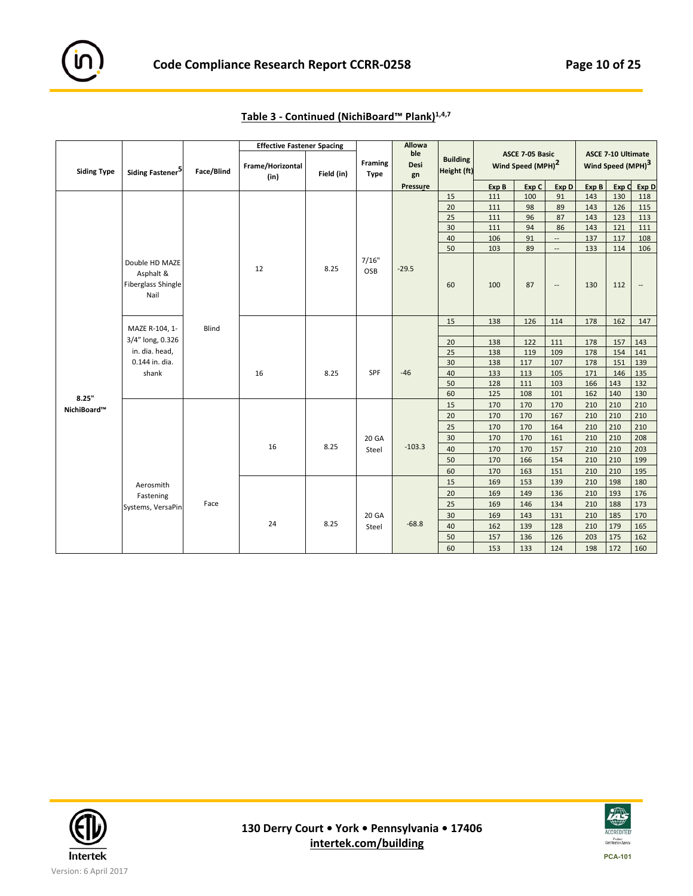|                    |                                                               |            | <b>Effective Fastener Spacing</b> |            |                               | Allowa            |                                |       |                                                  |                          |       |                                                            |                          |
|--------------------|---------------------------------------------------------------|------------|-----------------------------------|------------|-------------------------------|-------------------|--------------------------------|-------|--------------------------------------------------|--------------------------|-------|------------------------------------------------------------|--------------------------|
| <b>Siding Type</b> | Siding Fastener <sup>5</sup>                                  | Face/Blind | Frame/Horizontal<br>(in)          | Field (in) | <b>Framing</b><br><b>Type</b> | ble<br>Desi<br>gn | <b>Building</b><br>Height (ft) |       | ASCE 7-05 Basic<br>Wind Speed (MPH) <sup>2</sup> |                          |       | <b>ASCE 7-10 Ultimate</b><br>Wind Speed (MPH) <sup>3</sup> |                          |
|                    |                                                               |            |                                   |            |                               | Pressure          |                                | Exp B | Exp C                                            | Exp D                    | Exp B | Exp C                                                      | Exp D                    |
|                    |                                                               |            |                                   |            |                               |                   | 15                             | 111   | 100                                              | 91                       | 143   | 130                                                        | 118                      |
|                    |                                                               |            |                                   |            |                               |                   | 20                             | 111   | 98                                               | 89                       | 143   | 126                                                        | 115                      |
|                    |                                                               |            |                                   |            |                               |                   | 25                             | 111   | 96                                               | 87                       | 143   | 123                                                        | 113                      |
|                    |                                                               |            |                                   |            |                               |                   | 30                             | 111   | 94                                               | 86                       | 143   | 121                                                        | 111                      |
|                    |                                                               |            |                                   |            |                               |                   | 40                             | 106   | 91                                               | $\overline{\phantom{a}}$ | 137   | 117                                                        | 108                      |
|                    |                                                               |            |                                   |            |                               |                   | 50                             | 103   | 89                                               | $\overline{\phantom{a}}$ | 133   | 114                                                        | 106                      |
|                    | Double HD MAZE<br>Asphalt &<br>Fiberglass Shingle<br>Nail     |            | 12                                | 8.25       | 7/16"<br>OSB                  | $-29.5$           | 60                             | 100   | 87                                               | $\overline{\phantom{a}}$ | 130   | 112                                                        | $\overline{\phantom{a}}$ |
|                    |                                                               |            |                                   |            |                               |                   | 15                             | 138   | 126                                              | 114                      | 178   | 162                                                        | 147                      |
|                    | MAZE R-104, 1-                                                | Blind      |                                   |            |                               |                   |                                |       |                                                  |                          |       |                                                            |                          |
|                    | 3/4" long, 0.326<br>in. dia. head,<br>0.144 in. dia.<br>shank |            |                                   |            |                               |                   | 20                             | 138   | 122                                              | 111                      | 178   | 157                                                        | 143                      |
|                    |                                                               |            |                                   |            |                               |                   | 25                             | 138   | 119                                              | 109                      | 178   | 154                                                        | 141                      |
|                    |                                                               |            | 16                                |            |                               |                   | 30                             | 138   | 117                                              | 107                      | 178   | 151                                                        | 139                      |
|                    |                                                               |            |                                   | 8.25       | SPF                           | $-46$             | 40                             | 133   | 113                                              | 105                      | 171   | 146                                                        | 135                      |
|                    |                                                               |            |                                   |            |                               |                   | 50                             | 128   | 111                                              | 103                      | 166   | 143                                                        | 132                      |
| 8.25"              |                                                               |            |                                   |            |                               |                   | 60                             | 125   | 108                                              | 101                      | 162   | 140                                                        | 130                      |
| NichiBoard™        |                                                               |            |                                   |            |                               |                   | 15                             | 170   | 170                                              | 170                      | 210   | 210                                                        | 210                      |
|                    |                                                               |            |                                   |            |                               |                   | 20                             | 170   | 170                                              | 167                      | 210   | 210                                                        | 210                      |
|                    |                                                               |            |                                   |            |                               |                   | 25                             | 170   | 170                                              | 164                      | 210   | 210                                                        | 210                      |
|                    |                                                               |            |                                   |            | 20 GA                         |                   | 30                             | 170   | 170                                              | 161                      | 210   | 210                                                        | 208                      |
|                    |                                                               |            | 16                                | 8.25       | Steel                         | $-103.3$          | 40                             | 170   | 170                                              | 157                      | 210   | 210                                                        | 203                      |
|                    |                                                               |            |                                   |            |                               |                   | 50                             | 170   | 166                                              | 154                      | 210   | 210                                                        | 199                      |
|                    |                                                               |            |                                   |            |                               |                   | 60                             | 170   | 163                                              | 151                      | 210   | 210                                                        | 195                      |
|                    | Aerosmith                                                     |            |                                   |            |                               |                   | 15                             | 169   | 153                                              | 139                      | 210   | 198                                                        | 180                      |
|                    | Fastening                                                     |            |                                   |            |                               |                   | 20                             | 169   | 149                                              | 136                      | 210   | 193                                                        | 176                      |
|                    | Systems, VersaPin                                             | Face       |                                   |            |                               |                   | 25                             | 169   | 146                                              | 134                      | 210   | 188                                                        | 173                      |
|                    |                                                               |            |                                   |            | 20 GA                         |                   | 30                             | 169   | 143                                              | 131                      | 210   | 185                                                        | 170                      |
|                    |                                                               |            | 24                                | 8.25       | Steel                         | $-68.8$           | 40                             | 162   | 139                                              | 128                      | 210   | 179                                                        | 165                      |
|                    |                                                               |            |                                   |            |                               |                   | 50                             | 157   | 136                                              | 126                      | 203   | 175                                                        | 162                      |
|                    |                                                               |            |                                   |            |                               |                   | 60                             | 153   | 133                                              | 124                      | 198   | 172                                                        | 160                      |

**Table 3 ‐ Continued (NichiBoard™ Plank)1,4,7** 



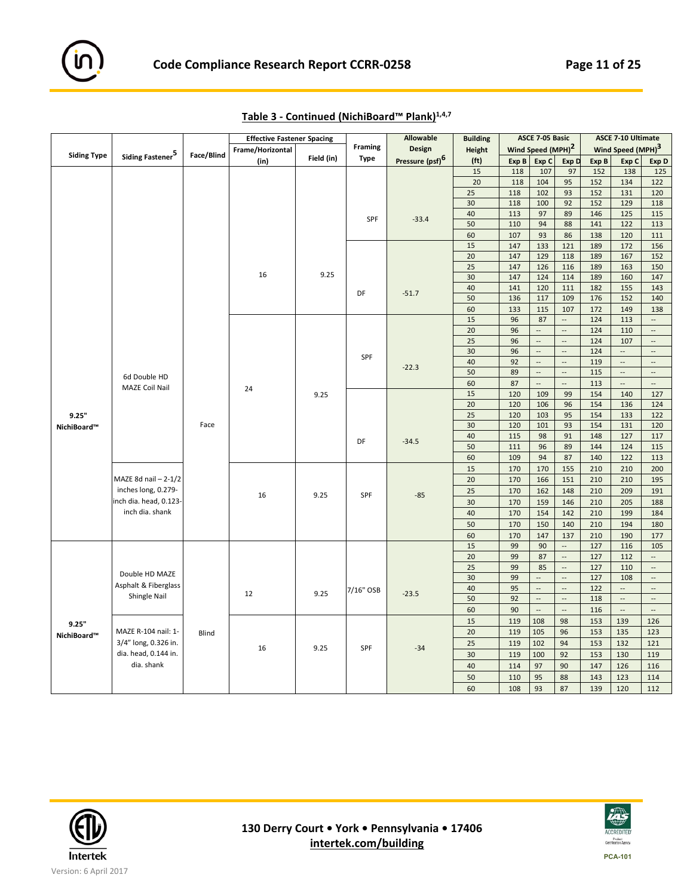

|                    |                              |            | <b>Effective Fastener Spacing</b> |            |             | <b>Allowable</b>            | <b>Building</b>   |       | ASCE 7-05 Basic               |                          |       | <b>ASCE 7-10 Ultimate</b>     |                          |
|--------------------|------------------------------|------------|-----------------------------------|------------|-------------|-----------------------------|-------------------|-------|-------------------------------|--------------------------|-------|-------------------------------|--------------------------|
|                    |                              | Face/Blind | Frame/Horizontal                  |            | Framing     | Design                      | <b>Height</b>     |       | Wind Speed (MPH) <sup>2</sup> |                          |       | Wind Speed (MPH) <sup>3</sup> |                          |
| <b>Siding Type</b> | Siding Fastener <sup>5</sup> |            | (in)                              | Field (in) | <b>Type</b> | Pressure (psf) <sup>6</sup> | (f <sub>t</sub> ) | Exp B | Exp C                         | Exp D                    | Exp B | Exp C                         | Exp D                    |
|                    |                              |            |                                   |            |             |                             | 15                | 118   | 107                           | 97                       | 152   | 138                           | 125                      |
|                    |                              |            |                                   |            |             |                             | 20                | 118   | 104                           | 95                       | 152   | 134                           | 122                      |
|                    |                              |            |                                   |            |             |                             | 25                | 118   | 102                           | 93                       | 152   | 131                           | 120                      |
|                    |                              |            |                                   |            |             |                             | 30                | 118   | 100                           | 92                       | 152   | 129                           | 118                      |
|                    |                              |            |                                   |            | SPF         | $-33.4$                     | 40                | 113   | 97                            | 89                       | 146   | 125                           | 115                      |
|                    |                              |            |                                   |            |             |                             | 50                | 110   | 94                            | 88                       | 141   | 122                           | 113                      |
|                    |                              |            |                                   |            |             |                             | 60                | 107   | 93                            | 86                       | 138   | 120                           | 111                      |
|                    |                              |            |                                   |            |             |                             | 15                | 147   | 133                           | 121                      | 189   | 172                           | 156                      |
|                    |                              |            |                                   |            |             |                             | 20                | 147   | 129                           | 118                      | 189   | 167                           | 152                      |
|                    |                              |            |                                   |            |             |                             | 25                | 147   | 126                           | 116                      | 189   | 163                           | 150                      |
|                    |                              |            | 16                                | 9.25       |             |                             | 30                | 147   | 124                           | 114                      | 189   | 160                           | 147                      |
|                    |                              |            |                                   |            | DF          | $-51.7$                     | 40                | 141   | 120                           | 111                      | 182   | 155                           | 143                      |
|                    |                              |            |                                   |            |             |                             | 50                | 136   | 117                           | 109                      | 176   | 152                           | 140                      |
|                    |                              |            |                                   |            |             |                             | 60                | 133   | 115                           | 107                      | 172   | 149                           | 138                      |
|                    |                              |            |                                   |            |             |                             | 15                | 96    | 87                            | $\overline{\phantom{a}}$ | 124   | 113                           | $\overline{\phantom{a}}$ |
|                    |                              |            |                                   |            |             |                             | 20                | 96    | $\overline{\phantom{a}}$      | $\overline{\phantom{a}}$ | 124   | 110                           | $\overline{\phantom{a}}$ |
|                    |                              |            |                                   |            |             |                             | 25                | 96    | $\ddotsc$                     | $\overline{\phantom{a}}$ | 124   | 107                           | $\overline{\phantom{a}}$ |
|                    |                              |            |                                   |            | SPF         |                             | 30                | 96    | $\overline{\phantom{a}}$      | $\overline{\phantom{a}}$ | 124   | $\overline{\phantom{a}}$      | $\overline{\phantom{a}}$ |
|                    |                              |            |                                   |            |             | $-22.3$                     | 40                | 92    | $\overline{\phantom{a}}$      | $\overline{\phantom{a}}$ | 119   | $\overline{\phantom{a}}$      | $\overline{\phantom{a}}$ |
|                    | 6d Double HD                 |            |                                   |            |             |                             | 50                | 89    | $\overline{\phantom{a}}$      | $\overline{\phantom{a}}$ | 115   | $\overline{\phantom{a}}$      | $\overline{\phantom{a}}$ |
|                    | <b>MAZE Coil Nail</b>        |            | 24                                |            |             |                             | 60                | 87    | $\overline{\phantom{a}}$      | $\overline{\phantom{a}}$ | 113   | $\mathbb{Z}^2$                | $\overline{\phantom{a}}$ |
| 9.25"              |                              |            |                                   | 9.25       |             |                             | 15                | 120   | 109                           | 99                       | 154   | 140                           | 127                      |
|                    |                              |            |                                   |            |             |                             | 20                | 120   | 106                           | 96                       | 154   | 136                           | 124                      |
|                    |                              |            |                                   |            |             |                             | 25                | 120   | 103                           | 95                       | 154   | 133                           | 122                      |
| NichiBoard™        |                              | Face       |                                   |            | DF          |                             | 30                | 120   | 101                           | 93                       | 154   | 131                           | 120                      |
|                    |                              |            |                                   |            |             | $-34.5$                     | 40                | 115   | 98                            | 91                       | 148   | 127                           | 117                      |
|                    |                              |            |                                   |            |             |                             | 50                | 111   | 96                            | 89                       | 144   | 124                           | 115                      |
|                    |                              |            |                                   |            |             |                             | 60                | 109   | 94                            | 87                       | 140   | 122                           | 113                      |
|                    |                              |            |                                   |            |             |                             | 15                | 170   | 170                           | 155                      | 210   | 210                           | 200                      |
|                    | MAZE 8d nail - 2-1/2         |            |                                   |            |             |                             | 20                | 170   | 166                           | 151                      | 210   | 210                           | 195                      |
|                    | inches long, 0.279-          |            | 16                                | 9.25       | SPF         | $-85$                       | 25                | 170   | 162                           | 148                      | 210   | 209                           | 191                      |
|                    | inch dia. head, 0.123-       |            |                                   |            |             |                             | 30                | 170   | 159                           | 146                      | 210   | 205                           | 188                      |
|                    | inch dia. shank              |            |                                   |            |             |                             | 40                | 170   | 154                           | 142                      | 210   | 199                           | 184                      |
|                    |                              |            |                                   |            |             |                             | 50                | 170   | 150                           | 140                      | 210   | 194                           | 180                      |
|                    |                              |            |                                   |            |             |                             | 60                | 170   | 147                           | 137                      | 210   | 190                           | 177                      |
|                    |                              |            |                                   |            |             |                             | 15                | 99    | 90                            | $\overline{\phantom{a}}$ | 127   | 116                           | 105                      |
|                    |                              |            |                                   |            |             |                             | 20                | 99    | 87                            | $\overline{\phantom{a}}$ | 127   | 112                           | $\overline{\phantom{a}}$ |
|                    | Double HD MAZE               |            |                                   |            |             |                             | 25                | 99    | 85                            | $\Box$                   | 127   | 110                           | $\overline{\phantom{a}}$ |
|                    |                              |            |                                   |            |             |                             | 30                | 99    | $\ddotsc$                     | $\cdots$                 | 127   | 108                           | $\overline{\phantom{a}}$ |
|                    | Asphalt & Fiberglass         |            | 12                                | 9.25       | 7/16" OSB   | $-23.5$                     | 40                | 95    | $\ddotsc$                     | $\overline{\phantom{a}}$ | 122   | $\overline{\phantom{a}}$      | $\overline{\phantom{a}}$ |
|                    | Shingle Nail                 |            |                                   |            |             |                             | 50                | 92    | $\overline{\phantom{a}}$      | $\overline{\phantom{a}}$ | 118   | $\overline{\phantom{a}}$      | $\overline{\phantom{a}}$ |
|                    |                              |            |                                   |            |             |                             | 60                | 90    | $\ddot{\phantom{a}}$          | $\overline{a}$           | 116   | $\mathbb{L}$                  | $\overline{\phantom{a}}$ |
| 9.25"              |                              |            |                                   |            |             |                             | 15                | 119   | 108                           | 98                       | 153   | 139                           | 126                      |
| NichiBoard™        | MAZE R-104 nail: 1-          | Blind      |                                   |            |             |                             | 20                | 119   | 105                           | 96                       | 153   | 135                           | 123                      |
|                    | 3/4" long, 0.326 in.         |            | 16                                | 9.25       | SPF         | $-34$                       | 25                | 119   | 102                           | 94                       | 153   | 132                           | 121                      |
|                    | dia. head, 0.144 in.         |            |                                   |            |             |                             | 30                | 119   | 100                           | 92                       | 153   | 130                           | 119                      |
|                    | dia. shank                   |            |                                   |            |             |                             | 40                | 114   | 97                            | 90                       | 147   | 126                           | 116                      |
|                    |                              |            |                                   |            |             |                             | 50                | 110   | 95                            | 88                       | 143   | 123                           | 114                      |
|                    |                              |            |                                   |            |             |                             | 60                | 108   | 93                            | 87                       | 139   | 120                           | 112                      |

**Table 3 ‐ Continued (NichiBoard™ Plank)1,4,7**



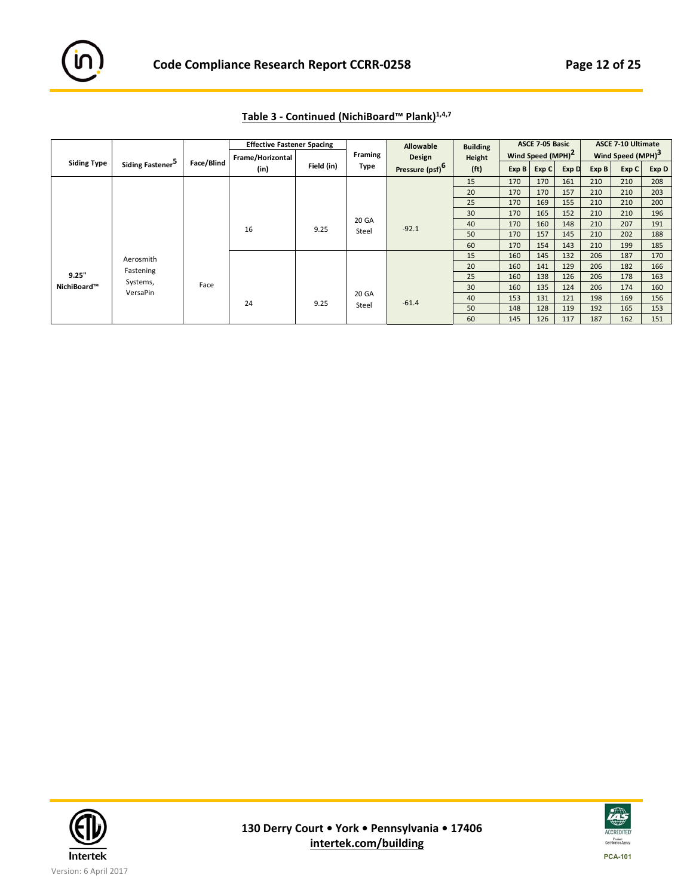

|                    |                              |            | <b>Effective Fastener Spacing</b> |            |                | Allowable                   | <b>Building</b>   |       | ASCE 7-05 Basic               |       |       | <b>ASCE 7-10 Ultimate</b>     |       |     |
|--------------------|------------------------------|------------|-----------------------------------|------------|----------------|-----------------------------|-------------------|-------|-------------------------------|-------|-------|-------------------------------|-------|-----|
|                    |                              |            | Frame/Horizontal                  |            | <b>Framing</b> | Design                      | Height            |       | Wind Speed (MPH) <sup>2</sup> |       |       | Wind Speed (MPH) <sup>3</sup> |       |     |
| <b>Siding Type</b> | Siding Fastener <sup>5</sup> | Face/Blind | (in)                              | Field (in) | Type           | Pressure (psf) <sup>6</sup> | (f <sub>t</sub> ) | Exp B | Exp C                         | Exp D | Exp B | Exp C                         | Exp D |     |
|                    |                              |            |                                   |            |                |                             | 15                | 170   | 170                           | 161   | 210   | 210                           | 208   |     |
|                    |                              |            |                                   |            |                |                             | 20                | 170   | 170                           | 157   | 210   | 210                           | 203   |     |
|                    |                              |            |                                   |            |                |                             | 25                | 170   | 169                           | 155   | 210   | 210                           | 200   |     |
|                    |                              |            |                                   |            |                |                             | 30                | 170   | 165                           | 152   | 210   | 210                           | 196   |     |
|                    |                              | 16         |                                   |            | 9.25           | 20 GA                       | $-92.1$           | 40    | 170                           | 160   | 148   | 210                           | 207   | 191 |
|                    |                              |            |                                   |            | Steel          |                             | 50                | 170   | 157                           | 145   | 210   | 202                           | 188   |     |
|                    |                              |            |                                   |            |                |                             | 60                | 170   | 154                           | 143   | 210   | 199                           | 185   |     |
|                    | Aerosmith                    |            |                                   |            |                |                             | 15                | 160   | 145                           | 132   | 206   | 187                           | 170   |     |
|                    | Fastening                    |            |                                   |            |                |                             | 20                | 160   | 141                           | 129   | 206   | 182                           | 166   |     |
| 9.25"              | Systems,                     |            |                                   |            |                |                             | 25                | 160   | 138                           | 126   | 206   | 178                           | 163   |     |
| NichiBoard™        |                              | Face       |                                   |            |                |                             | 30                | 160   | 135                           | 124   | 206   | 174                           | 160   |     |
| VersaPin           |                              |            |                                   |            | 20 GA          |                             | 40                | 153   | 131                           | 121   | 198   | 169                           | 156   |     |
|                    |                              |            | 24                                | 9.25       | Steel          | $-61.4$                     | 50                | 148   | 128                           | 119   | 192   | 165                           | 153   |     |
|                    |                              |            |                                   |            |                | 60                          | 145               | 126   | 117                           | 187   | 162   | 151                           |       |     |

# **Table 3 ‐ Continued (NichiBoard™ Plank)1,4,7**



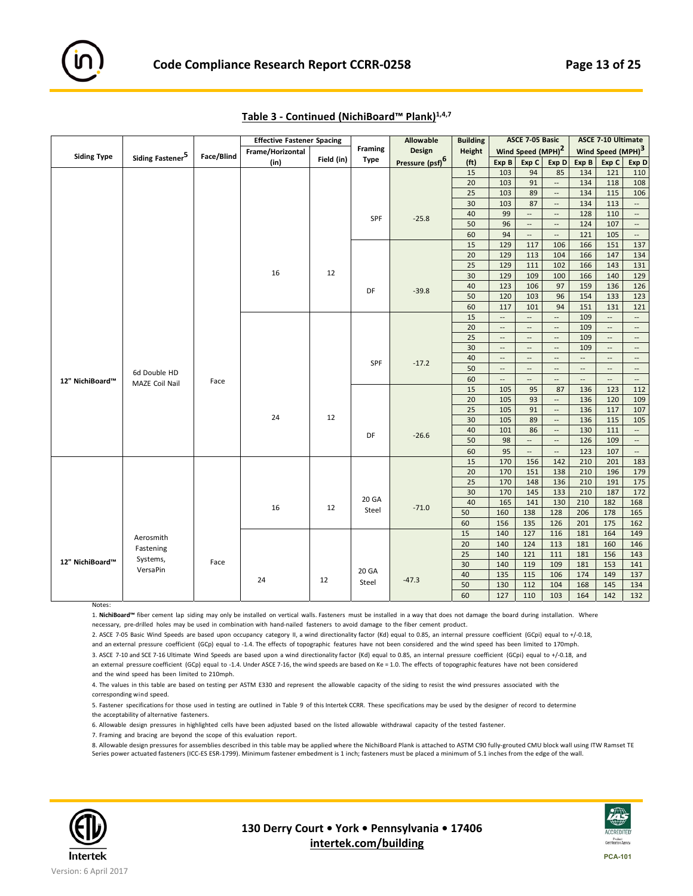|                    |                              |            | <b>Effective Fastener Spacing</b> |            |                | Allowable                   | <b>Building</b>   |                          | ASCE 7-05 Basic               |                          |                          | ASCE 7-10 Ultimate            |                          |
|--------------------|------------------------------|------------|-----------------------------------|------------|----------------|-----------------------------|-------------------|--------------------------|-------------------------------|--------------------------|--------------------------|-------------------------------|--------------------------|
|                    |                              | Face/Blind | Frame/Horizontal                  |            | <b>Framing</b> | Design                      | Height            |                          | Wind Speed (MPH) <sup>2</sup> |                          |                          | Wind Speed (MPH) <sup>3</sup> |                          |
| <b>Siding Type</b> | Siding Fastener <sup>5</sup> |            | (in)                              | Field (in) | Type           | Pressure (psf) <sup>6</sup> | (f <sub>t</sub> ) | Exp B                    | Exp C                         | Exp D                    | Exp B                    | Exp C                         | Exp D                    |
|                    |                              |            |                                   |            |                |                             | 15                | 103                      | 94                            | 85                       | 134                      | 121                           | 110                      |
|                    |                              |            |                                   |            |                |                             | 20                | 103                      | 91                            | $\overline{\phantom{a}}$ | 134                      | 118                           | 108                      |
|                    |                              |            |                                   |            |                |                             | 25                | 103                      | 89                            | $\overline{\phantom{a}}$ | 134                      | 115                           | 106                      |
|                    |                              |            |                                   |            |                |                             | 30                | 103                      | 87                            | $\cdots$                 | 134                      | 113                           | --                       |
|                    |                              |            |                                   |            | SPF            | $-25.8$                     | 40                | 99                       | $\mathbb{L}^2$                | $\overline{\phantom{a}}$ | 128                      | 110                           | $\overline{\phantom{a}}$ |
|                    |                              |            |                                   |            |                |                             | 50                | 96                       | $\overline{\phantom{a}}$      | $\overline{\phantom{a}}$ | 124                      | 107                           | $\overline{\phantom{a}}$ |
|                    |                              |            |                                   |            |                |                             | 60                | 94                       | $\overline{\phantom{a}}$      | $\overline{\phantom{a}}$ | 121                      | 105                           | --                       |
|                    |                              |            |                                   |            |                |                             | 15                | 129                      | 117                           | 106                      | 166                      | 151                           | 137                      |
|                    |                              |            |                                   |            |                |                             | 20                | 129                      | 113                           | 104                      | 166                      | 147                           | 134                      |
|                    |                              |            |                                   |            |                |                             | 25                | 129                      | 111                           | 102                      | 166                      | 143                           | 131                      |
|                    |                              |            | 16                                | 12         |                |                             | 30                | 129                      | 109                           | 100                      | 166                      | 140                           | 129                      |
|                    |                              |            |                                   |            | DF             | $-39.8$                     | 40                | 123                      | 106                           | 97                       | 159                      | 136                           | 126                      |
|                    |                              |            |                                   |            |                |                             | 50                | 120                      | 103                           | 96                       | 154                      | 133                           | 123                      |
|                    |                              |            |                                   |            |                |                             | 60                | 117                      | 101                           | 94                       | 151                      | 131                           | 121                      |
|                    |                              |            |                                   |            |                |                             | 15                | $\overline{\phantom{a}}$ | $\overline{\phantom{a}}$      | $\overline{\phantom{a}}$ | 109                      | $\overline{\phantom{a}}$      | --                       |
|                    |                              |            |                                   |            |                |                             | 20                | $\cdots$                 | $\overline{\phantom{a}}$      | Щ,                       | 109                      | $\overline{\phantom{a}}$      | Ξ.                       |
|                    |                              |            |                                   |            |                |                             | 25                | $\overline{\phantom{a}}$ | $\overline{\phantom{a}}$      | $\overline{\phantom{a}}$ | 109                      | $\overline{\phantom{a}}$      | --                       |
|                    |                              |            |                                   |            |                |                             | 30                | --                       | $\qquad \qquad -$             | $\overline{\phantom{a}}$ | 109                      | $\overline{\phantom{a}}$      | $\overline{\phantom{a}}$ |
|                    |                              |            |                                   |            | SPF            | $-17.2$                     | 40                | $\overline{\phantom{a}}$ | $\sim$                        | $\overline{\phantom{a}}$ | $\overline{\phantom{a}}$ | $\overline{\phantom{a}}$      | $\overline{\phantom{a}}$ |
|                    | 6d Double HD                 |            |                                   |            |                |                             | 50                | $\overline{\phantom{a}}$ | $\overline{\phantom{a}}$      | Ξ.                       | $\overline{\phantom{a}}$ | $\overline{\phantom{a}}$      | Ξ.                       |
|                    |                              | Face       |                                   |            |                |                             | 60                | $\overline{\phantom{a}}$ | $\overline{a}$                | $\overline{a}$           | $\overline{\phantom{a}}$ | $\overline{\phantom{a}}$      | $\overline{\phantom{a}}$ |
| 12" NichiBoard™    | <b>MAZE Coil Nail</b>        |            |                                   |            |                |                             | 15                | 105                      | 95                            | 87                       | 136                      | 123                           | 112                      |
|                    |                              |            |                                   |            |                |                             | 20                | 105                      | 93                            | $\overline{\phantom{a}}$ | 136                      | 120                           | 109                      |
|                    |                              |            |                                   |            |                |                             | 25                | 105                      | 91                            | $\overline{\phantom{a}}$ | 136                      | 117                           | 107                      |
|                    |                              |            | 24                                | 12         |                |                             | 30                | 105                      | 89                            | $\overline{\phantom{a}}$ | 136                      | 115                           | 105                      |
|                    |                              |            |                                   |            | DF             | $-26.6$                     | 40                | 101                      | 86                            | $\overline{\phantom{a}}$ | 130                      | 111                           | $\overline{\phantom{a}}$ |
|                    |                              |            |                                   |            |                |                             | 50                | 98                       | $\mathcal{L}_{\mathcal{A}}$   | $\overline{\phantom{a}}$ | 126                      | 109                           | $\overline{\phantom{a}}$ |
|                    |                              |            |                                   |            |                |                             | 60                | 95                       | $\overline{\phantom{a}}$      | Щ,                       | 123                      | 107                           | $\frac{1}{2}$            |
|                    |                              |            |                                   |            |                |                             | 15                | 170                      | 156                           | 142                      | 210                      | 201                           | 183                      |
|                    |                              |            |                                   |            |                |                             | 20                | 170                      | 151                           | 138                      | 210                      | 196                           | 179                      |
|                    |                              |            |                                   |            |                |                             | 25                | 170                      | 148                           | 136                      | 210                      | 191                           | 175                      |
|                    |                              |            |                                   |            | 20 GA          |                             | 30                | 170                      | 145                           | 133                      | 210                      | 187                           | 172                      |
|                    |                              |            | 16                                | 12         |                | $-71.0$                     | 40                | 165                      | 141                           | 130                      | 210                      | 182                           | 168                      |
|                    |                              |            |                                   |            | Steel          |                             | 50                | 160                      | 138                           | 128                      | 206                      | 178                           | 165                      |
|                    |                              |            |                                   |            |                |                             | 60                | 156                      | 135                           | 126                      | 201                      | 175                           | 162                      |
|                    | Aerosmith                    |            |                                   |            |                |                             | 15                | 140                      | 127                           | 116                      | 181                      | 164                           | 149                      |
|                    | Fastening                    |            |                                   |            |                |                             | $\overline{20}$   | 140                      | 124                           | 113                      | 181                      | 160                           | 146                      |
|                    | Systems,                     |            |                                   |            |                |                             | 25                | 140                      | 121                           | 111                      | 181                      | 156                           | 143                      |
| 12" NichiBoard™    | VersaPin                     | Face       |                                   |            |                |                             | 30                | 140                      | 119                           | 109                      | 181                      | 153                           | 141                      |
|                    |                              |            | 24                                | 12         | 20 GA          | $-47.3$                     | 40                | 135                      | 115                           | 106                      | 174                      | 149                           | 137                      |
|                    |                              |            |                                   |            | Steel          |                             | 50                | 130                      | 112                           | 104                      | 168                      | 145                           | 134                      |
|                    |                              |            |                                   |            |                |                             | 60                | 127                      | 110                           | 103                      | 164                      | 142                           | 132                      |

| Table 3 - Continued (NichiBoard™ Plank) <sup>1,4,7</sup> |
|----------------------------------------------------------|
|----------------------------------------------------------|

1. NichiBoard™ fiber cement lap siding may only be installed on vertical walls. Fasteners must be installed in a way that does not damage the board during installation. Where necessary, pre-drilled holes may be used in combination with hand-nailed fasteners to avoid damage to the fiber cement product.

2. ASCE 7-05 Basic Wind Speeds are based upon occupancy category II, a wind directionality factor (Kd) equal to 0.85, an internal pressure coefficient (GCpi) equal to +/-0.18, and an external pressure coefficient (GCp) equal to -1.4. The effects of topographic features have not been considered and the wind speed has been limited to 170mph.

3. ASCE 7-10 and SCE 7-16 Ultimate Wind Speeds are based upon a wind directionality factor (Kd) equal to 0.85, an internal pressure coefficient (GCpi) equal to +/-0.18, and an external pressure coefficient (GCp) equal to -1.4. Under ASCE 7-16, the wind speeds are based on Ke = 1.0. The effects of topographic features have not been considered and the wind speed has been limited to 210mph.

4. The values in this table are based on testing per ASTM E330 and represent the allowable capacity of the siding to resist the wind pressures associated with the corresponding wind speed.

5. Fastener specifications for those used in testing are outlined in Table 9 of this Intertek CCRR. These specifications may be used by the designer of record to determine the acceptability of alternative fasteners.

6. Allowable design pressures in highlighted cells have been adjusted based on the listed allowable withdrawal capacity of the tested fastener.

7. Framing and bracing are beyond the scope of this evaluation report.

8. Allowable design pressures for assemblies described in this table may be applied where the NichiBoard Plank is attached to ASTM C90 fully‐grouted CMU block wall using ITW Ramset TE Series power actuated fasteners (ICC-ES ESR-1799). Minimum fastener embedment is 1 inch; fasteners must be placed a minimum of 5.1 inches from the edge of the wall.



Notes:

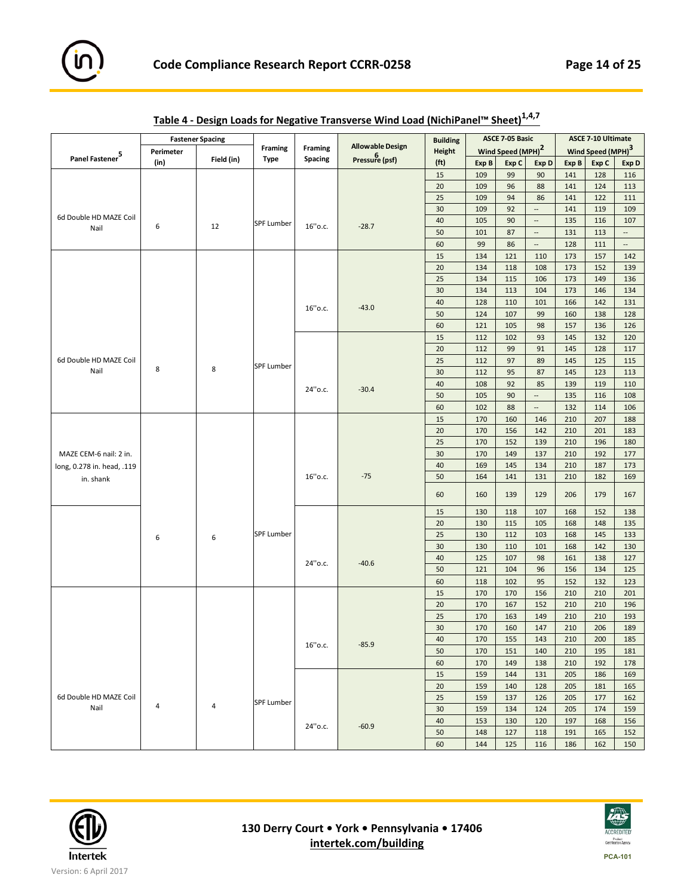

|                             |           | <b>Fastener Spacing</b> |                   |                |                         | <b>Building</b>   |       | <b>ASCE 7-05 Basic</b>        |                          |       | <b>ASCE 7-10 Ultimate</b>     |                          |
|-----------------------------|-----------|-------------------------|-------------------|----------------|-------------------------|-------------------|-------|-------------------------------|--------------------------|-------|-------------------------------|--------------------------|
|                             | Perimeter |                         | <b>Framing</b>    | <b>Framing</b> | <b>Allowable Design</b> | <b>Height</b>     |       | Wind Speed (MPH) <sup>2</sup> |                          |       | Wind Speed (MPH) <sup>3</sup> |                          |
| Panel Fastener <sup>5</sup> | (in)      | Field (in)              | <b>Type</b>       | Spacing        | <b>Pressure (psf)</b>   | (f <sup>t</sup> ) | Exp B | Exp C                         | Exp D                    | Exp B | Exp C                         | Exp D                    |
|                             |           |                         |                   |                |                         | 15                | 109   | 99                            | 90                       | 141   | 128                           | 116                      |
|                             |           |                         |                   |                |                         | 20                | 109   | 96                            | 88                       | 141   | 124                           | 113                      |
|                             |           |                         |                   |                |                         | 25                | 109   | 94                            | 86                       | 141   | 122                           | 111                      |
|                             |           |                         |                   |                |                         | 30                | 109   | 92                            | $\overline{\phantom{a}}$ | 141   | 119                           | 109                      |
| 6d Double HD MAZE Coil      |           |                         | <b>SPF Lumber</b> |                |                         | 40                | 105   | 90                            | $\overline{\phantom{a}}$ | 135   | 116                           | 107                      |
| Nail                        | 6         | 12                      |                   | 16" o.c.       | $-28.7$                 | 50                | 101   | 87                            | $\overline{\phantom{a}}$ | 131   | 113                           | $\overline{\phantom{a}}$ |
|                             |           |                         |                   |                |                         | 60                | 99    | 86                            | $\overline{\phantom{a}}$ | 128   | 111                           | $\overline{\phantom{a}}$ |
|                             |           |                         |                   |                |                         | 15                | 134   | 121                           | 110                      | 173   | 157                           | 142                      |
|                             |           |                         |                   |                |                         | 20                | 134   | 118                           | 108                      | 173   | 152                           | 139                      |
|                             |           |                         |                   |                |                         | 25                | 134   | 115                           | 106                      | 173   | 149                           | 136                      |
|                             |           |                         |                   |                |                         | 30                | 134   | 113                           | 104                      | 173   | 146                           | 134                      |
|                             |           |                         |                   |                |                         | 40                | 128   | 110                           | 101                      | 166   | 142                           | 131                      |
|                             |           |                         |                   | 16" o.c.       | $-43.0$                 | 50                | 124   | 107                           | 99                       | 160   | 138                           | 128                      |
|                             |           |                         |                   |                |                         | 60                | 121   | 105                           | 98                       | 157   | 136                           | 126                      |
|                             |           |                         |                   |                |                         | 15                | 112   | 102                           | 93                       | 145   | 132                           | 120                      |
|                             |           |                         |                   |                |                         | 20                | 112   | 99                            | 91                       | 145   | 128                           | 117                      |
| 6d Double HD MAZE Coil      |           |                         |                   |                |                         |                   |       |                               |                          |       |                               |                          |
| Nail                        | 8         | 8                       | <b>SPF Lumber</b> |                |                         | 25                | 112   | 97                            | 89                       | 145   | 125                           | 115                      |
|                             |           |                         |                   |                |                         | 30<br>40          | 112   | 95<br>92                      | 87<br>85                 | 145   | 123                           | 113<br>110               |
|                             |           |                         |                   | 24" o.c.       | $-30.4$                 |                   | 108   |                               | $\overline{\phantom{a}}$ | 139   | 119                           |                          |
|                             |           |                         |                   |                |                         | 50                | 105   | 90                            |                          | 135   | 116                           | 108                      |
|                             |           |                         |                   |                |                         | 60                | 102   | 88                            | $\overline{\phantom{a}}$ | 132   | 114                           | 106                      |
|                             |           |                         |                   |                |                         | 15                | 170   | 160                           | 146                      | 210   | 207                           | 188                      |
|                             |           |                         |                   |                |                         | 20                | 170   | 156                           | 142                      | 210   | 201                           | 183                      |
|                             |           |                         |                   |                |                         | 25                | 170   | 152                           | 139                      | 210   | 196                           | 180                      |
| MAZE CEM-6 nail: 2 in.      |           |                         |                   |                |                         | 30                | 170   | 149                           | 137                      | 210   | 192                           | 177                      |
| long, 0.278 in. head, .119  |           |                         |                   |                |                         | 40                | 169   | 145                           | 134                      | 210   | 187                           | 173                      |
| in. shank                   |           |                         |                   | 16" o.c.       | $-75$                   | 50                | 164   | 141                           | 131                      | 210   | 182                           | 169                      |
|                             |           |                         |                   |                |                         | 60                | 160   | 139                           | 129                      | 206   | 179                           | 167                      |
|                             |           |                         |                   |                |                         | 15                | 130   | 118                           | 107                      | 168   | 152                           | 138                      |
|                             |           |                         |                   |                |                         | 20                | 130   | 115                           | 105                      | 168   | 148                           | 135                      |
|                             | 6         | 6                       | <b>SPF Lumber</b> |                |                         | 25                | 130   | 112                           | 103                      | 168   | 145                           | 133                      |
|                             |           |                         |                   |                |                         | 30                | 130   | 110                           | 101                      | 168   | 142                           | 130                      |
|                             |           |                         |                   |                | $-40.6$                 | 40                | 125   | 107                           | 98                       | 161   | 138                           | 127                      |
|                             |           |                         |                   | 24" o.c.       |                         | 50                | 121   | 104                           | 96                       | 156   | 134                           | 125                      |
|                             |           |                         |                   |                |                         | 60                | 118   | 102                           | 95                       | 152   | 132                           | 123                      |
|                             |           |                         |                   |                |                         | 15                | 170   | 170                           | 156                      | 210   | 210                           | 201                      |
|                             |           |                         |                   |                |                         | 20                | 170   | 167                           | 152                      | 210   | 210                           | 196                      |
|                             |           |                         |                   |                |                         | 25                | 170   | 163                           | 149                      | 210   | 210                           | 193                      |
|                             |           |                         |                   |                |                         | 30                | 170   | 160                           | 147                      | 210   | 206                           | 189                      |
|                             |           |                         |                   |                |                         | 40                | 170   | 155                           | 143                      | 210   | 200                           | 185                      |
|                             |           |                         |                   | $16"$ o.c.     | $-85.9$                 | 50                | 170   | 151                           | 140                      | 210   | 195                           | 181                      |
|                             |           |                         |                   |                |                         | 60                | 170   | 149                           | 138                      | 210   | 192                           | 178                      |
|                             |           |                         |                   |                |                         | 15                | 159   | 144                           | 131                      | 205   | 186                           | 169                      |
|                             |           |                         |                   |                |                         | 20                | 159   | 140                           | 128                      | 205   | 181                           | 165                      |
| 6d Double HD MAZE Coil      |           |                         |                   |                |                         | 25                | 159   | 137                           | 126                      | 205   | 177                           | 162                      |
| Nail                        | 4         | $\overline{4}$          | <b>SPF Lumber</b> |                |                         | 30                | 159   | 134                           | 124                      | 205   | 174                           | 159                      |
|                             |           |                         |                   |                |                         | 40                | 153   | 130                           | 120                      | 197   | 168                           | 156                      |
|                             |           |                         |                   | 24" o.c.       | $-60.9$                 | 50                | 148   | 127                           | 118                      | 191   | 165                           | 152                      |
|                             |           |                         |                   |                |                         | 60                | 144   | 125                           | 116                      | 186   | 162                           | 150                      |

| Table 4 - Design Loads for Negative Transverse Wind Load (NichiPanel™ Sheet) <sup>1,4,7</sup> |
|-----------------------------------------------------------------------------------------------|
|-----------------------------------------------------------------------------------------------|



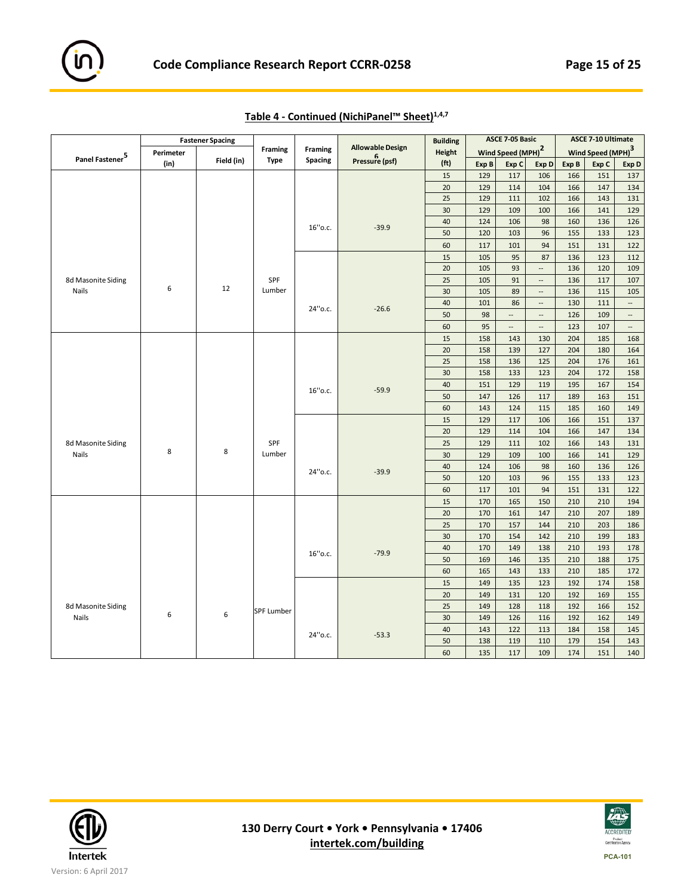

|                             |           | <b>Fastener Spacing</b> |                   |                |                         | <b>Building</b>   |       | ASCE 7-05 Basic               |                          |       | <b>ASCE 7-10 Ultimate</b>     |                          |
|-----------------------------|-----------|-------------------------|-------------------|----------------|-------------------------|-------------------|-------|-------------------------------|--------------------------|-------|-------------------------------|--------------------------|
|                             | Perimeter |                         | <b>Framing</b>    | <b>Framing</b> | <b>Allowable Design</b> | <b>Height</b>     |       | Wind Speed (MPH) <sup>2</sup> |                          |       | Wind Speed (MPH) <sup>3</sup> |                          |
| Panel Fastener <sup>5</sup> | (in)      | Field (in)              | <b>Type</b>       | <b>Spacing</b> | Pressure (psf)          | (f <sup>t</sup> ) | Exp B | Exp C                         | Exp D                    | Exp B | Exp C                         | Exp D                    |
|                             |           |                         |                   |                |                         | 15                | 129   | 117                           | 106                      | 166   | 151                           | 137                      |
|                             |           |                         |                   |                |                         | 20                | 129   | 114                           | 104                      | 166   | 147                           | 134                      |
|                             |           |                         |                   |                |                         | 25                | 129   | 111                           | 102                      | 166   | 143                           | 131                      |
|                             |           |                         |                   |                |                         | 30                | 129   | 109                           | 100                      | 166   | 141                           | 129                      |
|                             |           |                         |                   | 16"o.c.        | $-39.9$                 | 40                | 124   | 106                           | 98                       | 160   | 136                           | 126                      |
|                             |           |                         |                   |                |                         | 50                | 120   | 103                           | 96                       | 155   | 133                           | 123                      |
|                             |           |                         |                   |                |                         | 60                | 117   | 101                           | 94                       | 151   | 131                           | 122                      |
|                             |           |                         |                   |                |                         | 15                | 105   | 95                            | 87                       | 136   | 123                           | 112                      |
|                             |           |                         |                   |                |                         | 20                | 105   | 93                            | Щ.                       | 136   | 120                           | 109                      |
| 8d Masonite Siding          |           |                         | SPF               |                |                         | 25                | 105   | 91                            | $\overline{\phantom{a}}$ | 136   | 117                           | 107                      |
| Nails                       | 6         | 12                      | Lumber            |                |                         | 30                | 105   | 89                            | $\overline{a}$           | 136   | 115                           | 105                      |
|                             |           |                         |                   | 24" o.c.       | $-26.6$                 | 40                | 101   | 86                            | $\cdots$                 | 130   | 111                           | u,                       |
|                             |           |                         |                   |                |                         | 50                | 98    | $\overline{\phantom{a}}$      | $\overline{\phantom{a}}$ | 126   | 109                           | $\overline{\phantom{a}}$ |
|                             |           |                         |                   |                |                         | 60                | 95    | --                            | $\overline{\phantom{a}}$ | 123   | 107                           | $\overline{\phantom{a}}$ |
|                             |           |                         |                   |                |                         | 15                | 158   | 143                           | 130                      | 204   | 185                           | 168                      |
|                             |           |                         |                   |                |                         | 20                | 158   | 139                           | 127                      | 204   | 180                           | 164                      |
|                             |           |                         |                   |                |                         | 25                | 158   | 136                           | 125                      | 204   | 176                           | 161                      |
|                             |           |                         |                   |                |                         | 30                | 158   | 133                           | 123                      | 204   | 172                           | 158                      |
|                             |           |                         |                   | 16"o.c.        | $-59.9$                 | 40                | 151   | 129                           | 119                      | 195   | 167                           | 154                      |
|                             |           |                         |                   |                |                         | 50                | 147   | 126                           | 117                      | 189   | 163                           | 151                      |
|                             |           |                         |                   |                |                         | 60                | 143   | 124                           | 115                      | 185   | 160                           | 149                      |
|                             |           |                         |                   |                |                         | 15                | 129   | 117                           | 106                      | 166   | 151                           | 137                      |
|                             |           |                         |                   |                |                         | 20                | 129   | 114                           | 104                      | 166   | 147                           | 134                      |
| 8d Masonite Siding          |           |                         | SPF               |                |                         | 25                | 129   | 111                           | 102                      | 166   | 143                           | 131                      |
| <b>Nails</b>                | 8         | 8                       | Lumber            |                |                         | 30                | 129   | 109                           | 100                      | 166   | 141                           | 129                      |
|                             |           |                         |                   | 24" o.c.       | $-39.9$                 | 40                | 124   | 106                           | 98                       | 160   | 136                           | 126                      |
|                             |           |                         |                   |                |                         | 50                | 120   | 103                           | 96                       | 155   | 133                           | 123                      |
|                             |           |                         |                   |                |                         | 60                | 117   | 101                           | 94                       | 151   | 131                           | 122                      |
|                             |           |                         |                   |                |                         | 15                | 170   | 165                           | 150                      | 210   | 210                           | 194                      |
|                             |           |                         |                   |                |                         | 20                | 170   | 161                           | 147                      | 210   | 207                           | 189                      |
|                             |           |                         |                   |                |                         | 25                | 170   | 157                           | 144                      | 210   | 203                           | 186                      |
|                             |           |                         |                   |                |                         | 30                | 170   | 154                           | 142                      | 210   | 199                           | 183                      |
|                             |           |                         |                   | 16" o.c.       | $-79.9$                 | 40                | 170   | 149                           | 138                      | 210   | 193                           | 178                      |
|                             |           |                         |                   |                |                         | 50                | 169   | 146                           | 135                      | 210   | 188                           | 175                      |
|                             |           |                         |                   |                |                         | 60                | 165   | 143                           | 133                      | 210   | 185                           | 172                      |
|                             |           |                         |                   |                |                         | 15                | 149   | 135                           | 123                      | 192   | 174                           | 158                      |
|                             |           |                         |                   |                |                         | 20                | 149   | 131                           | 120                      | 192   | 169                           | 155                      |
| 8d Masonite Siding          |           |                         | <b>SPF Lumber</b> |                |                         | 25                | 149   | 128                           | 118                      | 192   | 166                           | 152                      |
| Nails                       | 6         | 6                       |                   |                |                         | 30                | 149   | 126                           | 116                      | 192   | 162                           | 149                      |
|                             |           |                         |                   | 24" o.c.       | $-53.3$                 | 40                | 143   | 122                           | 113                      | 184   | 158                           | 145                      |
|                             |           |                         |                   |                |                         | 50                | 138   | 119                           | 110                      | 179   | 154                           | 143                      |
|                             |           |                         |                   |                |                         | 60                | 135   | 117                           | 109                      | 174   | 151                           | 140                      |



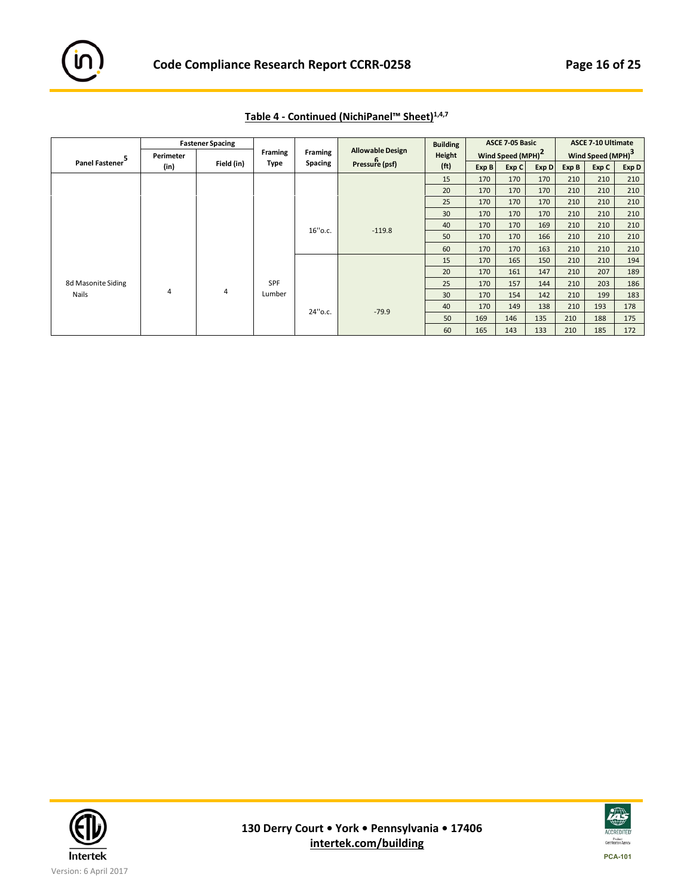|                    |           | <b>Fastener Spacing</b> |                |                |                         | <b>Building</b>   |       | <b>ASCE 7-05 Basic</b>        |       |       | <b>ASCE 7-10 Ultimate</b>     |       |
|--------------------|-----------|-------------------------|----------------|----------------|-------------------------|-------------------|-------|-------------------------------|-------|-------|-------------------------------|-------|
| 5                  | Perimeter |                         | <b>Framing</b> | Framing        | <b>Allowable Design</b> | Height            |       | Wind Speed (MPH) <sup>2</sup> |       |       | Wind Speed (MPH) <sup>3</sup> |       |
| Panel Fastener     | (in)      | Field (in)              | Type           | <b>Spacing</b> | Pressure (psf)          | (f <sub>t</sub> ) | Exp B | Exp C                         | Exp D | Exp B | Exp C                         | Exp D |
|                    |           |                         |                |                |                         | 15                | 170   | 170                           | 170   | 210   | 210                           | 210   |
|                    |           |                         |                |                |                         | 20                | 170   | 170                           | 170   | 210   | 210                           | 210   |
|                    |           |                         |                |                |                         | 25                | 170   | 170                           | 170   | 210   | 210                           | 210   |
|                    |           |                         |                |                |                         | 30                | 170   | 170                           | 170   | 210   | 210                           | 210   |
|                    |           |                         |                | 16" o.c.       | $-119.8$                | 40                | 170   | 170                           | 169   | 210   | 210                           | 210   |
|                    |           |                         |                |                |                         | 50                | 170   | 170                           | 166   | 210   | 210                           | 210   |
|                    |           |                         |                |                |                         | 60                | 170   | 170                           | 163   | 210   | 210                           | 210   |
|                    |           |                         |                |                |                         | 15                | 170   | 165                           | 150   | 210   | 210                           | 194   |
|                    |           |                         |                |                |                         | 20                | 170   | 161                           | 147   | 210   | 207                           | 189   |
| 8d Masonite Siding |           |                         | <b>SPF</b>     |                |                         | 25                | 170   | 157                           | 144   | 210   | 203                           | 186   |
| Nails              | 4         | 4                       | Lumber         |                |                         | 30                | 170   | 154                           | 142   | 210   | 199                           | 183   |
|                    |           |                         |                | 24" o.c.       | $-79.9$                 | 40                | 170   | 149                           | 138   | 210   | 193                           | 178   |
|                    |           |                         |                |                |                         | 50                | 169   | 146                           | 135   | 210   | 188                           | 175   |
|                    |           |                         |                |                |                         | 60                | 165   | 143                           | 133   | 210   | 185                           | 172   |

# **Table 4 ‐ Continued (NichiPanel™ Sheet)1,4,7**



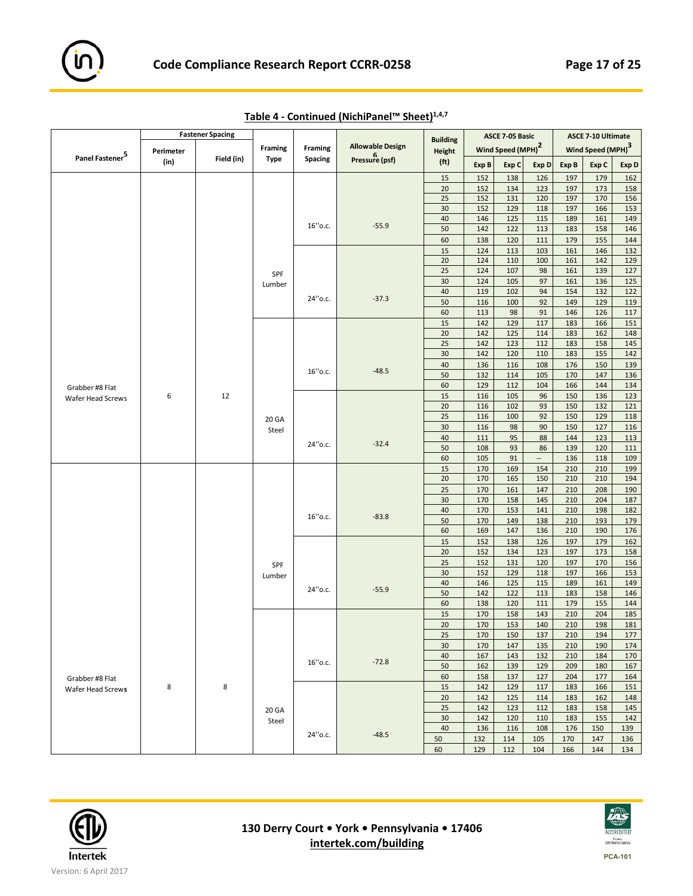

|                             |           | <b>Fastener Spacing</b> |                |                |                         | <b>Building</b>   |            | ASCE 7-05 Basic               |                          |            | <b>ASCE 7-10 Ultimate</b>     |            |
|-----------------------------|-----------|-------------------------|----------------|----------------|-------------------------|-------------------|------------|-------------------------------|--------------------------|------------|-------------------------------|------------|
|                             | Perimeter |                         | <b>Framing</b> | <b>Framing</b> | <b>Allowable Design</b> | <b>Height</b>     |            | Wind Speed (MPH) <sup>2</sup> |                          |            | Wind Speed (MPH) <sup>3</sup> |            |
| Panel Fastener <sup>5</sup> | (in)      | Field (in)              | Type           | <b>Spacing</b> | Pressure (psf)          | (f <sub>t</sub> ) | Exp B      | Exp C                         | Exp D                    | Exp B      | Exp C                         | Exp D      |
|                             |           |                         |                |                |                         | $15\,$            | 152        | 138                           | 126                      | 197        | 179                           | 162        |
|                             |           |                         |                |                |                         | $20\,$            | 152        | 134                           | 123                      | 197        | 173                           | 158        |
|                             |           |                         |                |                |                         | 25                | 152        | 131                           | 120                      | 197        | 170                           | 156        |
|                             |           |                         |                |                |                         | 30                | 152        | 129                           | 118                      | 197        | 166                           | 153        |
|                             |           |                         |                | 16" o.c.       | $-55.9$                 | 40<br>50          | 146<br>142 | 125<br>122                    | 115<br>113               | 189<br>183 | 161<br>158                    | 149<br>146 |
|                             |           |                         |                |                |                         | 60                | 138        | 120                           | 111                      | 179        | 155                           | 144        |
|                             |           |                         |                |                |                         | 15                | 124        | 113                           | 103                      | 161        | 146                           | 132        |
|                             |           |                         |                |                |                         | 20                | 124        | 110                           | 100                      | 161        | 142                           | 129        |
|                             |           |                         | SPF            |                |                         | 25                | 124        | 107                           | 98                       | 161        | 139                           | 127        |
|                             |           |                         | Lumber         |                |                         | 30                | 124        | 105                           | 97                       | 161        | 136                           | 125        |
|                             |           |                         |                | 24" o.c.       |                         | 40                | 119        | 102                           | 94                       | 154        | 132                           | 122        |
|                             |           |                         |                |                | $-37.3$                 | 50                | 116        | 100                           | 92                       | 149        | 129                           | 119        |
|                             |           |                         |                |                |                         | 60                | 113        | 98                            | 91                       | 146        | 126                           | 117        |
|                             |           |                         |                |                |                         | $15\,$            | 142        | 129                           | 117                      | 183        | 166                           | 151        |
|                             |           |                         |                |                |                         | 20<br>25          | 142<br>142 | 125<br>123                    | 114<br>112               | 183<br>183 | 162<br>158                    | 148        |
|                             |           |                         |                |                |                         | 30                | 142        | 120                           | 110                      | 183        | 155                           | 145<br>142 |
|                             |           |                         |                |                |                         | 40                | 136        | 116                           | 108                      | 176        | 150                           | 139        |
|                             |           |                         |                | 16" o.c.       | $-48.5$                 | 50                | 132        | 114                           | 105                      | 170        | 147                           | 136        |
| Grabber #8 Flat             |           |                         |                |                |                         | 60                | 129        | 112                           | 104                      | 166        | 144                           | 134        |
| Wafer Head Screws           | 6         | 12                      |                |                |                         | 15                | 116        | 105                           | 96                       | 150        | 136                           | 123        |
|                             |           |                         |                |                |                         | 20                | 116        | 102                           | 93                       | 150        | 132                           | 121        |
|                             |           |                         | 20 GA          |                |                         | 25                | 116        | 100                           | 92                       | 150        | 129                           | 118        |
|                             |           |                         | Steel          |                |                         | 30                | 116        | 98                            | 90                       | 150        | 127                           | 116        |
|                             |           |                         |                | 24" o.c.       | $-32.4$                 | 40                | 111        | 95                            | 88                       | 144        | 123                           | 113        |
|                             |           |                         |                |                |                         | 50                | 108        | 93                            | 86                       | 139        | 120                           | 111        |
|                             |           |                         |                |                |                         | 60                | 105        | 91                            | $\overline{\phantom{a}}$ | 136        | 118                           | 109        |
|                             |           |                         |                |                |                         | 15<br>$20\,$      | 170<br>170 | 169<br>165                    | 154<br>150               | 210<br>210 | 210<br>210                    | 199<br>194 |
|                             |           |                         |                |                |                         | 25                | 170        | 161                           | 147                      | 210        | 208                           | 190        |
|                             |           |                         |                |                |                         | 30                | 170        | 158                           | 145                      | 210        | 204                           | 187        |
|                             |           |                         |                |                |                         | 40                | 170        | 153                           | 141                      | 210        | 198                           | 182        |
|                             |           |                         |                | 16" o.c.       | $-83.8$                 | 50                | 170        | 149                           | 138                      | 210        | 193                           | 179        |
|                             |           |                         |                |                |                         | 60                | 169        | 147                           | 136                      | 210        | 190                           | 176        |
|                             |           |                         |                |                |                         | 15                | 152        | 138                           | 126                      | 197        | 179                           | 162        |
|                             |           |                         |                |                |                         | 20                | 152        | 134                           | 123                      | 197        | 173                           | 158        |
|                             |           |                         | SPF            |                |                         | 25                | 152        | 131                           | 120                      | 197        | 170                           | 156        |
|                             |           |                         | Lumber         |                |                         | 30                | 152        | 129                           | 118                      | 197        | 166                           | 153        |
|                             |           |                         |                | 24" o.c.       | $-55.9$                 | 40<br>50          | 146<br>142 | 125<br>122                    | 115<br>113               | 189<br>183 | 161<br>158                    | 149        |
|                             |           |                         |                |                |                         | 60                | 138        | 120                           | 111                      | 179        | 155                           | 146<br>144 |
|                             |           |                         |                |                |                         | 15                | 170        | 158                           | 143                      | 210        | 204                           | 185        |
|                             |           |                         |                |                |                         | 20                | 170        | 153                           | 140                      | 210        | 198                           | 181        |
|                             |           |                         |                |                |                         | 25                | 170        | 150                           | 137                      | 210        | 194                           | 177        |
|                             |           |                         |                |                |                         | 30                | 170        | 147                           | 135                      | 210        | 190                           | 174        |
|                             |           |                         |                |                |                         | 40                | 167        | 143                           | 132                      | 210        | 184                           | 170        |
|                             |           |                         |                | 16" o.c.       | $-72.8$                 | 50                | 162        | 139                           | 129                      | 209        | 180                           | 167        |
| Grabber #8 Flat             |           |                         |                |                |                         | 60                | 158        | 137                           | 127                      | 204        | 177                           | 164        |
| Wafer Head Screws           | 8         | 8                       |                |                |                         | 15                | 142        | 129                           | 117                      | 183        | 166                           | 151        |
|                             |           |                         |                |                |                         | 20                | 142        | 125                           | 114                      | 183        | 162                           | 148        |
|                             |           |                         | 20 GA          |                |                         | 25<br>30          | 142<br>142 | 123<br>120                    | 112<br>110               | 183<br>183 | 158<br>155                    | 145<br>142 |
|                             |           |                         | Steel          |                |                         | 40                | 136        | 116                           | 108                      | 176        | 150                           | 139        |
|                             |           |                         |                | 24" o.c.       | $-48.5$                 | 50                | 132        | 114                           | 105                      | 170        | 147                           | 136        |
|                             |           |                         |                |                |                         | 60                | 129        | 112                           | 104                      | 166        | 144                           | 134        |

**Table 4 ‐ Continued (NichiPanel™ Sheet)1,4,7**



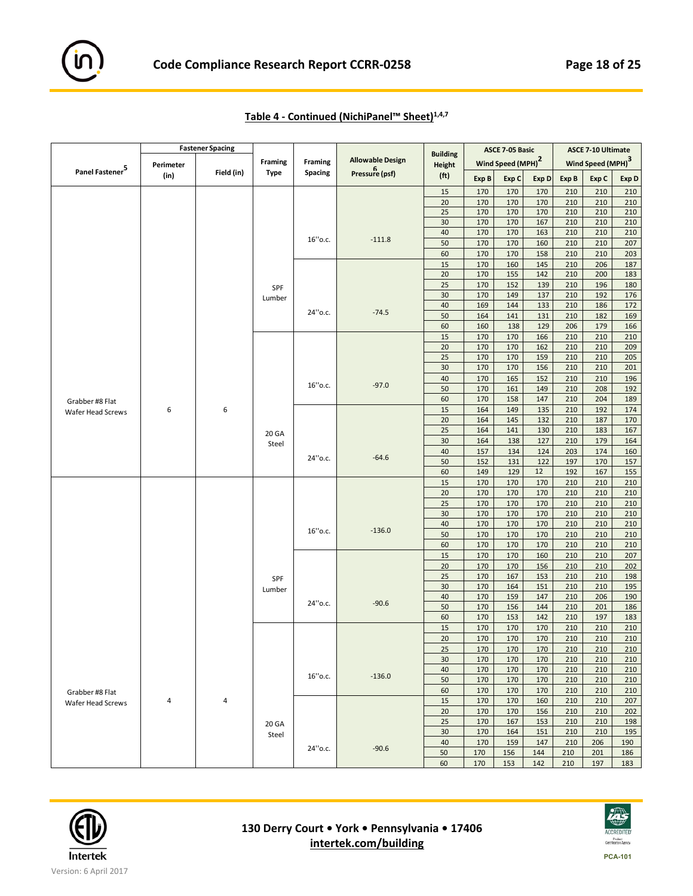

|                                      |           | <b>Fastener Spacing</b> |                |                |                         |                                  |            | ASCE 7-05 Basic               |            |            | <b>ASCE 7-10 Ultimate</b>     |            |
|--------------------------------------|-----------|-------------------------|----------------|----------------|-------------------------|----------------------------------|------------|-------------------------------|------------|------------|-------------------------------|------------|
|                                      | Perimeter |                         | <b>Framing</b> | Framing        | <b>Allowable Design</b> | <b>Building</b><br><b>Height</b> |            | Wind Speed (MPH) <sup>2</sup> |            |            | Wind Speed (MPH) <sup>3</sup> |            |
| Panel Fastener <sup>5</sup>          | (in)      | Field (in)              | Type           | <b>Spacing</b> | Pressure (psf)          | (f <sub>t</sub> )                | Exp B      | Exp C                         | Exp D      | Exp B      | Exp C                         | Exp D      |
|                                      |           |                         |                |                |                         | 15                               | 170        | 170                           | 170        | 210        | 210                           | 210        |
|                                      |           |                         |                |                |                         | 20                               | 170        | 170                           | 170        | 210        | 210                           | 210        |
|                                      |           |                         |                |                |                         | 25                               | 170        | 170                           | 170        | 210        | 210                           | 210        |
|                                      |           |                         |                |                |                         | 30                               | 170        | 170                           | 167        | 210        | 210                           | 210        |
|                                      |           |                         |                | 16"o.c.        | $-111.8$                | 40                               | 170        | 170                           | 163        | 210        | 210                           | 210        |
|                                      |           |                         |                |                |                         | 50                               | 170        | 170                           | 160        | 210        | 210                           | 207        |
|                                      |           |                         |                |                |                         | 60                               | 170        | 170                           | 158        | 210        | 210                           | 203        |
|                                      |           |                         |                |                |                         | 15<br>20                         | 170<br>170 | 160<br>155                    | 145<br>142 | 210<br>210 | 206<br>200                    | 187<br>183 |
|                                      |           |                         |                |                |                         | 25                               | 170        | 152                           | 139        | 210        | 196                           | 180        |
|                                      |           |                         | SPF            |                |                         | 30                               | 170        | 149                           | 137        | 210        | 192                           | 176        |
|                                      |           |                         | Lumber         |                |                         | 40                               | 169        | 144                           | 133        | 210        | 186                           | 172        |
|                                      |           |                         |                | 24" o.c.       | $-74.5$                 | 50                               | 164        | 141                           | 131        | 210        | 182                           | 169        |
|                                      |           |                         |                |                |                         | 60                               | 160        | 138                           | 129        | 206        | 179                           | 166        |
|                                      |           |                         |                |                |                         | 15                               | 170        | 170                           | 166        | 210        | 210                           | 210        |
|                                      |           |                         |                |                |                         | 20                               | 170        | 170                           | 162        | 210        | 210                           | 209        |
|                                      |           |                         |                |                |                         | 25                               | 170        | 170                           | 159        | 210        | 210                           | 205        |
|                                      |           |                         |                |                |                         | 30                               | 170        | 170                           | 156        | 210        | 210                           | 201        |
|                                      |           |                         |                | 16"o.c.        | $-97.0$                 | 40                               | 170        | 165                           | 152        | 210        | 210                           | 196        |
|                                      |           |                         |                |                |                         | 50                               | 170        | 161                           | 149        | 210        | 208                           | 192        |
| Grabber #8 Flat                      |           |                         |                |                |                         | 60                               | 170        | 158                           | 147        | 210        | 204                           | 189        |
| Wafer Head Screws                    | 6         | 6                       |                |                |                         | 15<br>20                         | 164<br>164 | 149<br>145                    | 135<br>132 | 210<br>210 | 192<br>187                    | 174<br>170 |
|                                      |           |                         |                |                |                         | 25                               | 164        | 141                           | 130        | 210        | 183                           | 167        |
|                                      |           |                         | 20 GA          |                |                         | 30                               | 164        | 138                           | 127        | 210        | 179                           | 164        |
|                                      |           |                         | Steel          |                |                         | 40                               | 157        | 134                           | 124        | 203        | 174                           | 160        |
|                                      |           |                         |                | 24" o.c.       | $-64.6$                 | 50                               | 152        | 131                           | 122        | 197        | 170                           | 157        |
|                                      |           |                         |                |                |                         | 60                               | 149        | 129                           | 12         | 192        | 167                           | 155        |
|                                      |           |                         |                |                |                         | 15                               | 170        | 170                           | 170        | 210        | 210                           | 210        |
|                                      |           |                         |                |                |                         | 20                               | 170        | 170                           | 170        | 210        | 210                           | 210        |
|                                      |           |                         |                |                |                         | 25                               | 170        | 170                           | 170        | 210        | 210                           | 210        |
|                                      |           |                         |                |                |                         | 30                               | 170        | 170                           | 170        | 210        | 210                           | 210        |
|                                      |           |                         |                | 16"o.c.        | $-136.0$                | 40                               | 170        | 170                           | 170        | 210        | 210                           | 210        |
|                                      |           |                         |                |                |                         | 50<br>60                         | 170<br>170 | 170<br>170                    | 170<br>170 | 210<br>210 | 210<br>210                    | 210        |
|                                      |           |                         |                |                |                         | 15                               | 170        | 170                           | 160        | 210        | 210                           | 210<br>207 |
|                                      |           |                         |                |                |                         | 20                               | 170        | 170                           | 156        | 210        | 210                           | 202        |
|                                      |           |                         |                |                |                         | 25                               | 170        | 167                           | 153        | 210        | 210                           | 198        |
|                                      |           |                         | SPF<br>Lumber  |                |                         | 30                               | 170        | 164                           | 151        | 210        | 210                           | 195        |
|                                      |           |                         |                |                |                         | 40                               | 170        | 159                           | 147        | 210        | 206                           | 190        |
|                                      |           |                         |                | 24" o.c.       | $-90.6$                 | 50                               | 170        | 156                           | 144        | 210        | 201                           | 186        |
|                                      |           |                         |                |                |                         | 60                               | 170        | 153                           | 142        | 210        | 197                           | 183        |
|                                      |           |                         |                |                |                         | 15                               | 170        | 170                           | 170        | 210        | 210                           | 210        |
|                                      |           |                         |                |                |                         | 20                               | 170        | 170                           | 170        | 210        | 210                           | 210        |
|                                      |           |                         |                |                |                         | 25                               | 170        | 170                           | 170        | 210        | 210                           | 210        |
|                                      |           |                         |                |                |                         | 30                               | 170        | 170                           | 170        | 210        | 210                           | 210        |
|                                      |           |                         |                | 16"o.c.        | $-136.0$                | 40<br>50                         | 170<br>170 | 170<br>170                    | 170<br>170 | 210<br>210 | 210<br>210                    | 210<br>210 |
|                                      |           |                         |                |                |                         | 60                               | 170        | 170                           | 170        | 210        | 210                           | 210        |
| Grabber #8 Flat<br>Wafer Head Screws | 4         | 4                       |                |                |                         | 15                               | 170        | 170                           | 160        | 210        | 210                           | 207        |
|                                      |           |                         |                |                |                         | 20                               | 170        | 170                           | 156        | 210        | 210                           | 202        |
|                                      |           |                         | 20 GA          |                |                         | 25                               | 170        | 167                           | 153        | 210        | 210                           | 198        |
|                                      |           |                         | Steel          |                |                         | 30                               | 170        | 164                           | 151        | 210        | 210                           | 195        |
|                                      |           |                         |                |                |                         | 40                               | 170        | 159                           | 147        | 210        | 206                           | 190        |
|                                      |           |                         |                | 24" o.c.       | $-90.6$                 | 50                               | 170        | 156                           | 144        | 210        | 201                           | 186        |
|                                      |           |                         |                |                |                         | 60                               | 170        | 153                           | 142        | 210        | 197                           | 183        |

**Table 4 ‐ Continued (NichiPanel™ Sheet)1,4,7**



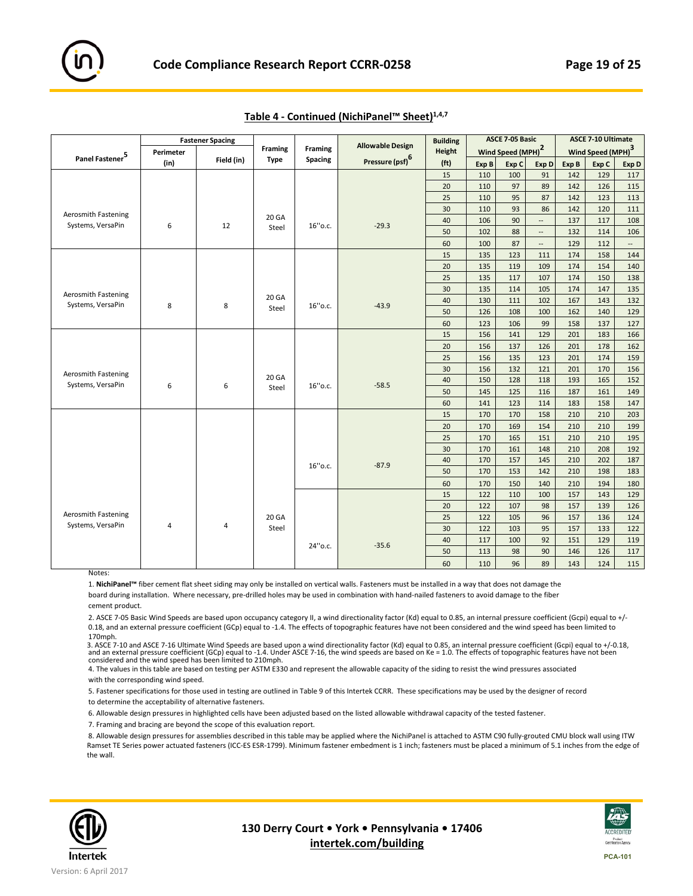|                             |           | <b>Fastener Spacing</b> |                |                | <b>Allowable Design</b>     | <b>Building</b>   |       | <b>ASCE 7-05 Basic</b>        |                          |       | <b>ASCE 7-10 Ultimate</b>     |                          |
|-----------------------------|-----------|-------------------------|----------------|----------------|-----------------------------|-------------------|-------|-------------------------------|--------------------------|-------|-------------------------------|--------------------------|
|                             | Perimeter |                         | <b>Framing</b> | <b>Framing</b> |                             | <b>Height</b>     |       | Wind Speed (MPH) <sup>2</sup> |                          |       | Wind Speed (MPH) <sup>3</sup> |                          |
| Panel Fastener <sup>5</sup> | (in)      | Field (in)              | <b>Type</b>    | Spacing        | Pressure (psf) <sup>6</sup> | (f <sub>t</sub> ) | Exp B | Exp C                         | Exp D                    | Exp B | Exp C                         | Exp D                    |
|                             |           |                         |                |                |                             | 15                | 110   | 100                           | 91                       | 142   | 129                           | 117                      |
|                             |           |                         |                |                |                             | 20                | 110   | 97                            | 89                       | 142   | 126                           | 115                      |
|                             |           |                         |                |                |                             | 25                | 110   | 95                            | 87                       | 142   | 123                           | 113                      |
| Aerosmith Fastening         |           |                         |                |                |                             | 30                | 110   | 93                            | 86                       | 142   | 120                           | 111                      |
| Systems, VersaPin           | 6         | 12                      | 20 GA          | 16"o.c.        | $-29.3$                     | 40                | 106   | 90                            | $\overline{\phantom{a}}$ | 137   | 117                           | 108                      |
|                             |           |                         | Steel          |                |                             | 50                | 102   | 88                            | $\overline{\phantom{a}}$ | 132   | 114                           | 106                      |
|                             |           |                         |                |                |                             | 60                | 100   | 87                            | $\overline{\phantom{a}}$ | 129   | 112                           | $\overline{\phantom{a}}$ |
|                             |           |                         |                |                |                             | 15                | 135   | 123                           | 111                      | 174   | 158                           | 144                      |
|                             |           |                         |                |                |                             | 20                | 135   | 119                           | 109                      | 174   | 154                           | 140                      |
|                             |           |                         |                |                |                             | 25                | 135   | 117                           | 107                      | 174   | 150                           | 138                      |
| Aerosmith Fastening         |           |                         |                |                |                             | 30                | 135   | 114                           | 105                      | 174   | 147                           | 135                      |
| Systems, VersaPin           | 8         | 8                       | 20 GA          | 16"o.c.        | $-43.9$                     | 40                | 130   | 111                           | 102                      | 167   | 143                           | 132                      |
|                             |           |                         | Steel          |                |                             | 50                | 126   | 108                           | 100                      | 162   | 140                           | 129                      |
|                             |           |                         |                |                |                             | 60                | 123   | 106                           | 99                       | 158   | 137                           | 127                      |
|                             |           |                         |                |                |                             | 15                | 156   | 141                           | 129                      | 201   | 183                           | 166                      |
|                             |           |                         |                |                |                             | 20                | 156   | 137                           | 126                      | 201   | 178                           | 162                      |
|                             |           |                         |                |                |                             | 25                | 156   | 135                           | 123                      | 201   | 174                           | 159                      |
| <b>Aerosmith Fastening</b>  |           |                         |                |                |                             | 30                | 156   | 132                           | 121                      | 201   | 170                           | 156                      |
| Systems, VersaPin           | 6         |                         | 20 GA          |                | $-58.5$                     | 40                | 150   | 128                           | 118                      | 193   | 165                           | 152                      |
|                             |           | 6                       | Steel          | 16"o.c.        |                             | 50                | 145   | 125                           | 116                      | 187   | 161                           | 149                      |
|                             |           |                         |                |                |                             | 60                | 141   | 123                           | 114                      | 183   | 158                           | 147                      |
|                             |           |                         |                |                |                             | 15                | 170   | 170                           | 158                      | 210   | 210                           | 203                      |
|                             |           |                         |                |                |                             | 20                | 170   | 169                           | 154                      | 210   | 210                           | 199                      |
|                             |           |                         |                |                |                             | 25                | 170   | 165                           | 151                      | 210   | 210                           | 195                      |
|                             |           |                         |                |                |                             | 30                | 170   | 161                           | 148                      | 210   | 208                           | 192                      |
|                             |           |                         |                |                |                             | 40                | 170   | 157                           | 145                      | 210   | 202                           | 187                      |
|                             |           |                         |                | 16" o.c.       | $-87.9$                     | 50                | 170   | 153                           | 142                      | 210   | 198                           | 183                      |
|                             |           |                         |                |                |                             | 60                | 170   | 150                           | 140                      | 210   | 194                           | 180                      |
|                             |           |                         |                |                |                             | 15                | 122   | 110                           | 100                      | 157   | 143                           | 129                      |
|                             |           |                         |                |                |                             | 20                | 122   | 107                           | 98                       | 157   | 139                           | 126                      |
| Aerosmith Fastening         |           |                         | 20 GA          |                |                             | 25                | 122   | 105                           | 96                       | 157   | 136                           | 124                      |
| Systems, VersaPin           | 4         | 4                       | Steel          |                |                             | 30                | 122   | 103                           | 95                       | 157   | 133                           | 122                      |
|                             |           |                         |                |                |                             | 40                | 117   | 100                           | 92                       | 151   | 129                           | 119                      |
|                             |           |                         |                | 24" o.c.       | $-35.6$                     | 50                | 113   | 98                            | 90                       | 146   | 126                           | 117                      |
|                             |           |                         |                |                |                             | 60                | 110   | 96                            | 89                       | 143   | 124                           | 115                      |

# **Table 4 ‐ Continued (NichiPanel™ Sheet)1,4,7**

**Notes** 

1. **NichiPanel™** fiber cement flat sheet siding may only be installed on vertical walls. Fasteners must be installed in a way that does not damage the board during installation. Where necessary, pre‐drilled holes may be used in combination with hand‐nailed fasteners to avoid damage to the fiber cement product.

2. ASCE 7-05 Basic Wind Speeds are based upon occupancy category II, a wind directionality factor (Kd) equal to 0.85, an internal pressure coefficient (Gcpi) equal to +/-0.18, and an external pressure coefficient (GCp) equal to -1.4. The effects of topographic features have not been considered and the wind speed has been limited to 170mph.

3. ASCE 7‐10 and ASCE 7‐16 Ultimate Wind Speeds are based upon a wind directionality factor (Kd) equal to 0.85, an internal pressure coefficient (Gcpi) equal to +/‐0.18, and an external pressure coefficient (GCp) equal to ‐1.4. Under ASCE 7‐16, the wind speeds are based on Ke = 1.0. The effects of topographic features have not been considered and the wind speed has been limited to 210mph.

4. The values in this table are based on testing per ASTM E330 and represent the allowable capacity of the siding to resist the wind pressures associated with the corresponding wind speed.

5. Fastener specifications for those used in testing are outlined in Table 9 of this Intertek CCRR. These specifications may be used by the designer of record to determine the acceptability of alternative fasteners.

6. Allowable design pressures in highlighted cells have been adjusted based on the listed allowable withdrawal capacity of the tested fastener.

7. Framing and bracing are beyond the scope of this evaluation report.

8. Allowable design pressures for assemblies described in this table may be applied where the NichiPanel is attached to ASTM C90 fully‐grouted CMU block wall using ITW Ramset TE Series power actuated fasteners (ICC‐ES ESR‐1799). Minimum fastener embedment is 1 inch; fasteners must be placed a minimum of 5.1 inches from the edge of the wall.



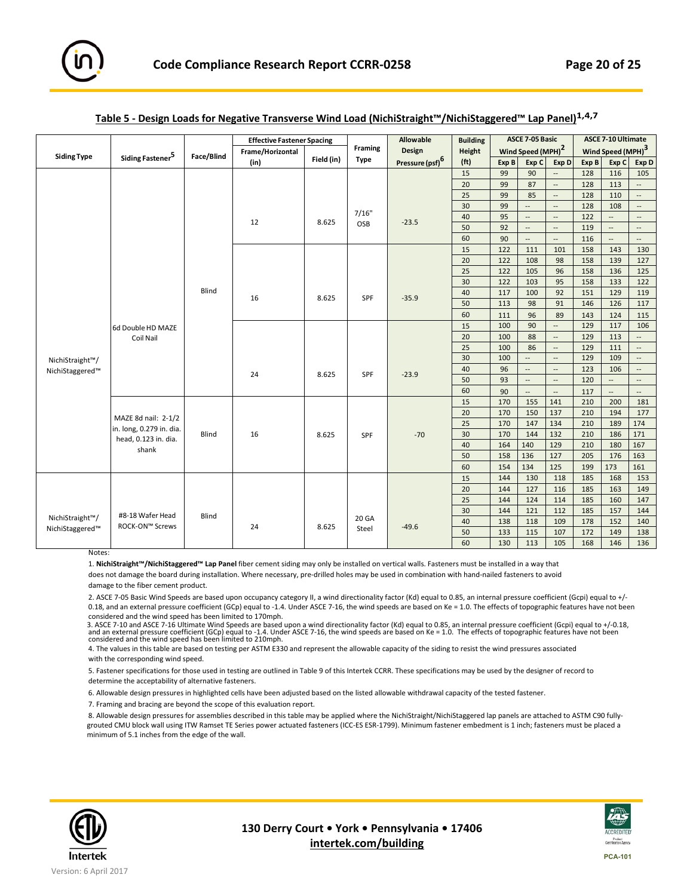

|                    |                              |            | <b>Effective Fastener Spacing</b> |            |             | Allowable                   | <b>Building</b>   |       | <b>ASCE 7-05 Basic</b>        |                          |       | <b>ASCE 7-10 Ultimate</b>     |                          |
|--------------------|------------------------------|------------|-----------------------------------|------------|-------------|-----------------------------|-------------------|-------|-------------------------------|--------------------------|-------|-------------------------------|--------------------------|
| <b>Siding Type</b> |                              | Face/Blind | Frame/Horizontal                  |            | Framing     | Design                      | Height            |       | Wind Speed (MPH) <sup>2</sup> |                          |       | Wind Speed (MPH) <sup>3</sup> |                          |
|                    | Siding Fastener <sup>5</sup> |            | (in)                              | Field (in) | <b>Type</b> | Pressure (psf) <sup>6</sup> | (f <sub>t</sub> ) | Exp B | Exp C                         | Exp D                    | Exp B | Exp C                         | Exp D                    |
|                    |                              |            |                                   |            |             |                             | 15                | 99    | 90                            | $\overline{\phantom{a}}$ | 128   | 116                           | 105                      |
|                    |                              |            |                                   |            |             |                             | 20                | 99    | 87                            | $\overline{\phantom{a}}$ | 128   | 113                           | $\overline{\phantom{a}}$ |
|                    |                              |            |                                   |            |             |                             | 25                | 99    | 85                            | $\overline{\phantom{a}}$ | 128   | 110                           | $\overline{\phantom{a}}$ |
|                    |                              |            |                                   |            |             |                             | 30                | 99    | $\overline{\phantom{a}}$      | $\overline{\phantom{a}}$ | 128   | 108                           | $\overline{\phantom{a}}$ |
|                    |                              |            | 12                                | 8.625      | 7/16"       | $-23.5$                     | 40                | 95    | $\overline{\phantom{a}}$      | $\overline{\phantom{a}}$ | 122   | $\overline{\phantom{a}}$      | $\overline{\phantom{a}}$ |
|                    |                              |            |                                   |            | OSB         |                             | 50                | 92    | $\overline{\phantom{a}}$      | --                       | 119   | $\overline{\phantom{a}}$      | $\overline{\phantom{a}}$ |
|                    |                              |            |                                   |            |             |                             | 60                | 90    | $\overline{\phantom{a}}$      | --                       | 116   | $\overline{\phantom{a}}$      | $\overline{\phantom{a}}$ |
|                    |                              |            |                                   |            |             |                             | 15                | 122   | 111                           | 101                      | 158   | 143                           | 130                      |
|                    |                              |            |                                   |            |             |                             | 20                | 122   | 108                           | 98                       | 158   | 139                           | 127                      |
|                    |                              |            |                                   |            |             |                             | 25                | 122   | 105                           | 96                       | 158   | 136                           | 125                      |
|                    |                              |            |                                   |            |             |                             | 30                | 122   | 103                           | 95                       | 158   | 133                           | 122                      |
|                    |                              | Blind      |                                   |            | <b>SPF</b>  |                             | 40                | 117   | 100                           | 92                       | 151   | 129                           | 119                      |
|                    |                              |            | 16                                | 8.625      |             | $-35.9$                     | 50                | 113   | 98                            | 91                       | 146   | 126                           | 117                      |
|                    |                              |            |                                   |            |             |                             | 60                | 111   | 96                            | 89                       | 143   | 124                           | 115                      |
|                    | 6d Double HD MAZE            |            |                                   |            |             |                             | 15                | 100   | 90                            | $\overline{\phantom{a}}$ | 129   | 117                           | 106                      |
|                    | Coil Nail                    |            |                                   |            |             |                             | 20                | 100   | 88                            | $\overline{\phantom{a}}$ | 129   | 113                           | $\overline{\phantom{a}}$ |
|                    |                              |            |                                   |            |             |                             | 25                | 100   | 86                            | $\overline{\phantom{a}}$ | 129   | 111                           | $\overline{\phantom{a}}$ |
| NichiStraight™/    |                              |            |                                   |            |             |                             | 30                | 100   | $\overline{\phantom{a}}$      | $\overline{\phantom{a}}$ | 129   | 109                           | $\overline{\phantom{a}}$ |
| NichiStaggered™    |                              |            |                                   |            |             |                             | 40                | 96    | $\overline{\phantom{a}}$      | $\overline{\phantom{a}}$ | 123   | 106                           | $\overline{\phantom{a}}$ |
|                    |                              |            | 24                                | 8.625      | SPF         | $-23.9$                     | 50                | 93    | $\overline{\phantom{a}}$      | $\overline{\phantom{a}}$ | 120   | $\overline{\phantom{a}}$      | $\overline{\phantom{a}}$ |
|                    |                              |            |                                   |            |             |                             | 60                | 90    | $\overline{\phantom{a}}$      | $\overline{\phantom{a}}$ | 117   |                               | $\overline{\phantom{a}}$ |
|                    |                              |            |                                   |            |             |                             | 15                | 170   | 155                           | 141                      | 210   | 200                           | 181                      |
|                    | MAZE 8d nail: 2-1/2          |            |                                   |            |             |                             | 20                | 170   | 150                           | 137                      | 210   | 194                           | 177                      |
|                    | in. long, 0.279 in. dia.     |            |                                   |            |             |                             | 25                | 170   | 147                           | 134                      | 210   | 189                           | 174                      |
|                    | head, 0.123 in. dia.         | Blind      | 16                                | 8.625      | SPF         | $-70$                       | 30                | 170   | 144                           | 132                      | 210   | 186                           | 171                      |
|                    | shank                        |            |                                   |            |             |                             | 40                | 164   | 140                           | 129                      | 210   | 180                           | 167                      |
|                    |                              |            |                                   |            |             |                             | 50                | 158   | 136                           | 127                      | 205   | 176                           | 163                      |
|                    |                              |            |                                   |            |             |                             | 60                | 154   | 134                           | 125                      | 199   | 173                           | 161                      |
|                    |                              |            |                                   |            |             |                             | 15                | 144   | 130                           | 118                      | 185   | 168                           | 153                      |
|                    |                              |            |                                   |            |             |                             | 20                | 144   | 127                           | 116                      | 185   | 163                           | 149                      |
|                    |                              |            |                                   |            |             |                             | 25                | 144   | 124                           | 114                      | 185   | 160                           | 147                      |
|                    | #8-18 Wafer Head             | Blind      |                                   |            |             |                             | 30                | 144   | 121                           | 112                      | 185   | 157                           | 144                      |
| NichiStraight™/    | ROCK-ON™ Screws              |            | 24                                | 8.625      | 20 GA       | $-49.6$                     | 40                | 138   | 118                           | 109                      | 178   | 152                           | 140                      |
| NichiStaggered™    |                              |            |                                   |            | Steel       |                             | 50                | 133   | 115                           | 107                      | 172   | 149                           | 138                      |
|                    |                              |            |                                   |            |             |                             | 60                | 130   | 113                           | 105                      | 168   | 146                           | 136                      |

# **Table 5 ‐ Design Loads for Negative Transverse Wind Load (NichiStraight™/NichiStaggered™ Lap Panel)1,4,7**

**Notes** 

1. **NichiStraight™/NichiStaggered™ Lap Panel** fiber cement siding may only be installed on vertical walls. Fasteners must be installed in a way that does not damage the board during installation. Where necessary, pre‐drilled holes may be used in combination with hand‐nailed fasteners to avoid damage to the fiber cement product.

2. ASCE 7-05 Basic Wind Speeds are based upon occupancy category II, a wind directionality factor (Kd) equal to 0.85, an internal pressure coefficient (Gcpi) equal to +/-0.18, and an external pressure coefficient (GCp) equal to -1.4. Under ASCE 7-16, the wind speeds are based on Ke = 1.0. The effects of topographic features have not been

considered and the wind speed has been limited to 170mph. 3. ASCE 7‐10 and ASCE 7‐16 Ultimate Wind Speeds are based upon a wind directionality factor (Kd) equal to 0.85, an internal pressure coefficient (Gcpi) equal to +/‐0.18, and an external pressure coefficient (GCp) equal to -1.4. Under ASCE 7-16, the wind speeds are based on Ke = 1.0. The effects of topographic features have not been considered and the wind speed has been limited to 210mph.

4. The values in this table are based on testing per ASTM E330 and represent the allowable capacity of the siding to resist the wind pressures associated with the corresponding wind speed.

5. Fastener specifications for those used in testing are outlined in Table 9 of this Intertek CCRR. These specifications may be used by the designer of record to determine the acceptability of alternative fasteners.

6. Allowable design pressures in highlighted cells have been adjusted based on the listed allowable withdrawal capacity of the tested fastener.

7. Framing and bracing are beyond the scope of this evaluation report.

8. Allowable design pressures for assemblies described in this table may be applied where the NichiStraight/NichiStaggered lap panels are attached to ASTM C90 fullygrouted CMU block wall using ITW Ramset TE Series power actuated fasteners (ICC‐ES ESR‐1799). Minimum fastener embedment is 1 inch; fasteners must be placed a minimum of 5.1 inches from the edge of the wall.



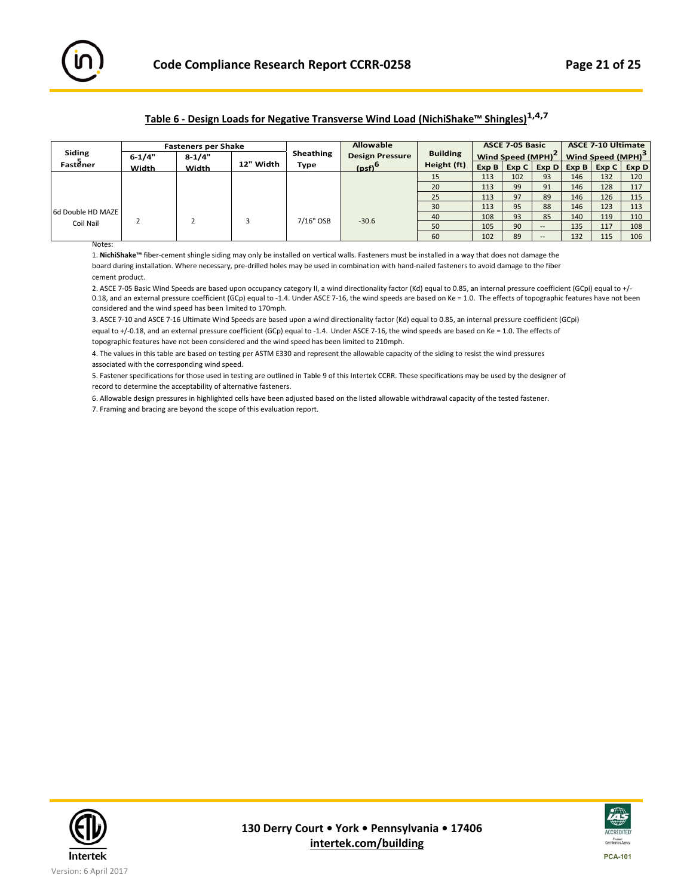

# **Table 6 ‐ Design Loads for Negative Transverse Wind Load (NichiShake™ Shingles)1,4,7**

|                   |            | <b>Fasteners per Shake</b> |           |           | <b>Allowable</b>                |                 |     | <b>ASCE 7-05 Basic</b>        |       | <b>ASCE 7-10 Ultimate</b> |     |                                                   |  |
|-------------------|------------|----------------------------|-----------|-----------|---------------------------------|-----------------|-----|-------------------------------|-------|---------------------------|-----|---------------------------------------------------|--|
| Siding            | $6 - 1/4"$ | $8-1/4"$                   |           | Sheathing | <b>Design Pressure</b>          | <b>Building</b> |     | Wind Speed (MPH) <sup>2</sup> |       |                           |     | Wind Speed (MPH) <sup>3</sup>                     |  |
| Fastener          | Width      | Width                      | 12" Width | Type      | (h <sub>sf</sub> ) <sup>6</sup> | Height (ft)     |     |                               |       |                           |     | $Exp B   Exp C   Exp D   Exp B   Exp C   Exp D  $ |  |
|                   |            |                            |           |           |                                 | 15              | 113 | 102                           | 93    | 146                       | 132 | 120                                               |  |
|                   |            |                            |           |           |                                 | 20              | 113 | 99                            | 91    | 146                       | 128 | 117                                               |  |
|                   |            |                            |           |           |                                 | 25              | 113 | 97                            | 89    | 146                       | 126 | 115                                               |  |
|                   |            |                            |           |           |                                 | 30              | 113 | 95                            | 88    | 146                       | 123 | 113                                               |  |
| 6d Double HD MAZE |            |                            |           | 7/16" OSB | $-30.6$                         | 40              | 108 | 93                            | 85    | 140                       | 119 | 110                                               |  |
| Coil Nail         |            |                            |           |           |                                 | 50              | 105 | 90                            | $- -$ | 135                       | 117 | 108                                               |  |
|                   |            |                            |           |           |                                 | 60              | 102 | 89                            |       | 132                       | 115 | 106                                               |  |

Notes:

1. **NichiShake™** fiber‐cement shingle siding may only be installed on vertical walls. Fasteners must be installed in a way that does not damage the board during installation. Where necessary, pre‐drilled holes may be used in combination with hand‐nailed fasteners to avoid damage to the fiber cement product.

2. ASCE 7-05 Basic Wind Speeds are based upon occupancy category II, a wind directionality factor (Kd) equal to 0.85, an internal pressure coefficient (GCpi) equal to +/-0.18, and an external pressure coefficient (GCp) equal to -1.4. Under ASCE 7-16, the wind speeds are based on Ke = 1.0. The effects of topographic features have not been considered and the wind speed has been limited to 170mph.

3. ASCE 7‐10 and ASCE 7‐16 Ultimate Wind Speeds are based upon a wind directionality factor (Kd) equal to 0.85, an internal pressure coefficient (GCpi) equal to +/-0.18, and an external pressure coefficient (GCp) equal to -1.4. Under ASCE 7-16, the wind speeds are based on Ke = 1.0. The effects of topographic features have not been considered and the wind speed has been limited to 210mph.

4. The values in this table are based on testing per ASTM E330 and represent the allowable capacity of the siding to resist the wind pressures associated with the corresponding wind speed.

5. Fastener specifications for those used in testing are outlined in Table 9 of this Intertek CCRR. These specifications may be used by the designer of record to determine the acceptability of alternative fasteners.

6. Allowable design pressures in highlighted cells have been adjusted based on the listed allowable withdrawal capacity of the tested fastener.

7. Framing and bracing are beyond the scope of this evaluation report.



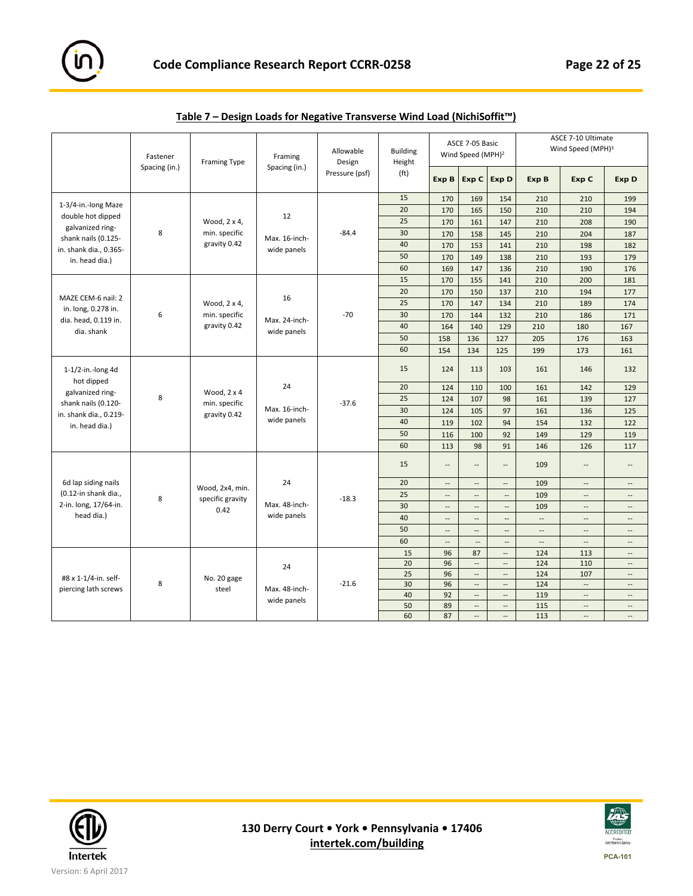

|                                             | Fastener<br>Spacing (in.) | Framing Type       | Framing<br>Spacing (in.) | Allowable<br>Design | <b>Building</b><br>Height |                          | ASCE 7-05 Basic<br>Wind Speed (MPH) <sup>2</sup> |                          |                          | ASCE 7-10 Ultimate<br>Wind Speed (MPH) <sup>3</sup> |                          |
|---------------------------------------------|---------------------------|--------------------|--------------------------|---------------------|---------------------------|--------------------------|--------------------------------------------------|--------------------------|--------------------------|-----------------------------------------------------|--------------------------|
|                                             |                           |                    |                          | Pressure (psf)      | (f <sub>t</sub> )         | Exp B                    |                                                  | Exp C Exp D              | Exp B                    | Exp C                                               | <b>Exp D</b>             |
|                                             |                           |                    |                          |                     | 15                        | 170                      | 169                                              | 154                      | 210                      | 210                                                 | 199                      |
| 1-3/4-in.-long Maze                         |                           |                    |                          |                     | 20                        | 170                      | 165                                              | 150                      | 210                      | 210                                                 | 194                      |
| double hot dipped                           |                           | Wood, 2 x 4,       | 12                       |                     | 25                        | 170                      | 161                                              | 147                      | 210                      | 208                                                 | 190                      |
| galvanized ring-<br>shank nails (0.125-     | 8                         | min. specific      | Max. 16-inch-            | $-84.4$             | 30                        | 170                      | 158                                              | 145                      | 210                      | 204                                                 | 187                      |
| in. shank dia., 0.365-                      |                           | gravity 0.42       | wide panels              |                     | 40                        | 170                      | 153                                              | 141                      | 210                      | 198                                                 | 182                      |
| in. head dia.)                              |                           |                    |                          |                     | 50                        | 170                      | 149                                              | 138                      | 210                      | 193                                                 | 179                      |
|                                             |                           |                    |                          |                     | 60                        | 169                      | 147                                              | 136                      | 210                      | 190                                                 | 176                      |
|                                             |                           |                    |                          |                     | 15                        | 170                      | 155                                              | 141                      | 210                      | 200                                                 | 181                      |
|                                             |                           |                    |                          |                     | 20                        | 170                      | 150                                              | 137                      | 210                      | 194                                                 | 177                      |
| MAZE CEM-6 nail: 2                          |                           | Wood, 2 x 4,       | 16                       |                     | 25                        | 170                      | 147                                              | 134                      | 210                      | 189                                                 | 174                      |
| in. long, 0.278 in.<br>dia. head, 0.119 in. | 6                         | min. specific      | Max. 24-inch-            | $-70$               | 30                        | 170                      | 144                                              | 132                      | 210                      | 186                                                 | 171                      |
| dia. shank                                  |                           | gravity 0.42       | wide panels              |                     | 40                        | 164                      | 140                                              | 129                      | 210                      | 180                                                 | 167                      |
|                                             |                           |                    |                          |                     | 50                        | 158                      | 136                                              | 127                      | 205                      | 176                                                 | 163                      |
|                                             |                           |                    |                          |                     | 60                        | 154                      | 134                                              | 125                      | 199                      | 173                                                 | 161                      |
| $1-1/2$ -in.-long 4d<br>hot dipped          |                           |                    |                          |                     | 15                        | 124                      | 113                                              | 103                      | 161                      | 146                                                 | 132                      |
| galvanized ring-                            |                           | Wood, $2 \times 4$ | 24                       |                     | 20                        | 124                      | 110                                              | 100                      | 161                      | 142                                                 | 129                      |
| shank nails (0.120-                         | 8                         | min. specific      |                          | $-37.6$             | 25                        | 124                      | 107                                              | 98                       | 161                      | 139                                                 | 127                      |
| in. shank dia., 0.219-                      |                           | gravity 0.42       | Max. 16-inch-            |                     | 30                        | 124                      | 105                                              | 97                       | 161                      | 136                                                 | 125                      |
| in. head dia.)                              |                           |                    | wide panels              |                     | 40                        | 119                      | 102                                              | 94                       | 154                      | 132                                                 | 122                      |
|                                             |                           |                    |                          |                     | 50                        | 116                      | 100                                              | 92                       | 149                      | 129                                                 | 119                      |
|                                             |                           |                    |                          |                     | 60                        | 113                      | 98                                               | 91                       | 146                      | 126                                                 | 117                      |
|                                             |                           |                    |                          |                     | 15                        | $\overline{a}$           | $\overline{\phantom{a}}$                         | $\overline{\phantom{a}}$ | 109                      | $\overline{a}$                                      | $\overline{a}$           |
| 6d lap siding nails                         |                           | Wood, 2x4, min.    | 24                       |                     | 20                        | $\overline{a}$           | $\overline{\phantom{a}}$                         | $\overline{\phantom{a}}$ | 109                      | $\overline{\phantom{a}}$                            | $\overline{\phantom{a}}$ |
| (0.12-in shank dia.,                        | 8                         | specific gravity   |                          | $-18.3$             | 25                        | $\overline{\phantom{a}}$ | $\overline{\phantom{a}}$                         | $\overline{\phantom{a}}$ | 109                      | $\overline{\phantom{a}}$                            | $\overline{\phantom{a}}$ |
| 2-in. long, 17/64-in.                       |                           | 0.42               | Max. 48-inch-            |                     | 30                        | $\overline{a}$           | $\overline{\phantom{a}}$                         | $\overline{\phantom{a}}$ | 109                      | --                                                  | $\overline{\phantom{a}}$ |
| head dia.)                                  |                           |                    | wide panels              |                     | 40                        | --                       | $\overline{\phantom{a}}$                         | $\overline{\phantom{a}}$ | $\overline{\phantom{a}}$ | --                                                  | $\overline{\phantom{a}}$ |
|                                             |                           |                    |                          |                     | 50                        | $\overline{\phantom{a}}$ | $\overline{\phantom{a}}$                         | $\overline{\phantom{a}}$ | $\overline{a}$           | $\overline{a}$                                      | $\overline{\phantom{a}}$ |
|                                             |                           |                    |                          |                     | 60                        | $\overline{\phantom{a}}$ | $\overline{\phantom{a}}$                         | $\overline{\phantom{a}}$ | --                       | $\cdots$                                            | $\overline{\phantom{a}}$ |
|                                             |                           |                    |                          |                     | 15                        | 96                       | 87                                               | --                       | 124                      | 113                                                 | $\overline{\phantom{a}}$ |
|                                             |                           |                    | 24                       |                     | 20                        | 96                       | $\overline{\phantom{a}}$                         | $\overline{a}$           | 124                      | 110                                                 | $\overline{\phantom{a}}$ |
| #8 x 1-1/4-in. self-                        |                           | No. 20 gage        |                          |                     | 25                        | 96                       | $\overline{\phantom{a}}$                         | $\overline{\phantom{a}}$ | 124                      | 107                                                 | $\overline{\phantom{a}}$ |
| piercing lath screws                        | 8                         | steel              | Max. 48-inch-            | $-21.6$             | 30                        | 96                       | $\overline{\phantom{a}}$                         | --                       | 124                      | $\overline{\phantom{a}}$                            | $\overline{a}$           |
|                                             |                           |                    | wide panels              |                     | 40                        | 92                       | $\overline{\phantom{a}}$                         | $\overline{\phantom{a}}$ | 119                      | $\overline{\phantom{a}}$                            | $\overline{a}$           |
|                                             |                           |                    |                          |                     | 50                        | 89                       | $\overline{\phantom{a}}$                         | --                       | 115                      | $\overline{\phantom{a}}$                            | $\overline{\phantom{a}}$ |
|                                             |                           |                    |                          |                     | 60                        | 87                       | $\overline{\phantom{a}}$                         | u,                       | 113                      | $\mathbb{L}$                                        | $\overline{\phantom{a}}$ |

| Table 7 – Design Loads for Negative Transverse Wind Load (NichiSoffit™) |
|-------------------------------------------------------------------------|
|-------------------------------------------------------------------------|



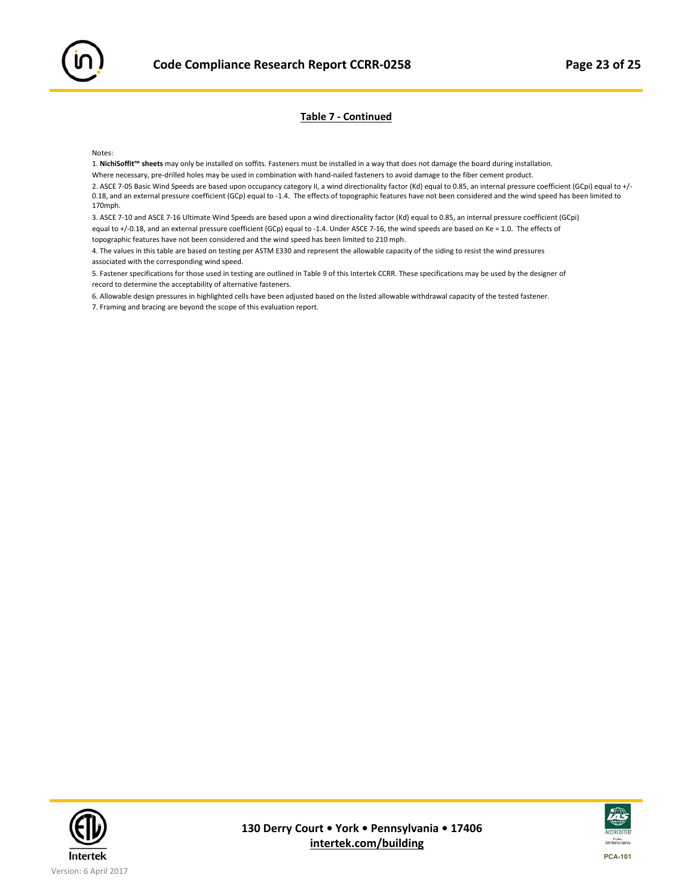#### **Table 7 ‐ Continued**

Notes:

1. **NichiSoffit™ sheets** may only be installed on soffits. Fasteners must be installed in a way that does not damage the board during installation.

Where necessary, pre‐drilled holes may be used in combination with hand‐nailed fasteners to avoid damage to the fiber cement product.

2. ASCE 7-05 Basic Wind Speeds are based upon occupancy category II, a wind directionality factor (Kd) equal to 0.85, an internal pressure coefficient (GCpi) equal to +/-0.18, and an external pressure coefficient (GCp) equal to ‐1.4. The effects of topographic features have not been considered and the wind speed has been limited to 170mph.

3. ASCE 7‐10 and ASCE 7‐16 Ultimate Wind Speeds are based upon a wind directionality factor (Kd) equal to 0.85, an internal pressure coefficient (GCpi) equal to +/-0.18, and an external pressure coefficient (GCp) equal to -1.4. Under ASCE 7-16, the wind speeds are based on Ke = 1.0. The effects of topographic features have not been considered and the wind speed has been limited to 210 mph.

4. The values in this table are based on testing per ASTM E330 and represent the allowable capacity of the siding to resist the wind pressures associated with the corresponding wind speed.

5. Fastener specifications for those used in testing are outlined in Table 9 of this Intertek CCRR. These specifications may be used by the designer of record to determine the acceptability of alternative fasteners.

6. Allowable design pressures in highlighted cells have been adjusted based on the listed allowable withdrawal capacity of the tested fastener.

7. Framing and bracing are beyond the scope of this evaluation report.



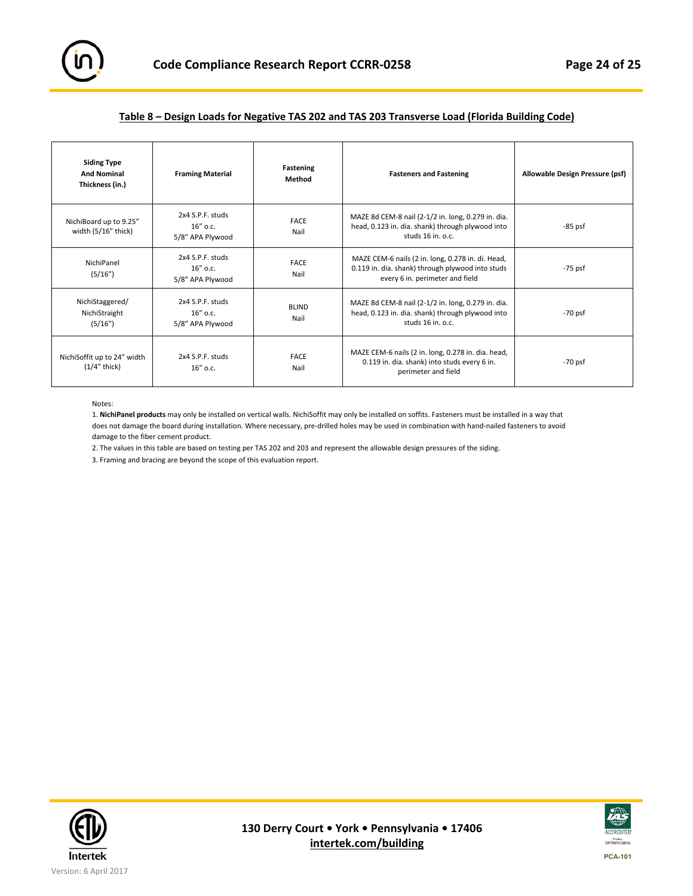

#### **Table 8 – Design Loads for Negative TAS 202 and TAS 203 Transverse Load (Florida Building Code)**

| <b>Siding Type</b><br><b>And Nominal</b><br>Thickness (in.) | <b>Framing Material</b>                             | Fastening<br>Method  | <b>Fasteners and Fastening</b>                                                                                                           | Allowable Design Pressure (psf) |
|-------------------------------------------------------------|-----------------------------------------------------|----------------------|------------------------------------------------------------------------------------------------------------------------------------------|---------------------------------|
| NichiBoard up to 9.25"<br>width (5/16" thick)               | 2x4 S.P.F. studs<br>16" o.c.<br>5/8" APA Plywood    | <b>FACE</b><br>Nail  | MAZE 8d CEM-8 nail (2-1/2 in. long, 0.279 in. dia.<br>head, 0.123 in. dia. shank) through plywood into<br>studs $16$ in, $0.c.$          | $-85$ psf                       |
| NichiPanel<br>(5/16")                                       | 2x4 S.P.F. studs<br>$16''$ o.c.<br>5/8" APA Plywood | <b>FACE</b><br>Nail  | MAZE CEM-6 nails (2 in. long, 0.278 in. di. Head,<br>0.119 in. dia. shank) through plywood into studs<br>every 6 in. perimeter and field | -75 psf                         |
| NichiStaggered/<br>NichiStraight<br>(5/16")                 | 2x4 S.P.F. studs<br>$16''$ o.c.<br>5/8" APA Plywood | <b>BLIND</b><br>Nail | MAZE 8d CEM-8 nail (2-1/2 in. long, 0.279 in. dia.<br>head, 0.123 in. dia. shank) through plywood into<br>studs $16$ in, $0.c.$          | -70 psf                         |
| NichiSoffit up to 24" width<br>$(1/4"$ thick)               | 2x4 S.P.F. studs<br>$16''$ o.c.                     | <b>FACE</b><br>Nail  | MAZE CEM-6 nails (2 in. long, 0.278 in. dia. head,<br>0.119 in. dia. shank) into studs every 6 in.<br>perimeter and field                | -70 psf                         |

Notes:

1. **NichiPanel products** may only be installed on vertical walls. NichiSoffit may only be installed on soffits. Fasteners must be installed in a way that does not damage the board during installation. Where necessary, pre‐drilled holes may be used in combination with hand‐nailed fasteners to avoid damage to the fiber cement product.

2. The values in this table are based on testing per TAS 202 and 203 and represent the allowable design pressures of the siding.

3. Framing and bracing are beyond the scope of this evaluation report.